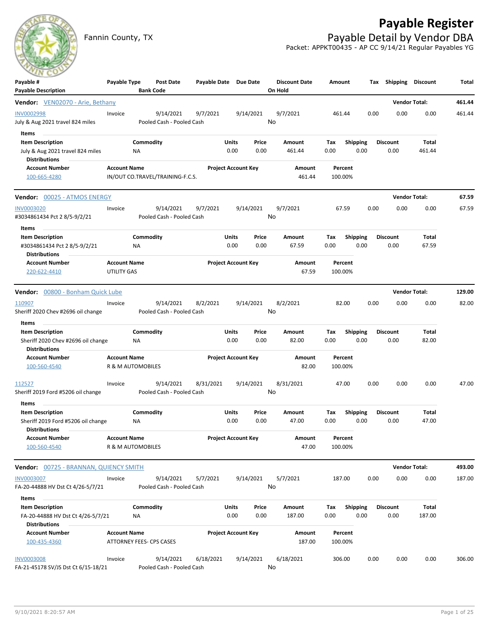# **Payable Register**



Fannin County, TX **Payable Detail by Vendor DBA** Packet: APPKT00435 - AP CC 9/14/21 Regular Payables YG

| $\sim$                                                     |                                                 |                  |                                  |                       |                            |               |                                 |                    |                  |      |                         |                |        |
|------------------------------------------------------------|-------------------------------------------------|------------------|----------------------------------|-----------------------|----------------------------|---------------|---------------------------------|--------------------|------------------|------|-------------------------|----------------|--------|
| Payable #<br><b>Payable Description</b>                    | Payable Type                                    | <b>Bank Code</b> | Post Date                        | Payable Date Due Date |                            |               | <b>Discount Date</b><br>On Hold | Amount             |                  |      | Tax Shipping Discount   |                | Total  |
| Vendor: VEN02070 - Arie, Bethany                           |                                                 |                  |                                  |                       |                            |               |                                 |                    |                  |      | <b>Vendor Total:</b>    |                | 461.44 |
| <b>INV0002998</b>                                          | Invoice                                         |                  | 9/14/2021                        | 9/7/2021              |                            | 9/14/2021     | 9/7/2021                        | 461.44             |                  | 0.00 | 0.00                    | 0.00           | 461.44 |
| July & Aug 2021 travel 824 miles                           |                                                 |                  | Pooled Cash - Pooled Cash        |                       |                            |               | No                              |                    |                  |      |                         |                |        |
| Items                                                      |                                                 |                  |                                  |                       |                            |               |                                 |                    |                  |      |                         |                |        |
| <b>Item Description</b>                                    |                                                 | Commodity        |                                  |                       | Units                      | Price         | Amount                          | Тах                | <b>Shipping</b>  |      | Discount                | Total          |        |
| July & Aug 2021 travel 824 miles                           |                                                 | NA.              |                                  |                       | 0.00                       | 0.00          | 461.44                          | 0.00               | 0.00             |      | 0.00                    | 461.44         |        |
| <b>Distributions</b>                                       |                                                 |                  |                                  |                       |                            |               |                                 |                    |                  |      |                         |                |        |
| <b>Account Number</b>                                      | <b>Account Name</b>                             |                  |                                  |                       | <b>Project Account Key</b> |               | Amount                          | Percent            |                  |      |                         |                |        |
| 100-665-4280                                               |                                                 |                  | IN/OUT CO.TRAVEL/TRAINING-F.C.S. |                       |                            |               | 461.44                          | 100.00%            |                  |      |                         |                |        |
| Vendor: 00025 - ATMOS ENERGY                               |                                                 |                  |                                  |                       |                            |               |                                 |                    |                  |      | <b>Vendor Total:</b>    |                | 67.59  |
| <b>INV0003020</b>                                          | Invoice                                         |                  | 9/14/2021                        | 9/7/2021              |                            | 9/14/2021     | 9/7/2021                        | 67.59              |                  | 0.00 | 0.00                    | 0.00           | 67.59  |
| #3034861434 Pct 2 8/5-9/2/21                               |                                                 |                  | Pooled Cash - Pooled Cash        |                       |                            |               | No                              |                    |                  |      |                         |                |        |
| Items                                                      |                                                 |                  |                                  |                       |                            |               |                                 |                    |                  |      |                         |                |        |
| <b>Item Description</b><br>#3034861434 Pct 2 8/5-9/2/21    |                                                 | Commodity<br>ΝA  |                                  |                       | Units<br>0.00              | Price<br>0.00 | Amount<br>67.59                 | Tax<br>0.00        | Shipping<br>0.00 |      | <b>Discount</b><br>0.00 | Total<br>67.59 |        |
| <b>Distributions</b>                                       |                                                 |                  |                                  |                       |                            |               |                                 |                    |                  |      |                         |                |        |
| <b>Account Number</b>                                      | <b>Account Name</b>                             |                  |                                  |                       | <b>Project Account Key</b> |               | Amount                          | Percent            |                  |      |                         |                |        |
| 220-622-4410                                               | UTILITY GAS                                     |                  |                                  |                       |                            |               | 67.59                           | 100.00%            |                  |      |                         |                |        |
| Vendor: 00800 - Bonham Quick Lube                          |                                                 |                  |                                  |                       |                            |               |                                 |                    |                  |      | <b>Vendor Total:</b>    |                | 129.00 |
| 110907                                                     | Invoice                                         |                  | 9/14/2021                        | 8/2/2021              |                            | 9/14/2021     | 8/2/2021                        | 82.00              |                  | 0.00 | 0.00                    | 0.00           | 82.00  |
| Sheriff 2020 Chev #2696 oil change                         |                                                 |                  | Pooled Cash - Pooled Cash        |                       |                            |               | No                              |                    |                  |      |                         |                |        |
| Items<br><b>Item Description</b>                           |                                                 | Commodity        |                                  |                       | Units                      | Price         | Amount                          | Тах                | <b>Shipping</b>  |      | <b>Discount</b>         | Total          |        |
| Sheriff 2020 Chev #2696 oil change<br><b>Distributions</b> |                                                 | ΝA               |                                  |                       | 0.00                       | 0.00          | 82.00                           | 0.00               | 0.00             |      | 0.00                    | 82.00          |        |
| <b>Account Number</b>                                      | <b>Account Name</b>                             |                  |                                  |                       | <b>Project Account Key</b> |               | Amount                          | Percent            |                  |      |                         |                |        |
| 100-560-4540                                               | R & M AUTOMOBILES                               |                  |                                  |                       |                            |               | 82.00                           | 100.00%            |                  |      |                         |                |        |
| 112527                                                     | Invoice                                         |                  | 9/14/2021                        | 8/31/2021             |                            | 9/14/2021     | 8/31/2021                       | 47.00              |                  | 0.00 | 0.00                    | 0.00           | 47.00  |
| Sheriff 2019 Ford #5206 oil change                         |                                                 |                  | Pooled Cash - Pooled Cash        |                       |                            |               | No                              |                    |                  |      |                         |                |        |
| Items                                                      |                                                 |                  |                                  |                       |                            |               |                                 |                    |                  |      |                         |                |        |
| <b>Item Description</b>                                    |                                                 | Commodity        |                                  |                       | Units                      | Price         | Amount                          | Tax                | <b>Shipping</b>  |      | <b>Discount</b>         | Total          |        |
| Sheriff 2019 Ford #5206 oil change<br><b>Distributions</b> |                                                 | ΝA               |                                  |                       | 0.00                       | 0.00          | 47.00                           | 0.00               | 0.00             |      | 0.00                    | 47.00          |        |
| <b>Account Number</b>                                      | <b>Account Name</b>                             |                  |                                  |                       | <b>Project Account Key</b> |               | Amount                          | Percent            |                  |      |                         |                |        |
| 100-560-4540                                               | R & M AUTOMOBILES                               |                  |                                  |                       |                            |               | 47.00                           | 100.00%            |                  |      |                         |                |        |
| Vendor: 00725 - BRANNAN, QUIENCY SMITH                     |                                                 |                  |                                  |                       |                            |               |                                 |                    |                  |      | <b>Vendor Total:</b>    |                | 493.00 |
| <b>INV0003007</b>                                          | Invoice                                         |                  | 9/14/2021                        | 5/7/2021              |                            | 9/14/2021     | 5/7/2021                        | 187.00             |                  | 0.00 | 0.00                    | 0.00           | 187.00 |
| FA-20-44888 HV Dst Ct 4/26-5/7/21                          |                                                 |                  | Pooled Cash - Pooled Cash        |                       |                            |               | No                              |                    |                  |      |                         |                |        |
| Items                                                      |                                                 |                  |                                  |                       |                            |               |                                 |                    |                  |      |                         |                |        |
| <b>Item Description</b>                                    |                                                 | Commodity        |                                  |                       | Units                      | Price         | Amount                          | Tax                | Shipping         |      | <b>Discount</b>         | <b>Total</b>   |        |
| FA-20-44888 HV Dst Ct 4/26-5/7/21                          |                                                 | NA               |                                  |                       | 0.00                       | 0.00          | 187.00                          | 0.00               | 0.00             |      | 0.00                    | 187.00         |        |
| <b>Distributions</b>                                       |                                                 |                  |                                  |                       |                            |               |                                 |                    |                  |      |                         |                |        |
| <b>Account Number</b><br>100-435-4360                      | <b>Account Name</b><br>ATTORNEY FEES- CPS CASES |                  |                                  |                       | <b>Project Account Key</b> |               | Amount<br>187.00                | Percent<br>100.00% |                  |      |                         |                |        |
| <b>INV0003008</b>                                          | Invoice                                         |                  | 9/14/2021                        | 6/18/2021             |                            | 9/14/2021     | 6/18/2021                       | 306.00             |                  | 0.00 | 0.00                    | 0.00           | 306.00 |
| FA-21-45178 SV/JS Dst Ct 6/15-18/21                        |                                                 |                  | Pooled Cash - Pooled Cash        |                       |                            |               | No                              |                    |                  |      |                         |                |        |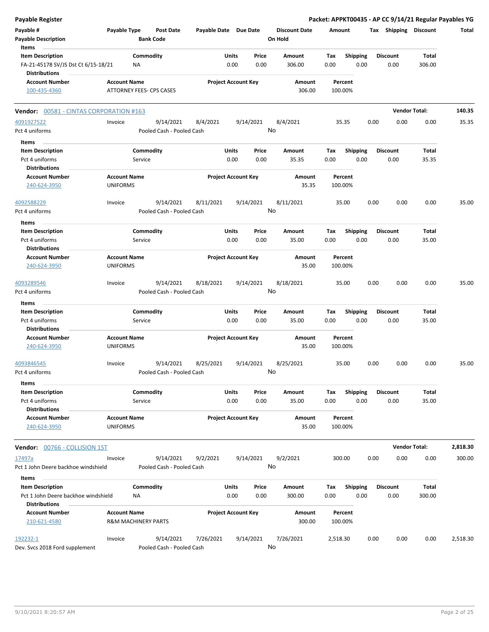| <b>Payable Register</b>                                     |                                        |           |                                      |                       |       |                            |                                 |                    |                 |      |                       | Packet: APPKT00435 - AP CC 9/14/21 Regular Payables YG |          |
|-------------------------------------------------------------|----------------------------------------|-----------|--------------------------------------|-----------------------|-------|----------------------------|---------------------------------|--------------------|-----------------|------|-----------------------|--------------------------------------------------------|----------|
| Payable #<br><b>Payable Description</b>                     | Payable Type                           |           | <b>Post Date</b><br><b>Bank Code</b> | Payable Date Due Date |       |                            | <b>Discount Date</b><br>On Hold | Amount             |                 |      | Tax Shipping Discount |                                                        | Total    |
| Items<br><b>Item Description</b>                            |                                        | Commodity |                                      |                       | Units | Price                      | <b>Amount</b>                   | Tax                | <b>Shipping</b> |      | <b>Discount</b>       | <b>Total</b>                                           |          |
| FA-21-45178 SV/JS Dst Ct 6/15-18/21<br><b>Distributions</b> |                                        | ΝA        |                                      |                       | 0.00  | 0.00                       | 306.00                          | 0.00               | 0.00            |      | 0.00                  | 306.00                                                 |          |
| <b>Account Number</b>                                       | <b>Account Name</b>                    |           |                                      |                       |       | <b>Project Account Key</b> | Amount                          | Percent            |                 |      |                       |                                                        |          |
| 100-435-4360                                                | ATTORNEY FEES- CPS CASES               |           |                                      |                       |       |                            | 306.00                          | 100.00%            |                 |      |                       |                                                        |          |
| Vendor: 00581 - CINTAS CORPORATION #163                     |                                        |           |                                      |                       |       |                            |                                 |                    |                 |      |                       | <b>Vendor Total:</b>                                   | 140.35   |
| 4091927522                                                  | Invoice                                |           | 9/14/2021                            | 8/4/2021              |       | 9/14/2021                  | 8/4/2021                        | 35.35              |                 | 0.00 | 0.00                  | 0.00                                                   | 35.35    |
| Pct 4 uniforms                                              |                                        |           | Pooled Cash - Pooled Cash            |                       |       | No                         |                                 |                    |                 |      |                       |                                                        |          |
| Items                                                       |                                        |           |                                      |                       |       |                            |                                 |                    |                 |      |                       |                                                        |          |
| <b>Item Description</b>                                     |                                        | Commodity |                                      |                       | Units | Price                      | Amount                          | Tax                | <b>Shipping</b> |      | <b>Discount</b>       | <b>Total</b>                                           |          |
| Pct 4 uniforms<br><b>Distributions</b>                      |                                        | Service   |                                      |                       | 0.00  | 0.00                       | 35.35                           | 0.00               | 0.00            |      | 0.00                  | 35.35                                                  |          |
| <b>Account Number</b>                                       | <b>Account Name</b>                    |           |                                      |                       |       | <b>Project Account Key</b> | Amount                          | Percent            |                 |      |                       |                                                        |          |
| 240-624-3950                                                | <b>UNIFORMS</b>                        |           |                                      |                       |       |                            | 35.35                           | 100.00%            |                 |      |                       |                                                        |          |
| 4092588229                                                  | Invoice                                |           | 9/14/2021                            | 8/11/2021             |       | 9/14/2021                  | 8/11/2021                       | 35.00              |                 | 0.00 | 0.00                  | 0.00                                                   | 35.00    |
| Pct 4 uniforms                                              |                                        |           | Pooled Cash - Pooled Cash            |                       |       | No                         |                                 |                    |                 |      |                       |                                                        |          |
| Items                                                       |                                        |           |                                      |                       |       |                            |                                 |                    |                 |      |                       |                                                        |          |
| <b>Item Description</b>                                     |                                        | Commodity |                                      |                       | Units | Price                      | Amount                          | Tax                | <b>Shipping</b> |      | <b>Discount</b>       | Total                                                  |          |
| Pct 4 uniforms                                              |                                        | Service   |                                      |                       | 0.00  | 0.00                       | 35.00                           | 0.00               | 0.00            |      | 0.00                  | 35.00                                                  |          |
| <b>Distributions</b>                                        |                                        |           |                                      |                       |       |                            |                                 |                    |                 |      |                       |                                                        |          |
| <b>Account Number</b>                                       | <b>Account Name</b>                    |           |                                      |                       |       | <b>Project Account Key</b> | Amount                          | Percent            |                 |      |                       |                                                        |          |
| 240-624-3950                                                | <b>UNIFORMS</b>                        |           |                                      |                       |       |                            | 35.00                           | 100.00%            |                 |      |                       |                                                        |          |
| 4093289546                                                  | Invoice                                |           | 9/14/2021                            | 8/18/2021             |       | 9/14/2021                  | 8/18/2021                       | 35.00              |                 | 0.00 | 0.00                  | 0.00                                                   | 35.00    |
| Pct 4 uniforms                                              |                                        |           | Pooled Cash - Pooled Cash            |                       |       | No                         |                                 |                    |                 |      |                       |                                                        |          |
| Items                                                       |                                        |           |                                      |                       |       |                            |                                 |                    |                 |      |                       |                                                        |          |
| <b>Item Description</b>                                     |                                        | Commodity |                                      |                       | Units | Price                      | Amount                          | Tax                | <b>Shipping</b> |      | <b>Discount</b>       | Total                                                  |          |
| Pct 4 uniforms                                              |                                        | Service   |                                      |                       | 0.00  | 0.00                       | 35.00                           | 0.00               | 0.00            |      | 0.00                  | 35.00                                                  |          |
| <b>Distributions</b>                                        |                                        |           |                                      |                       |       |                            |                                 |                    |                 |      |                       |                                                        |          |
| <b>Account Number</b>                                       | <b>Account Name</b>                    |           |                                      |                       |       | <b>Project Account Key</b> | Amount                          | Percent            |                 |      |                       |                                                        |          |
| 240-624-3950                                                | <b>UNIFORMS</b>                        |           |                                      |                       |       |                            | 35.00                           | 100.00%            |                 |      |                       |                                                        |          |
| 4093846545                                                  | Invoice                                |           | 9/14/2021                            | 8/25/2021             |       | 9/14/2021                  | 8/25/2021                       | 35.00              |                 | 0.00 | 0.00                  | 0.00                                                   | 35.00    |
| Pct 4 uniforms                                              |                                        |           | Pooled Cash - Pooled Cash            |                       |       | No                         |                                 |                    |                 |      |                       |                                                        |          |
| Items                                                       |                                        |           |                                      |                       |       |                            |                                 |                    |                 |      |                       |                                                        |          |
| <b>Item Description</b>                                     |                                        | Commodity |                                      |                       | Units | Price                      | Amount                          | Tax                | <b>Shipping</b> |      | <b>Discount</b>       | Total                                                  |          |
| Pct 4 uniforms                                              |                                        | Service   |                                      |                       | 0.00  | 0.00                       | 35.00                           | 0.00               | 0.00            |      | 0.00                  | 35.00                                                  |          |
| <b>Distributions</b>                                        |                                        |           |                                      |                       |       |                            |                                 |                    |                 |      |                       |                                                        |          |
| <b>Account Number</b><br>240-624-3950                       | <b>Account Name</b><br><b>UNIFORMS</b> |           |                                      |                       |       | <b>Project Account Key</b> | Amount<br>35.00                 | Percent<br>100.00% |                 |      |                       |                                                        |          |
| <b>Vendor:</b> 00766 - COLLISION 1ST                        |                                        |           |                                      |                       |       |                            |                                 |                    |                 |      |                       | <b>Vendor Total:</b>                                   | 2,818.30 |
| 17497a                                                      | Invoice                                |           | 9/14/2021                            | 9/2/2021              |       | 9/14/2021                  | 9/2/2021                        | 300.00             |                 | 0.00 | 0.00                  | 0.00                                                   | 300.00   |
| Pct 1 John Deere backhoe windshield                         |                                        |           | Pooled Cash - Pooled Cash            |                       |       | No                         |                                 |                    |                 |      |                       |                                                        |          |
| Items                                                       |                                        |           |                                      |                       |       |                            |                                 |                    |                 |      |                       |                                                        |          |
| <b>Item Description</b>                                     |                                        | Commodity |                                      |                       | Units | Price                      | Amount                          | Тах                | <b>Shipping</b> |      | <b>Discount</b>       | Total                                                  |          |
| Pct 1 John Deere backhoe windshield<br><b>Distributions</b> |                                        | ΝA        |                                      |                       | 0.00  | 0.00                       | 300.00                          | 0.00               | 0.00            |      | 0.00                  | 300.00                                                 |          |
| <b>Account Number</b>                                       | <b>Account Name</b>                    |           |                                      |                       |       | <b>Project Account Key</b> | Amount                          | Percent            |                 |      |                       |                                                        |          |
| 210-621-4580                                                | <b>R&amp;M MACHINERY PARTS</b>         |           |                                      |                       |       |                            | 300.00                          | 100.00%            |                 |      |                       |                                                        |          |
| 192232-1                                                    | Invoice                                |           | 9/14/2021                            | 7/26/2021             |       | 9/14/2021                  | 7/26/2021                       | 2,518.30           |                 | 0.00 | 0.00                  | 0.00                                                   | 2,518.30 |
| Dev. Svcs 2018 Ford supplement                              |                                        |           | Pooled Cash - Pooled Cash            |                       |       | No                         |                                 |                    |                 |      |                       |                                                        |          |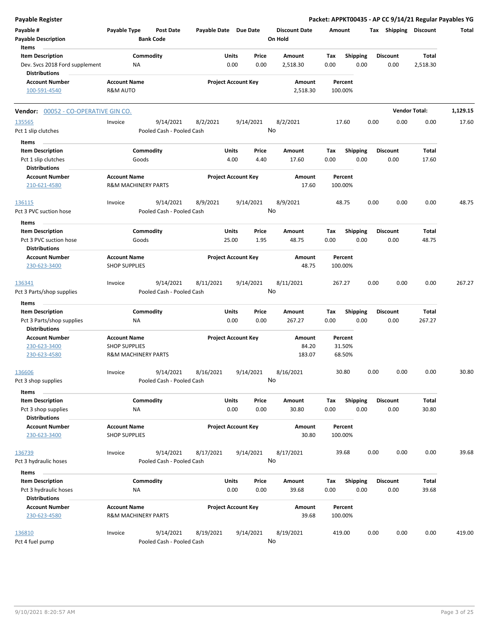| <b>Payable Register</b>                                |                                                       |                           |                  |                       |                            |           |                                 |        |                    |      |                       |                      | Packet: APPKT00435 - AP CC 9/14/21 Regular Payables YG |
|--------------------------------------------------------|-------------------------------------------------------|---------------------------|------------------|-----------------------|----------------------------|-----------|---------------------------------|--------|--------------------|------|-----------------------|----------------------|--------------------------------------------------------|
| Payable #<br><b>Payable Description</b>                | Payable Type                                          | <b>Bank Code</b>          | <b>Post Date</b> | Payable Date Due Date |                            |           | <b>Discount Date</b><br>On Hold | Amount |                    |      | Tax Shipping Discount |                      | Total                                                  |
| Items                                                  |                                                       |                           |                  |                       |                            |           |                                 |        |                    |      |                       |                      |                                                        |
| <b>Item Description</b>                                |                                                       | Commodity                 |                  |                       | Units                      | Price     | Amount                          | Tax    | Shipping           |      | <b>Discount</b>       | Total                |                                                        |
| Dev. Svcs 2018 Ford supplement<br><b>Distributions</b> |                                                       | <b>NA</b>                 |                  |                       | 0.00                       | 0.00      | 2,518.30                        | 0.00   | 0.00               |      | 0.00                  | 2,518.30             |                                                        |
| <b>Account Number</b>                                  | <b>Account Name</b>                                   |                           |                  |                       | <b>Project Account Key</b> |           | Amount                          |        | Percent            |      |                       |                      |                                                        |
| 100-591-4540                                           | <b>R&amp;M AUTO</b>                                   |                           |                  |                       |                            |           | 2,518.30                        |        | 100.00%            |      |                       |                      |                                                        |
| Vendor: 00052 - CO-OPERATIVE GIN CO.                   |                                                       |                           |                  |                       |                            |           |                                 |        |                    |      |                       | <b>Vendor Total:</b> | 1,129.15                                               |
| 135565                                                 | Invoice                                               |                           | 9/14/2021        | 8/2/2021              |                            | 9/14/2021 | 8/2/2021                        |        | 17.60              | 0.00 | 0.00                  | 0.00                 | 17.60                                                  |
| Pct 1 slip clutches                                    |                                                       | Pooled Cash - Pooled Cash |                  |                       |                            |           | No                              |        |                    |      |                       |                      |                                                        |
| Items                                                  |                                                       |                           |                  |                       |                            |           |                                 |        |                    |      |                       |                      |                                                        |
| <b>Item Description</b>                                |                                                       | Commodity                 |                  |                       | Units                      | Price     | Amount                          | Tax    | <b>Shipping</b>    |      | <b>Discount</b>       | Total                |                                                        |
| Pct 1 slip clutches<br><b>Distributions</b>            |                                                       | Goods                     |                  |                       | 4.00                       | 4.40      | 17.60                           | 0.00   | 0.00               |      | 0.00                  | 17.60                |                                                        |
| <b>Account Number</b><br>210-621-4580                  | <b>Account Name</b><br><b>R&amp;M MACHINERY PARTS</b> |                           |                  |                       | <b>Project Account Key</b> |           | Amount<br>17.60                 |        | Percent<br>100.00% |      |                       |                      |                                                        |
| <u> 136115</u><br>Pct 3 PVC suction hose               | Invoice                                               | Pooled Cash - Pooled Cash | 9/14/2021        | 8/9/2021              |                            | 9/14/2021 | 8/9/2021<br>No                  |        | 48.75              | 0.00 | 0.00                  | 0.00                 | 48.75                                                  |
| Items                                                  |                                                       |                           |                  |                       |                            |           |                                 |        |                    |      |                       |                      |                                                        |
| <b>Item Description</b>                                |                                                       | Commodity                 |                  |                       | Units                      | Price     | Amount                          | Tax    | <b>Shipping</b>    |      | <b>Discount</b>       | Total                |                                                        |
| Pct 3 PVC suction hose<br><b>Distributions</b>         |                                                       | Goods                     |                  |                       | 25.00                      | 1.95      | 48.75                           | 0.00   | 0.00               |      | 0.00                  | 48.75                |                                                        |
| <b>Account Number</b>                                  | <b>Account Name</b>                                   |                           |                  |                       | <b>Project Account Key</b> |           | Amount                          |        | Percent            |      |                       |                      |                                                        |
| 230-623-3400                                           | <b>SHOP SUPPLIES</b>                                  |                           |                  |                       |                            |           | 48.75                           |        | 100.00%            |      |                       |                      |                                                        |
| 136341<br>Pct 3 Parts/shop supplies                    | Invoice                                               | Pooled Cash - Pooled Cash | 9/14/2021        | 8/11/2021             |                            | 9/14/2021 | 8/11/2021<br>No                 |        | 267.27             | 0.00 | 0.00                  | 0.00                 | 267.27                                                 |
|                                                        |                                                       |                           |                  |                       |                            |           |                                 |        |                    |      |                       |                      |                                                        |
| Items                                                  |                                                       |                           |                  |                       |                            |           |                                 |        |                    |      |                       |                      |                                                        |
| <b>Item Description</b>                                |                                                       | Commodity                 |                  |                       | Units                      | Price     | Amount                          | Tax    | <b>Shipping</b>    |      | <b>Discount</b>       | Total                |                                                        |
| Pct 3 Parts/shop supplies<br><b>Distributions</b>      |                                                       | <b>NA</b>                 |                  |                       | 0.00                       | 0.00      | 267.27                          | 0.00   | 0.00               |      | 0.00                  | 267.27               |                                                        |
| <b>Account Number</b>                                  | <b>Account Name</b>                                   |                           |                  |                       | <b>Project Account Key</b> |           | Amount                          |        | Percent            |      |                       |                      |                                                        |
| 230-623-3400                                           | <b>SHOP SUPPLIES</b>                                  |                           |                  |                       |                            |           | 84.20                           |        | 31.50%             |      |                       |                      |                                                        |
| 230-623-4580                                           | <b>R&amp;M MACHINERY PARTS</b>                        |                           |                  |                       |                            |           | 183.07                          |        | 68.50%             |      |                       |                      |                                                        |
| 136606                                                 | Invoice                                               |                           | 9/14/2021        | 8/16/2021             |                            | 9/14/2021 | 8/16/2021                       |        | 30.80              | 0.00 | 0.00                  | 0.00                 | 30.80                                                  |
| Pct 3 shop supplies                                    |                                                       | Pooled Cash - Pooled Cash |                  |                       |                            |           | No                              |        |                    |      |                       |                      |                                                        |
| Items                                                  |                                                       |                           |                  |                       |                            |           |                                 |        |                    |      |                       |                      |                                                        |
| <b>Item Description</b>                                |                                                       | Commodity                 |                  |                       | Units                      | Price     | Amount                          | Tax    | <b>Shipping</b>    |      | <b>Discount</b>       | Total                |                                                        |
| Pct 3 shop supplies<br><b>Distributions</b>            |                                                       | NA                        |                  |                       | 0.00                       | 0.00      | 30.80                           | 0.00   | 0.00               |      | 0.00                  | 30.80                |                                                        |
| <b>Account Number</b>                                  | <b>Account Name</b>                                   |                           |                  |                       | <b>Project Account Key</b> |           | Amount                          |        | Percent            |      |                       |                      |                                                        |
| 230-623-3400                                           | <b>SHOP SUPPLIES</b>                                  |                           |                  |                       |                            |           | 30.80                           |        | 100.00%            |      |                       |                      |                                                        |
| 136739                                                 | Invoice                                               |                           | 9/14/2021        | 8/17/2021             |                            | 9/14/2021 | 8/17/2021                       |        | 39.68              | 0.00 | 0.00                  | 0.00                 | 39.68                                                  |
| Pct 3 hydraulic hoses                                  |                                                       | Pooled Cash - Pooled Cash |                  |                       |                            |           | No                              |        |                    |      |                       |                      |                                                        |
| Items                                                  |                                                       |                           |                  |                       |                            |           |                                 |        |                    |      |                       |                      |                                                        |
| <b>Item Description</b>                                |                                                       | Commodity                 |                  |                       | Units                      | Price     | Amount                          | Tax    | <b>Shipping</b>    |      | <b>Discount</b>       | Total                |                                                        |
| Pct 3 hydraulic hoses<br><b>Distributions</b>          |                                                       | ΝA                        |                  |                       | 0.00                       | 0.00      | 39.68                           | 0.00   | 0.00               |      | 0.00                  | 39.68                |                                                        |
| <b>Account Number</b>                                  | <b>Account Name</b>                                   |                           |                  |                       | <b>Project Account Key</b> |           | Amount                          |        | Percent            |      |                       |                      |                                                        |
| 230-623-4580                                           | <b>R&amp;M MACHINERY PARTS</b>                        |                           |                  |                       |                            |           | 39.68                           |        | 100.00%            |      |                       |                      |                                                        |
| 136810                                                 | Invoice                                               |                           | 9/14/2021        | 8/19/2021             |                            | 9/14/2021 | 8/19/2021                       |        | 419.00             | 0.00 | 0.00                  | 0.00                 | 419.00                                                 |
| Pct 4 fuel pump                                        |                                                       | Pooled Cash - Pooled Cash |                  |                       |                            |           | No                              |        |                    |      |                       |                      |                                                        |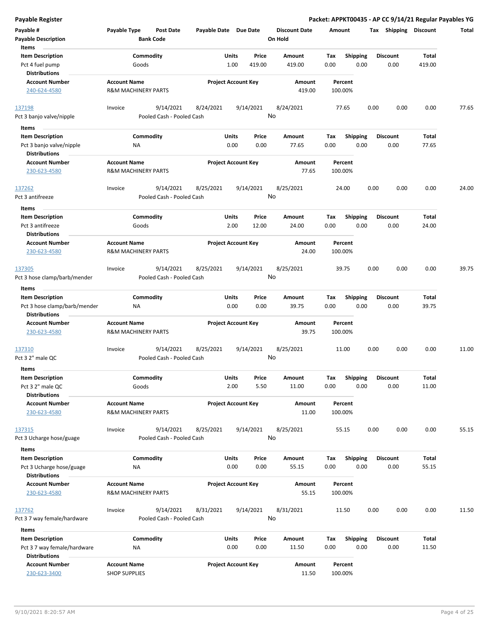| Payable #                                        | Payable Type                                          | <b>Post Date</b>          | Payable Date Due Date |                            |           | <b>Discount Date</b> | Amount |                 | Tax  | Shipping        | <b>Discount</b> | Total |
|--------------------------------------------------|-------------------------------------------------------|---------------------------|-----------------------|----------------------------|-----------|----------------------|--------|-----------------|------|-----------------|-----------------|-------|
| <b>Payable Description</b>                       |                                                       | <b>Bank Code</b>          |                       |                            |           | On Hold              |        |                 |      |                 |                 |       |
| Items                                            |                                                       |                           |                       |                            |           |                      |        |                 |      |                 |                 |       |
| <b>Item Description</b>                          |                                                       | Commodity                 |                       | Units                      | Price     | Amount               | Tax    | <b>Shipping</b> |      | <b>Discount</b> | Total           |       |
| Pct 4 fuel pump                                  | Goods                                                 |                           |                       | 1.00                       | 419.00    | 419.00               | 0.00   | 0.00            |      | 0.00            | 419.00          |       |
| <b>Distributions</b>                             |                                                       |                           |                       |                            |           |                      |        |                 |      |                 |                 |       |
| <b>Account Number</b>                            | <b>Account Name</b>                                   |                           |                       | <b>Project Account Key</b> |           | Amount               |        | Percent         |      |                 |                 |       |
| 240-624-4580                                     | <b>R&amp;M MACHINERY PARTS</b>                        |                           |                       |                            |           | 419.00               |        | 100.00%         |      |                 |                 |       |
|                                                  |                                                       |                           |                       |                            |           |                      |        |                 |      |                 |                 |       |
| 137198                                           | Invoice                                               | 9/14/2021                 | 8/24/2021             |                            | 9/14/2021 | 8/24/2021            |        | 77.65           | 0.00 | 0.00            | 0.00            | 77.65 |
| Pct 3 banjo valve/nipple                         |                                                       | Pooled Cash - Pooled Cash |                       |                            |           | No                   |        |                 |      |                 |                 |       |
| Items                                            |                                                       |                           |                       |                            |           |                      |        |                 |      |                 |                 |       |
| <b>Item Description</b>                          |                                                       | Commodity                 |                       | Units                      | Price     | Amount               | Tax    | <b>Shipping</b> |      | <b>Discount</b> | Total           |       |
| Pct 3 banjo valve/nipple                         | NA                                                    |                           |                       | 0.00                       | 0.00      | 77.65                | 0.00   | 0.00            |      | 0.00            | 77.65           |       |
| <b>Distributions</b>                             |                                                       |                           |                       |                            |           |                      |        |                 |      |                 |                 |       |
| <b>Account Number</b>                            | <b>Account Name</b>                                   |                           |                       | <b>Project Account Key</b> |           | Amount               |        | Percent         |      |                 |                 |       |
| 230-623-4580                                     | <b>R&amp;M MACHINERY PARTS</b>                        |                           |                       |                            |           | 77.65                |        | 100.00%         |      |                 |                 |       |
|                                                  |                                                       |                           |                       |                            |           |                      |        |                 |      |                 |                 |       |
| 137262                                           | Invoice                                               | 9/14/2021                 | 8/25/2021             |                            | 9/14/2021 | 8/25/2021            |        | 24.00           | 0.00 | 0.00            | 0.00            | 24.00 |
| Pct 3 antifreeze                                 |                                                       | Pooled Cash - Pooled Cash |                       |                            |           | No                   |        |                 |      |                 |                 |       |
| Items                                            |                                                       |                           |                       |                            |           |                      |        |                 |      |                 |                 |       |
| <b>Item Description</b>                          |                                                       | Commodity                 |                       | Units                      | Price     | Amount               | Tax    | <b>Shipping</b> |      | <b>Discount</b> | Total           |       |
|                                                  |                                                       |                           |                       |                            |           |                      |        |                 |      |                 |                 |       |
| Pct 3 antifreeze<br><b>Distributions</b>         | Goods                                                 |                           |                       | 2.00                       | 12.00     | 24.00                | 0.00   | 0.00            |      | 0.00            | 24.00           |       |
|                                                  |                                                       |                           |                       |                            |           |                      |        |                 |      |                 |                 |       |
| <b>Account Number</b>                            | <b>Account Name</b><br><b>R&amp;M MACHINERY PARTS</b> |                           |                       | <b>Project Account Key</b> |           | Amount               |        | Percent         |      |                 |                 |       |
| 230-623-4580                                     |                                                       |                           |                       |                            |           | 24.00                |        | 100.00%         |      |                 |                 |       |
|                                                  |                                                       |                           |                       |                            |           |                      |        |                 |      |                 |                 |       |
| 137305                                           | Invoice                                               | 9/14/2021                 | 8/25/2021             |                            | 9/14/2021 | 8/25/2021<br>No      |        | 39.75           | 0.00 | 0.00            | 0.00            | 39.75 |
| Pct 3 hose clamp/barb/mender                     |                                                       | Pooled Cash - Pooled Cash |                       |                            |           |                      |        |                 |      |                 |                 |       |
| Items                                            |                                                       |                           |                       |                            |           |                      |        |                 |      |                 |                 |       |
| <b>Item Description</b>                          |                                                       | Commodity                 |                       | Units                      | Price     | Amount               | Tax    | <b>Shipping</b> |      | <b>Discount</b> | Total           |       |
| Pct 3 hose clamp/barb/mender                     | ΝA                                                    |                           |                       | 0.00                       | 0.00      | 39.75                | 0.00   | 0.00            |      | 0.00            | 39.75           |       |
| <b>Distributions</b>                             |                                                       |                           |                       |                            |           |                      |        |                 |      |                 |                 |       |
| <b>Account Number</b>                            | <b>Account Name</b>                                   |                           |                       | <b>Project Account Key</b> |           | Amount               |        | Percent         |      |                 |                 |       |
| 230-623-4580                                     | <b>R&amp;M MACHINERY PARTS</b>                        |                           |                       |                            |           | 39.75                |        | 100.00%         |      |                 |                 |       |
|                                                  |                                                       |                           |                       |                            |           |                      |        |                 |      |                 |                 |       |
| 137310                                           | Invoice                                               | 9/14/2021                 | 8/25/2021             |                            | 9/14/2021 | 8/25/2021            |        | 11.00           | 0.00 | 0.00            | 0.00            | 11.00 |
| Pct 3 2" male QC                                 |                                                       | Pooled Cash - Pooled Cash |                       |                            |           | No                   |        |                 |      |                 |                 |       |
| Items                                            |                                                       |                           |                       |                            |           |                      |        |                 |      |                 |                 |       |
| <b>Item Description</b>                          |                                                       | Commodity                 |                       | Units                      | Price     | Amount               | Tax    | <b>Shipping</b> |      | <b>Discount</b> | Total           |       |
| Pct 3 2" male QC                                 | Goods                                                 |                           |                       | 2.00                       | 5.50      | 11.00                | 0.00   | 0.00            |      | 0.00            | 11.00           |       |
| <b>Distributions</b>                             |                                                       |                           |                       |                            |           |                      |        |                 |      |                 |                 |       |
| <b>Account Number</b>                            | <b>Account Name</b>                                   |                           |                       | <b>Project Account Key</b> |           | Amount               |        | Percent         |      |                 |                 |       |
| 230-623-4580                                     | <b>R&amp;M MACHINERY PARTS</b>                        |                           |                       |                            |           | 11.00                |        | 100.00%         |      |                 |                 |       |
|                                                  |                                                       |                           |                       |                            |           |                      |        |                 |      |                 |                 |       |
| 137315                                           | Invoice                                               | 9/14/2021                 | 8/25/2021             |                            | 9/14/2021 | 8/25/2021            |        | 55.15           | 0.00 | 0.00            | 0.00            | 55.15 |
| Pct 3 Ucharge hose/guage                         |                                                       | Pooled Cash - Pooled Cash |                       |                            |           | No                   |        |                 |      |                 |                 |       |
|                                                  |                                                       |                           |                       |                            |           |                      |        |                 |      |                 |                 |       |
| Items                                            |                                                       |                           |                       |                            |           |                      |        |                 |      |                 |                 |       |
| <b>Item Description</b>                          |                                                       | Commodity                 |                       | Units                      | Price     | Amount               | Tax    | <b>Shipping</b> |      | <b>Discount</b> | Total           |       |
| Pct 3 Ucharge hose/guage<br><b>Distributions</b> | NA                                                    |                           |                       | 0.00                       | 0.00      | 55.15                | 0.00   | 0.00            |      | 0.00            | 55.15           |       |
|                                                  |                                                       |                           |                       |                            |           |                      |        |                 |      |                 |                 |       |
| <b>Account Number</b>                            | <b>Account Name</b>                                   |                           |                       | <b>Project Account Key</b> |           | Amount               |        | Percent         |      |                 |                 |       |
| 230-623-4580                                     | <b>R&amp;M MACHINERY PARTS</b>                        |                           |                       |                            |           | 55.15                |        | 100.00%         |      |                 |                 |       |
|                                                  |                                                       |                           |                       |                            |           |                      |        |                 |      |                 |                 |       |
| 137762                                           | Invoice                                               | 9/14/2021                 | 8/31/2021             |                            | 9/14/2021 | 8/31/2021            |        | 11.50           | 0.00 | 0.00            | 0.00            | 11.50 |
| Pct 3 7 way female/hardware                      |                                                       | Pooled Cash - Pooled Cash |                       |                            |           | No                   |        |                 |      |                 |                 |       |
| Items                                            |                                                       |                           |                       |                            |           |                      |        |                 |      |                 |                 |       |
| <b>Item Description</b>                          |                                                       | Commodity                 |                       | Units                      | Price     | Amount               | Tax    | <b>Shipping</b> |      | <b>Discount</b> | Total           |       |
| Pct 3 7 way female/hardware                      | NA                                                    |                           |                       | 0.00                       | 0.00      | 11.50                | 0.00   | 0.00            |      | 0.00            | 11.50           |       |
| <b>Distributions</b>                             |                                                       |                           |                       |                            |           |                      |        |                 |      |                 |                 |       |

**Discount Date Amount Tax Shipping Discount Total**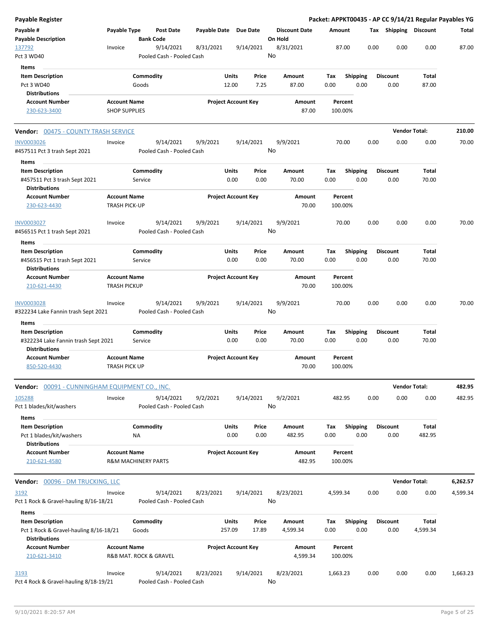| Payable Register                                                                          |                                               |                        |                                        |              |                            |                |                                 |             |                         |      | Packet: APPKT00435 - AP CC 9/14/21 Regular Payables YG |                      |          |
|-------------------------------------------------------------------------------------------|-----------------------------------------------|------------------------|----------------------------------------|--------------|----------------------------|----------------|---------------------------------|-------------|-------------------------|------|--------------------------------------------------------|----------------------|----------|
| Payable #<br><b>Payable Description</b>                                                   | Payable Type                                  | <b>Bank Code</b>       | Post Date                              | Payable Date | <b>Due Date</b>            |                | <b>Discount Date</b><br>On Hold | Amount      |                         |      | Tax Shipping Discount                                  |                      | Total    |
| 137792<br>Pct 3 WD40                                                                      | Invoice                                       |                        | 9/14/2021<br>Pooled Cash - Pooled Cash | 8/31/2021    | 9/14/2021                  |                | 8/31/2021<br>No                 |             | 87.00                   | 0.00 | 0.00                                                   | 0.00                 | 87.00    |
|                                                                                           |                                               |                        |                                        |              |                            |                |                                 |             |                         |      |                                                        |                      |          |
| Items<br><b>Item Description</b><br>Pct 3 WD40<br><b>Distributions</b>                    |                                               | Commodity<br>Goods     |                                        |              | Units<br>12.00             | Price<br>7.25  | Amount<br>87.00                 | Tax<br>0.00 | <b>Shipping</b><br>0.00 |      | <b>Discount</b><br>0.00                                | Total<br>87.00       |          |
| <b>Account Number</b><br>230-623-3400                                                     | <b>Account Name</b><br><b>SHOP SUPPLIES</b>   |                        |                                        |              | <b>Project Account Key</b> |                | Amount<br>87.00                 |             | Percent<br>100.00%      |      |                                                        |                      |          |
| <b>Vendor: 00475 - COUNTY TRASH SERVICE</b>                                               |                                               |                        |                                        |              |                            |                |                                 |             |                         |      |                                                        | <b>Vendor Total:</b> | 210.00   |
| <b>INV0003026</b>                                                                         | Invoice                                       |                        | 9/14/2021                              | 9/9/2021     | 9/14/2021                  |                | 9/9/2021                        |             | 70.00                   | 0.00 | 0.00                                                   | 0.00                 | 70.00    |
| #457511 Pct 3 trash Sept 2021<br>Items                                                    |                                               |                        | Pooled Cash - Pooled Cash              |              |                            |                | No                              |             |                         |      |                                                        |                      |          |
| <b>Item Description</b>                                                                   |                                               | Commodity              |                                        |              | Units                      | Price          | Amount                          | Tax         | <b>Shipping</b>         |      | Discount                                               | Total                |          |
| #457511 Pct 3 trash Sept 2021<br><b>Distributions</b>                                     |                                               | Service                |                                        |              | 0.00                       | 0.00           | 70.00                           | 0.00        | 0.00                    |      | 0.00                                                   | 70.00                |          |
| <b>Account Number</b><br>230-623-4430                                                     | <b>Account Name</b><br><b>TRASH PICK-UP</b>   |                        |                                        |              | <b>Project Account Key</b> |                | Amount<br>70.00                 |             | Percent<br>100.00%      |      |                                                        |                      |          |
| INV0003027<br>#456515 Pct 1 trash Sept 2021                                               | Invoice                                       |                        | 9/14/2021<br>Pooled Cash - Pooled Cash | 9/9/2021     | 9/14/2021                  |                | 9/9/2021<br>No                  |             | 70.00                   | 0.00 | 0.00                                                   | 0.00                 | 70.00    |
| Items                                                                                     |                                               |                        |                                        |              |                            |                |                                 |             |                         |      |                                                        |                      |          |
| <b>Item Description</b><br>#456515 Pct 1 trash Sept 2021                                  |                                               | Commodity<br>Service   |                                        |              | Units<br>0.00              | Price<br>0.00  | Amount<br>70.00                 | Tax<br>0.00 | <b>Shipping</b><br>0.00 |      | <b>Discount</b><br>0.00                                | Total<br>70.00       |          |
| <b>Distributions</b><br><b>Account Number</b>                                             | <b>Account Name</b>                           |                        |                                        |              | <b>Project Account Key</b> |                | Amount                          |             | Percent                 |      |                                                        |                      |          |
| 210-621-4430                                                                              | <b>TRASH PICKUP</b>                           |                        |                                        |              |                            |                | 70.00                           |             | 100.00%                 |      |                                                        |                      |          |
| <b>INV0003028</b><br>#322234 Lake Fannin trash Sept 2021                                  | Invoice                                       |                        | 9/14/2021<br>Pooled Cash - Pooled Cash | 9/9/2021     | 9/14/2021                  |                | 9/9/2021<br>No                  |             | 70.00                   | 0.00 | 0.00                                                   | 0.00                 | 70.00    |
| Items                                                                                     |                                               |                        |                                        |              |                            |                |                                 |             |                         |      |                                                        |                      |          |
| <b>Item Description</b><br>#322234 Lake Fannin trash Sept 2021                            |                                               | Commodity<br>Service   |                                        |              | Units<br>0.00              | Price<br>0.00  | Amount<br>70.00                 | Tax<br>0.00 | Shipping<br>0.00        |      | Discount<br>0.00                                       | Total<br>70.00       |          |
| <b>Distributions</b>                                                                      |                                               |                        |                                        |              |                            |                |                                 |             |                         |      |                                                        |                      |          |
| <b>Account Number</b><br>850-520-4430                                                     | <b>Account Name</b><br><b>TRASH PICK UP</b>   |                        |                                        |              | <b>Project Account Key</b> |                | Amount<br>70.00                 |             | Percent<br>100.00%      |      |                                                        |                      |          |
| Vendor: 00091 - CUNNINGHAM EQUIPMENT CO., INC.                                            |                                               |                        |                                        |              |                            |                |                                 |             |                         |      |                                                        | <b>Vendor Total:</b> | 482.95   |
| 105288<br>Pct 1 blades/kit/washers                                                        | Invoice                                       |                        | 9/14/2021<br>Pooled Cash - Pooled Cash | 9/2/2021     | 9/14/2021                  |                | 9/2/2021<br>No                  |             | 482.95                  | 0.00 | 0.00                                                   | 0.00                 | 482.95   |
| Items                                                                                     |                                               |                        |                                        |              |                            |                |                                 |             |                         |      |                                                        |                      |          |
| <b>Item Description</b><br>Pct 1 blades/kit/washers<br><b>Distributions</b>               |                                               | Commodity<br><b>NA</b> |                                        |              | Units<br>0.00              | Price<br>0.00  | Amount<br>482.95                | Tax<br>0.00 | <b>Shipping</b><br>0.00 |      | <b>Discount</b><br>0.00                                | Total<br>482.95      |          |
| <b>Account Number</b><br>210-621-4580                                                     | <b>Account Name</b><br>R&M MACHINERY PARTS    |                        |                                        |              | <b>Project Account Key</b> |                | Amount<br>482.95                |             | Percent<br>100.00%      |      |                                                        |                      |          |
| Vendor: 00096 - DM TRUCKING, LLC                                                          |                                               |                        |                                        |              |                            |                |                                 |             |                         |      |                                                        | <b>Vendor Total:</b> | 6,262.57 |
| 3192<br>Pct 1 Rock & Gravel-hauling 8/16-18/21                                            | Invoice                                       |                        | 9/14/2021<br>Pooled Cash - Pooled Cash | 8/23/2021    | 9/14/2021                  |                | 8/23/2021<br>No                 | 4,599.34    |                         | 0.00 | 0.00                                                   | 0.00                 | 4,599.34 |
| Items                                                                                     |                                               |                        |                                        |              |                            |                |                                 |             |                         |      |                                                        |                      |          |
| <b>Item Description</b><br>Pct 1 Rock & Gravel-hauling 8/16-18/21<br><b>Distributions</b> |                                               | Commodity<br>Goods     |                                        |              | Units<br>257.09            | Price<br>17.89 | Amount<br>4,599.34              | Tax<br>0.00 | <b>Shipping</b><br>0.00 |      | Discount<br>0.00                                       | Total<br>4,599.34    |          |
| <b>Account Number</b><br>210-621-3410                                                     | <b>Account Name</b><br>R&B MAT. ROCK & GRAVEL |                        |                                        |              | <b>Project Account Key</b> |                | Amount<br>4,599.34              |             | Percent<br>100.00%      |      |                                                        |                      |          |
| 3193<br>Pct 4 Rock & Gravel-hauling 8/18-19/21                                            | Invoice                                       |                        | 9/14/2021<br>Pooled Cash - Pooled Cash | 8/23/2021    | 9/14/2021                  |                | 8/23/2021<br>No                 | 1,663.23    |                         | 0.00 | 0.00                                                   | 0.00                 | 1,663.23 |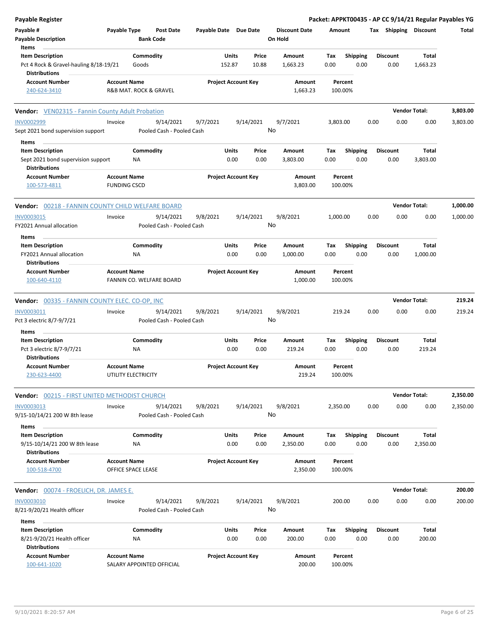| <b>Payable Register</b>                                                        |                                                  |                                        |                            |                 |                |                                 |             |                         |      |                         | Packet: APPKT00435 - AP CC 9/14/21 Regular Payables YG |          |
|--------------------------------------------------------------------------------|--------------------------------------------------|----------------------------------------|----------------------------|-----------------|----------------|---------------------------------|-------------|-------------------------|------|-------------------------|--------------------------------------------------------|----------|
| Payable #<br><b>Payable Description</b>                                        | Payable Type                                     | <b>Post Date</b><br><b>Bank Code</b>   | Payable Date Due Date      |                 |                | <b>Discount Date</b><br>On Hold | Amount      |                         |      | Tax Shipping Discount   |                                                        | Total    |
| Items<br><b>Item Description</b><br>Pct 4 Rock & Gravel-hauling 8/18-19/21     | Goods                                            | Commodity                              |                            | Units<br>152.87 | Price<br>10.88 | Amount<br>1,663.23              | Tax<br>0.00 | <b>Shipping</b><br>0.00 |      | <b>Discount</b><br>0.00 | Total<br>1,663.23                                      |          |
| <b>Distributions</b>                                                           |                                                  |                                        |                            |                 |                |                                 |             |                         |      |                         |                                                        |          |
| <b>Account Number</b><br>240-624-3410                                          | <b>Account Name</b><br>R&B MAT. ROCK & GRAVEL    |                                        | <b>Project Account Key</b> |                 |                | Amount<br>1,663.23              |             | Percent<br>100.00%      |      |                         |                                                        |          |
| <b>Vendor:</b> VEN02315 - Fannin County Adult Probation                        |                                                  |                                        |                            |                 |                |                                 |             |                         |      |                         | <b>Vendor Total:</b>                                   | 3,803.00 |
| <b>INV0002999</b><br>Sept 2021 bond supervision support                        | Invoice                                          | 9/14/2021<br>Pooled Cash - Pooled Cash | 9/7/2021                   |                 | 9/14/2021      | 9/7/2021<br>No                  | 3,803.00    |                         | 0.00 | 0.00                    | 0.00                                                   | 3,803.00 |
| Items                                                                          |                                                  |                                        |                            |                 |                |                                 |             |                         |      |                         |                                                        |          |
| <b>Item Description</b><br>Sept 2021 bond supervision support                  | <b>NA</b>                                        | Commodity                              |                            | Units<br>0.00   | Price<br>0.00  | Amount<br>3,803.00              | Тах<br>0.00 | <b>Shipping</b><br>0.00 |      | <b>Discount</b><br>0.00 | Total<br>3,803.00                                      |          |
| <b>Distributions</b>                                                           |                                                  |                                        |                            |                 |                |                                 |             |                         |      |                         |                                                        |          |
| <b>Account Number</b><br>100-573-4811                                          | <b>Account Name</b><br><b>FUNDING CSCD</b>       |                                        | <b>Project Account Key</b> |                 |                | Amount<br>3,803.00              |             | Percent<br>100.00%      |      |                         |                                                        |          |
| <b>Vendor: 00218 - FANNIN COUNTY CHILD WELFARE BOARD</b>                       |                                                  |                                        |                            |                 |                |                                 |             |                         |      |                         | <b>Vendor Total:</b>                                   | 1,000.00 |
| <b>INV0003015</b><br>FY2021 Annual allocation                                  | Invoice                                          | 9/14/2021<br>Pooled Cash - Pooled Cash | 9/8/2021                   |                 | 9/14/2021      | 9/8/2021<br>No                  | 1,000.00    |                         | 0.00 | 0.00                    | 0.00                                                   | 1,000.00 |
| Items                                                                          |                                                  |                                        |                            |                 |                |                                 |             |                         |      |                         |                                                        |          |
| <b>Item Description</b><br>FY2021 Annual allocation                            | ΝA                                               | Commodity                              |                            | Units<br>0.00   | Price<br>0.00  | Amount<br>1,000.00              | Tax<br>0.00 | <b>Shipping</b><br>0.00 |      | <b>Discount</b><br>0.00 | Total<br>1,000.00                                      |          |
| <b>Distributions</b><br><b>Account Number</b><br>100-640-4110                  | <b>Account Name</b>                              | FANNIN CO. WELFARE BOARD               | <b>Project Account Key</b> |                 |                | Amount<br>1,000.00              |             | Percent<br>100.00%      |      |                         |                                                        |          |
| <b>Vendor: 00335 - FANNIN COUNTY ELEC. CO-OP, INC</b>                          |                                                  |                                        |                            |                 |                |                                 |             |                         |      |                         | <b>Vendor Total:</b>                                   | 219.24   |
| INV0003011                                                                     | Invoice                                          | 9/14/2021                              | 9/8/2021                   |                 | 9/14/2021      | 9/8/2021                        | 219.24      |                         | 0.00 | 0.00                    | 0.00                                                   | 219.24   |
| Pct 3 electric 8/7-9/7/21                                                      |                                                  | Pooled Cash - Pooled Cash              |                            |                 |                | No                              |             |                         |      |                         |                                                        |          |
| Items                                                                          |                                                  |                                        |                            |                 |                |                                 |             |                         |      |                         |                                                        |          |
| <b>Item Description</b><br>Pct 3 electric 8/7-9/7/21<br><b>Distributions</b>   | NA                                               | Commodity                              |                            | Units<br>0.00   | Price<br>0.00  | Amount<br>219.24                | Тах<br>0.00 | <b>Shipping</b><br>0.00 |      | <b>Discount</b><br>0.00 | Total<br>219.24                                        |          |
| <b>Account Number</b><br>230-623-4400                                          | <b>Account Name</b><br>UTILITY ELECTRICITY       |                                        | <b>Project Account Key</b> |                 |                | Amount<br>219.24                | 100.00%     | Percent                 |      |                         |                                                        |          |
| Vendor: 00215 - FIRST UNITED METHODIST CHURCH                                  |                                                  |                                        |                            |                 |                |                                 |             |                         |      |                         | <b>Vendor Total:</b>                                   | 2,350.00 |
| INV0003013<br>9/15-10/14/21 200 W 8th lease                                    | Invoice                                          | 9/14/2021<br>Pooled Cash - Pooled Cash | 9/8/2021                   |                 | 9/14/2021      | 9/8/2021<br>No                  | 2,350.00    |                         | 0.00 | 0.00                    | 0.00                                                   | 2,350.00 |
| Items<br><b>Item Description</b><br>9/15-10/14/21 200 W 8th lease              | ΝA                                               | Commodity                              |                            | Units<br>0.00   | Price<br>0.00  | Amount<br>2,350.00              | Tax<br>0.00 | <b>Shipping</b><br>0.00 |      | <b>Discount</b><br>0.00 | Total<br>2,350.00                                      |          |
| <b>Distributions</b><br><b>Account Number</b>                                  | <b>Account Name</b>                              |                                        | <b>Project Account Key</b> |                 |                | Amount                          |             | Percent                 |      |                         |                                                        |          |
| 100-518-4700                                                                   | OFFICE SPACE LEASE                               |                                        |                            |                 |                | 2,350.00                        |             | 100.00%                 |      |                         |                                                        |          |
| Vendor: 00074 - FROELICH, DR. JAMES E.                                         |                                                  |                                        |                            |                 |                |                                 |             |                         |      |                         | <b>Vendor Total:</b>                                   | 200.00   |
| <b>INV0003010</b><br>8/21-9/20/21 Health officer                               | Invoice                                          | 9/14/2021<br>Pooled Cash - Pooled Cash | 9/8/2021                   |                 | 9/14/2021      | 9/8/2021<br>No                  | 200.00      |                         | 0.00 | 0.00                    | 0.00                                                   | 200.00   |
| Items                                                                          |                                                  |                                        |                            |                 |                |                                 |             |                         |      |                         |                                                        |          |
| <b>Item Description</b><br>8/21-9/20/21 Health officer<br><b>Distributions</b> | <b>NA</b>                                        | Commodity                              |                            | Units<br>0.00   | Price<br>0.00  | Amount<br>200.00                | Tax<br>0.00 | <b>Shipping</b><br>0.00 |      | <b>Discount</b><br>0.00 | Total<br>200.00                                        |          |
| <b>Account Number</b><br>100-641-1020                                          | <b>Account Name</b><br>SALARY APPOINTED OFFICIAL |                                        | <b>Project Account Key</b> |                 |                | Amount<br>200.00                |             | Percent<br>100.00%      |      |                         |                                                        |          |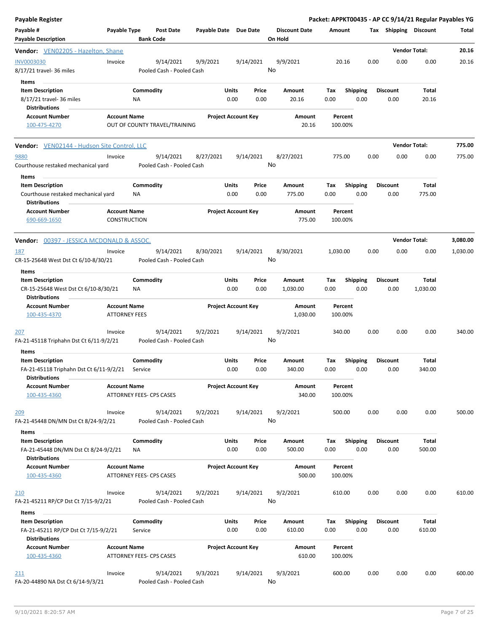| <b>Payable Register</b>                                                             |                                     |                                        |                       |                                |                                 | Packet: APPKT00435 - AP CC 9/14/21 Regular Payables YG |      |                         |                      |          |
|-------------------------------------------------------------------------------------|-------------------------------------|----------------------------------------|-----------------------|--------------------------------|---------------------------------|--------------------------------------------------------|------|-------------------------|----------------------|----------|
| Payable #<br><b>Payable Description</b>                                             | Payable Type                        | <b>Post Date</b><br><b>Bank Code</b>   | Payable Date Due Date |                                | <b>Discount Date</b><br>On Hold | Amount                                                 |      | Tax Shipping Discount   |                      | Total    |
| <b>Vendor:</b> VEN02205 - Hazelton, Shane                                           |                                     |                                        |                       |                                |                                 |                                                        |      |                         | <b>Vendor Total:</b> | 20.16    |
| <b>INV0003030</b><br>8/17/21 travel- 36 miles                                       | Invoice                             | 9/14/2021<br>Pooled Cash - Pooled Cash | 9/9/2021              | 9/14/2021                      | 9/9/2021<br>No                  | 20.16                                                  | 0.00 | 0.00                    | 0.00                 | 20.16    |
| <b>Items</b>                                                                        |                                     |                                        |                       |                                |                                 |                                                        |      |                         |                      |          |
| <b>Item Description</b><br>8/17/21 travel- 36 miles                                 |                                     | Commodity<br>ΝA                        |                       | Units<br>Price<br>0.00<br>0.00 | Amount<br>20.16                 | Tax<br><b>Shipping</b><br>0.00<br>0.00                 |      | <b>Discount</b><br>0.00 | Total<br>20.16       |          |
| <b>Distributions</b><br><b>Account Number</b>                                       | <b>Account Name</b>                 |                                        |                       | <b>Project Account Key</b>     | <b>Amount</b>                   | Percent                                                |      |                         |                      |          |
| 100-475-4270                                                                        |                                     | OUT OF COUNTY TRAVEL/TRAINING          |                       |                                | 20.16                           | 100.00%                                                |      |                         |                      |          |
| <b>Vendor:</b> VEN02144 - Hudson Site Control, LLC                                  |                                     |                                        |                       |                                |                                 |                                                        |      |                         | <b>Vendor Total:</b> | 775.00   |
| 9880                                                                                | Invoice                             | 9/14/2021                              | 8/27/2021             | 9/14/2021                      | 8/27/2021                       | 775.00                                                 | 0.00 | 0.00                    | 0.00                 | 775.00   |
| Courthouse restaked mechanical yard<br>Items                                        |                                     | Pooled Cash - Pooled Cash              |                       |                                | No                              |                                                        |      |                         |                      |          |
| <b>Item Description</b>                                                             |                                     | Commodity                              |                       | Units<br>Price                 | Amount                          | Tax<br><b>Shipping</b>                                 |      | <b>Discount</b>         | Total                |          |
| Courthouse restaked mechanical yard<br><b>Distributions</b>                         |                                     | NA                                     |                       | 0.00<br>0.00                   | 775.00                          | 0.00<br>0.00                                           |      | 0.00                    | 775.00               |          |
| <b>Account Number</b><br>690-669-1650                                               | <b>Account Name</b><br>CONSTRUCTION |                                        |                       | <b>Project Account Key</b>     | Amount<br>775.00                | Percent<br>100.00%                                     |      |                         |                      |          |
| <b>Vendor: 00397 - JESSICA MCDONALD &amp; ASSOC.</b>                                |                                     |                                        |                       |                                |                                 |                                                        |      |                         | <b>Vendor Total:</b> | 3,080.00 |
| 187                                                                                 | Invoice                             | 9/14/2021                              | 8/30/2021             | 9/14/2021                      | 8/30/2021                       | 1,030.00                                               | 0.00 | 0.00                    | 0.00                 | 1,030.00 |
| CR-15-25648 West Dst Ct 6/10-8/30/21                                                |                                     | Pooled Cash - Pooled Cash              |                       |                                | No                              |                                                        |      |                         |                      |          |
| Items                                                                               |                                     |                                        |                       |                                |                                 |                                                        |      |                         |                      |          |
| <b>Item Description</b>                                                             |                                     | Commodity                              |                       | Units<br>Price                 | Amount                          | <b>Shipping</b><br>Tax                                 |      | <b>Discount</b>         | Total                |          |
| CR-15-25648 West Dst Ct 6/10-8/30/21<br><b>Distributions</b>                        |                                     | ΝA                                     |                       | 0.00<br>0.00                   | 1,030.00                        | 0.00<br>0.00                                           |      | 0.00                    | 1,030.00             |          |
| <b>Account Number</b>                                                               | <b>Account Name</b>                 |                                        |                       | <b>Project Account Key</b>     | Amount                          | Percent                                                |      |                         |                      |          |
| 100-435-4370                                                                        | <b>ATTORNEY FEES</b>                |                                        |                       |                                | 1,030.00                        | 100.00%                                                |      |                         |                      |          |
| 207                                                                                 | Invoice                             | 9/14/2021                              | 9/2/2021              | 9/14/2021                      | 9/2/2021                        | 340.00                                                 | 0.00 | 0.00                    | 0.00                 | 340.00   |
| FA-21-45118 Triphahn Dst Ct 6/11-9/2/21                                             |                                     | Pooled Cash - Pooled Cash              |                       |                                | No                              |                                                        |      |                         |                      |          |
| Items                                                                               |                                     |                                        |                       |                                |                                 |                                                        |      |                         |                      |          |
| <b>Item Description</b><br>FA-21-45118 Triphahn Dst Ct 6/11-9/2/21<br>Distributions |                                     | Commodity<br>Service                   |                       | Units<br>Price<br>0.00<br>0.00 | Amount<br>340.00                | Tax<br><b>Shipping</b><br>0.00<br>0.00                 |      | <b>Discount</b><br>0.00 | Total<br>340.00      |          |
| <b>Account Number</b>                                                               | <b>Account Name</b>                 |                                        |                       | <b>Project Account Key</b>     | Amount                          | Percent                                                |      |                         |                      |          |
| 100-435-4360                                                                        |                                     | ATTORNEY FEES- CPS CASES               |                       |                                | 340.00                          | 100.00%                                                |      |                         |                      |          |
| 209<br>FA-21-45448 DN/MN Dst Ct 8/24-9/2/21                                         | Invoice                             | 9/14/2021<br>Pooled Cash - Pooled Cash | 9/2/2021              | 9/14/2021                      | 9/2/2021<br>No                  | 500.00                                                 | 0.00 | 0.00                    | 0.00                 | 500.00   |
| Items                                                                               |                                     |                                        |                       |                                |                                 |                                                        |      |                         |                      |          |
| <b>Item Description</b><br>FA-21-45448 DN/MN Dst Ct 8/24-9/2/21                     |                                     | Commodity<br>ΝA                        |                       | Units<br>Price<br>0.00<br>0.00 | Amount<br>500.00                | Shipping<br>Tax<br>0.00<br>0.00                        |      | <b>Discount</b><br>0.00 | Total<br>500.00      |          |
| <b>Distributions</b><br><b>Account Number</b>                                       | <b>Account Name</b>                 |                                        |                       | <b>Project Account Key</b>     | Amount                          | Percent                                                |      |                         |                      |          |
| 100-435-4360                                                                        |                                     | ATTORNEY FEES- CPS CASES               |                       |                                | 500.00                          | 100.00%                                                |      |                         |                      |          |
| 210<br>FA-21-45211 RP/CP Dst Ct 7/15-9/2/21                                         | Invoice                             | 9/14/2021<br>Pooled Cash - Pooled Cash | 9/2/2021              | 9/14/2021                      | 9/2/2021<br>No                  | 610.00                                                 | 0.00 | 0.00                    | 0.00                 | 610.00   |
| Items                                                                               |                                     |                                        |                       |                                |                                 |                                                        |      |                         |                      |          |
| <b>Item Description</b><br>FA-21-45211 RP/CP Dst Ct 7/15-9/2/21                     |                                     | Commodity<br>Service                   |                       | Units<br>Price<br>0.00<br>0.00 | Amount<br>610.00                | Tax<br><b>Shipping</b><br>0.00<br>0.00                 |      | <b>Discount</b><br>0.00 | Total<br>610.00      |          |
| <b>Distributions</b>                                                                |                                     |                                        |                       |                                |                                 |                                                        |      |                         |                      |          |
| <b>Account Number</b><br>100-435-4360                                               | <b>Account Name</b>                 | ATTORNEY FEES- CPS CASES               |                       | <b>Project Account Key</b>     | Amount<br>610.00                | Percent<br>100.00%                                     |      |                         |                      |          |
| 211<br>FA-20-44890 NA Dst Ct 6/14-9/3/21                                            | Invoice                             | 9/14/2021<br>Pooled Cash - Pooled Cash | 9/3/2021              | 9/14/2021                      | 9/3/2021<br>No                  | 600.00                                                 | 0.00 | 0.00                    | 0.00                 | 600.00   |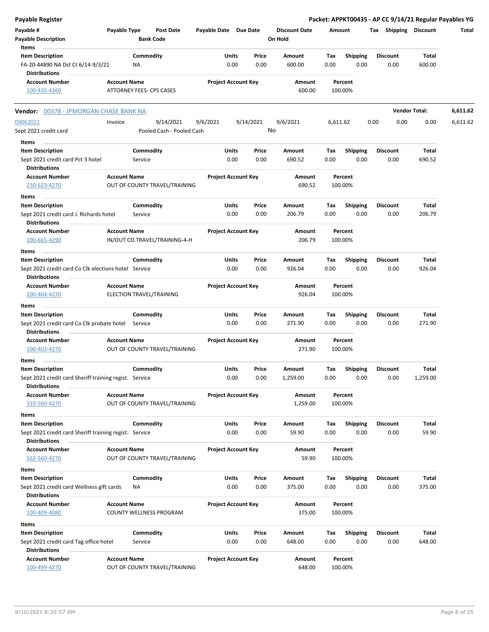| Payable Register                                                     |                     |                                 |                       |                            |               |                      |             |                         | Packet: APPKT00435 - AP CC 9/14/21 Regular Payables YG |                      |          |
|----------------------------------------------------------------------|---------------------|---------------------------------|-----------------------|----------------------------|---------------|----------------------|-------------|-------------------------|--------------------------------------------------------|----------------------|----------|
| Payable #                                                            | Payable Type        | <b>Post Date</b>                | Payable Date Due Date |                            |               | <b>Discount Date</b> | Amount      |                         | Tax Shipping Discount                                  |                      | Total    |
| <b>Payable Description</b>                                           |                     | <b>Bank Code</b>                |                       |                            |               | On Hold              |             |                         |                                                        |                      |          |
| Items                                                                |                     |                                 |                       |                            |               |                      |             |                         |                                                        |                      |          |
| <b>Item Description</b>                                              |                     | Commodity                       |                       | <b>Units</b>               | Price         | Amount               | Tax         | <b>Shipping</b>         | <b>Discount</b>                                        | <b>Total</b>         |          |
| FA-20-44890 NA Dst Ct 6/14-9/3/21                                    |                     | ΝA                              |                       | 0.00                       | 0.00          | 600.00               | 0.00        | 0.00                    | 0.00                                                   | 600.00               |          |
| <b>Distributions</b>                                                 |                     |                                 |                       |                            |               |                      |             |                         |                                                        |                      |          |
| <b>Account Number</b>                                                | <b>Account Name</b> |                                 |                       | <b>Project Account Key</b> |               | Amount               |             | Percent                 |                                                        |                      |          |
| 100-435-4360                                                         |                     | <b>ATTORNEY FEES- CPS CASES</b> |                       |                            |               | 600.00               |             | 100.00%                 |                                                        |                      |          |
| <b>Vendor:</b> 00378 - JPMORGAN CHASE BANK NA                        |                     |                                 |                       |                            |               |                      |             |                         |                                                        | <b>Vendor Total:</b> | 6,611.62 |
| 09062021                                                             | Invoice             | 9/14/2021                       | 9/6/2021              | 9/14/2021                  |               | 9/6/2021             | 6,611.62    |                         | 0.00<br>0.00                                           | 0.00                 | 6,611.62 |
| Sept 2021 credit card                                                |                     | Pooled Cash - Pooled Cash       |                       |                            |               | No                   |             |                         |                                                        |                      |          |
| Items                                                                |                     |                                 |                       |                            |               |                      |             |                         |                                                        |                      |          |
| <b>Item Description</b>                                              |                     | Commodity                       |                       | Units                      | Price         | Amount               | Tax         | <b>Shipping</b>         | <b>Discount</b>                                        | Total                |          |
| Sept 2021 credit card Pct 3 hotel                                    |                     | Service                         |                       | 0.00                       | 0.00          | 690.52               | 0.00        | 0.00                    | 0.00                                                   | 690.52               |          |
| <b>Distributions</b>                                                 |                     |                                 |                       |                            |               |                      |             |                         |                                                        |                      |          |
| <b>Account Number</b>                                                | <b>Account Name</b> |                                 |                       | <b>Project Account Key</b> |               | Amount               |             | Percent                 |                                                        |                      |          |
| 230-623-4270                                                         |                     | OUT OF COUNTY TRAVEL/TRAINING   |                       |                            |               | 690.52               |             | 100.00%                 |                                                        |                      |          |
| Items                                                                |                     |                                 |                       |                            |               |                      |             |                         |                                                        |                      |          |
| <b>Item Description</b>                                              |                     | Commodity                       |                       | Units                      | Price         | Amount               | Tax         | <b>Shipping</b>         | <b>Discount</b>                                        | Total                |          |
| Sept 2021 credit card J. Richards hotel                              |                     | Service                         |                       | 0.00                       | 0.00          | 206.79               | 0.00        | 0.00                    | 0.00                                                   | 206.79               |          |
| <b>Distributions</b>                                                 |                     |                                 |                       |                            |               |                      |             |                         |                                                        |                      |          |
| <b>Account Number</b>                                                | <b>Account Name</b> |                                 |                       | <b>Project Account Key</b> |               | Amount               |             | Percent                 |                                                        |                      |          |
| 100-665-4290                                                         |                     | IN/OUT CO.TRAVEL/TRAINING-4-H   |                       |                            |               | 206.79               |             | 100.00%                 |                                                        |                      |          |
| Items                                                                |                     |                                 |                       |                            |               |                      |             |                         |                                                        |                      |          |
| <b>Item Description</b>                                              |                     | Commodity                       |                       | Units                      | Price         | Amount               | Tax         | <b>Shipping</b>         | <b>Discount</b>                                        | Total                |          |
| Sept 2021 credit card Co Clk elections hotel Service                 |                     |                                 |                       | 0.00                       | 0.00          | 926.04               | 0.00        | 0.00                    | 0.00                                                   | 926.04               |          |
| <b>Distributions</b>                                                 |                     |                                 |                       |                            |               |                      |             |                         |                                                        |                      |          |
| <b>Account Number</b>                                                | <b>Account Name</b> |                                 |                       | <b>Project Account Key</b> |               | Amount               |             | Percent                 |                                                        |                      |          |
| 100-404-4270                                                         |                     | ELECTION TRAVEL/TRAINING        |                       |                            |               | 926.04               |             | 100.00%                 |                                                        |                      |          |
|                                                                      |                     |                                 |                       |                            |               |                      |             |                         |                                                        |                      |          |
| Items<br><b>Item Description</b>                                     |                     | Commodity                       |                       | Units                      | Price         | Amount               | Tax         | <b>Shipping</b>         | <b>Discount</b>                                        | Total                |          |
| Sept 2021 credit card Co Clk probate hotel Service                   |                     |                                 |                       | 0.00                       | 0.00          | 271.90               | 0.00        | 0.00                    | 0.00                                                   | 271.90               |          |
| <b>Distributions</b>                                                 |                     |                                 |                       |                            |               |                      |             |                         |                                                        |                      |          |
| <b>Account Number</b>                                                | <b>Account Name</b> |                                 |                       | <b>Project Account Key</b> |               | Amount               |             | Percent                 |                                                        |                      |          |
| 100-403-4270                                                         |                     | OUT OF COUNTY TRAVEL/TRAINING   |                       |                            |               | 271.90               |             | 100.00%                 |                                                        |                      |          |
|                                                                      |                     |                                 |                       |                            |               |                      |             |                         |                                                        |                      |          |
| Items<br><b>Item Description</b>                                     |                     | Commodity                       |                       | Units                      | Price         | Amount               | Tax         | <b>Shipping</b>         | <b>Discount</b>                                        | <b>Total</b>         |          |
| Sept 2021 credit card Sheriff training regist. Service               |                     |                                 |                       | 0.00                       | 0.00          | 1,259.00             | 0.00        | 0.00                    | 0.00                                                   | 1,259.00             |          |
| <b>Distributions</b>                                                 |                     |                                 |                       |                            |               |                      |             |                         |                                                        |                      |          |
| <b>Account Number</b>                                                | <b>Account Name</b> |                                 |                       | <b>Project Account Key</b> |               | Amount               |             | Percent                 |                                                        |                      |          |
| 310-560-4270                                                         |                     | OUT OF COUNTY TRAVEL/TRAINING   |                       |                            |               | 1,259.00             |             | 100.00%                 |                                                        |                      |          |
|                                                                      |                     |                                 |                       |                            |               |                      |             |                         |                                                        |                      |          |
| Items<br><b>Item Description</b>                                     |                     |                                 |                       | <b>Units</b>               | Price         |                      |             |                         | <b>Discount</b>                                        | Total                |          |
| Sept 2021 credit card Sheriff training regist. Service               |                     | Commodity                       |                       | 0.00                       | 0.00          | Amount<br>59.90      | Tax<br>0.00 | <b>Shipping</b><br>0.00 | 0.00                                                   | 59.90                |          |
| <b>Distributions</b>                                                 |                     |                                 |                       |                            |               |                      |             |                         |                                                        |                      |          |
| <b>Account Number</b>                                                | <b>Account Name</b> |                                 |                       | <b>Project Account Key</b> |               | Amount               |             | Percent                 |                                                        |                      |          |
| 562-560-4270                                                         |                     | OUT OF COUNTY TRAVEL/TRAINING   |                       |                            |               | 59.90                |             | 100.00%                 |                                                        |                      |          |
|                                                                      |                     |                                 |                       |                            |               |                      |             |                         |                                                        |                      |          |
| Items                                                                |                     |                                 |                       |                            |               |                      |             |                         |                                                        |                      |          |
| <b>Item Description</b><br>Sept 2021 credit card Wellness gift cards |                     | Commodity<br>ΝA                 |                       | <b>Units</b><br>0.00       | Price<br>0.00 | Amount<br>375.00     | Tax<br>0.00 | <b>Shipping</b><br>0.00 | <b>Discount</b><br>0.00                                | Total<br>375.00      |          |
| <b>Distributions</b>                                                 |                     |                                 |                       |                            |               |                      |             |                         |                                                        |                      |          |
| <b>Account Number</b>                                                | <b>Account Name</b> |                                 |                       | <b>Project Account Key</b> |               | Amount               |             | Percent                 |                                                        |                      |          |
| 100-409-4080                                                         |                     | COUNTY WELLNESS PROGRAM         |                       |                            |               | 375.00               |             | 100.00%                 |                                                        |                      |          |
|                                                                      |                     |                                 |                       |                            |               |                      |             |                         |                                                        |                      |          |
| Items                                                                |                     |                                 |                       |                            |               |                      |             |                         |                                                        |                      |          |
| <b>Item Description</b>                                              |                     | Commodity                       |                       | <b>Units</b>               | Price         | Amount               | Tax         | <b>Shipping</b>         | <b>Discount</b>                                        | <b>Total</b>         |          |
| Sept 2021 credit card Tag office hotel<br><b>Distributions</b>       |                     | Service                         |                       | 0.00                       | 0.00          | 648.00               | 0.00        | 0.00                    | 0.00                                                   | 648.00               |          |
| <b>Account Number</b>                                                | <b>Account Name</b> |                                 |                       | <b>Project Account Key</b> |               | Amount               |             | Percent                 |                                                        |                      |          |
| 100-499-4270                                                         |                     | OUT OF COUNTY TRAVEL/TRAINING   |                       |                            |               | 648.00               |             | 100.00%                 |                                                        |                      |          |
|                                                                      |                     |                                 |                       |                            |               |                      |             |                         |                                                        |                      |          |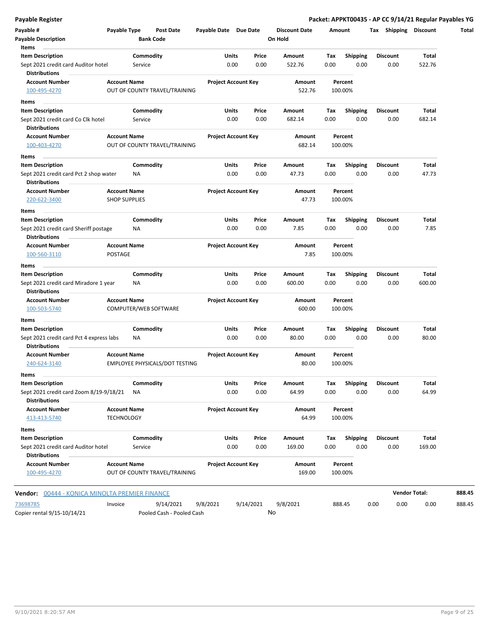|  |  | Payable Register |
|--|--|------------------|
|  |  |                  |

| Payable #<br><b>Payable Description</b>                          | Payable Type         |                      | <b>Post Date</b><br><b>Bank Code</b>  | Payable Date Due Date      |      |               | <b>Discount Date</b><br>On Hold |             | Amount                  |      |                         | Tax Shipping Discount | Total  |
|------------------------------------------------------------------|----------------------|----------------------|---------------------------------------|----------------------------|------|---------------|---------------------------------|-------------|-------------------------|------|-------------------------|-----------------------|--------|
| Items                                                            |                      |                      |                                       |                            |      |               |                                 |             |                         |      |                         |                       |        |
| <b>Item Description</b><br>Sept 2021 credit card Auditor hotel   |                      | Commodity<br>Service |                                       | Units                      | 0.00 | Price<br>0.00 | Amount<br>522.76                | Tax<br>0.00 | Shipping<br>0.00        |      | <b>Discount</b><br>0.00 | Total<br>522.76       |        |
| <b>Distributions</b>                                             |                      |                      |                                       |                            |      |               |                                 |             |                         |      |                         |                       |        |
| <b>Account Number</b><br>100-495-4270                            | <b>Account Name</b>  |                      | OUT OF COUNTY TRAVEL/TRAINING         | <b>Project Account Key</b> |      |               | Amount<br>522.76                |             | Percent<br>100.00%      |      |                         |                       |        |
| Items                                                            |                      |                      |                                       |                            |      |               |                                 |             |                         |      |                         |                       |        |
| <b>Item Description</b>                                          |                      | Commodity            |                                       | Units                      |      | Price         | Amount                          | Tax         | <b>Shipping</b>         |      | <b>Discount</b>         | Total                 |        |
| Sept 2021 credit card Co Clk hotel<br><b>Distributions</b>       |                      | Service              |                                       |                            | 0.00 | 0.00          | 682.14                          | 0.00        | 0.00                    |      | 0.00                    | 682.14                |        |
| <b>Account Number</b>                                            | <b>Account Name</b>  |                      |                                       | <b>Project Account Key</b> |      |               | Amount                          |             | Percent                 |      |                         |                       |        |
| 100-403-4270                                                     |                      |                      | OUT OF COUNTY TRAVEL/TRAINING         |                            |      |               | 682.14                          |             | 100.00%                 |      |                         |                       |        |
| Items                                                            |                      |                      |                                       |                            |      |               |                                 |             |                         |      |                         |                       |        |
| <b>Item Description</b>                                          |                      | Commodity            |                                       | Units                      |      | Price         | Amount                          | Tax         | <b>Shipping</b>         |      | <b>Discount</b>         | Total                 |        |
| Sept 2021 credit card Pct 2 shop water<br><b>Distributions</b>   |                      | NA                   |                                       |                            | 0.00 | 0.00          | 47.73                           | 0.00        | 0.00                    |      | 0.00                    | 47.73                 |        |
| <b>Account Number</b>                                            | <b>Account Name</b>  |                      |                                       | <b>Project Account Key</b> |      |               | Amount                          |             | Percent                 |      |                         |                       |        |
| 220-622-3400                                                     | <b>SHOP SUPPLIES</b> |                      |                                       |                            |      |               | 47.73                           |             | 100.00%                 |      |                         |                       |        |
|                                                                  |                      |                      |                                       |                            |      |               |                                 |             |                         |      |                         |                       |        |
| Items                                                            |                      |                      |                                       |                            |      |               |                                 |             |                         |      | <b>Discount</b>         |                       |        |
| <b>Item Description</b><br>Sept 2021 credit card Sheriff postage |                      | Commodity<br>NA      |                                       | <b>Units</b>               | 0.00 | Price<br>0.00 | Amount<br>7.85                  | Tax<br>0.00 | <b>Shipping</b><br>0.00 |      | 0.00                    | Total<br>7.85         |        |
| <b>Distributions</b>                                             |                      |                      |                                       |                            |      |               |                                 |             |                         |      |                         |                       |        |
| <b>Account Number</b>                                            | <b>Account Name</b>  |                      |                                       | <b>Project Account Key</b> |      |               | Amount                          |             | Percent                 |      |                         |                       |        |
| 100-560-3110                                                     | POSTAGE              |                      |                                       |                            |      |               | 7.85                            |             | 100.00%                 |      |                         |                       |        |
| <b>Items</b>                                                     |                      |                      |                                       |                            |      |               |                                 |             |                         |      |                         |                       |        |
| <b>Item Description</b>                                          |                      | Commodity            |                                       | Units                      |      | Price         | Amount                          | Tax         | <b>Shipping</b>         |      | <b>Discount</b>         | <b>Total</b>          |        |
| Sept 2021 credit card Miradore 1 year<br><b>Distributions</b>    |                      | ΝA                   |                                       |                            | 0.00 | 0.00          | 600.00                          | 0.00        | 0.00                    |      | 0.00                    | 600.00                |        |
| <b>Account Number</b><br>100-503-5740                            | <b>Account Name</b>  |                      | COMPUTER/WEB SOFTWARE                 | <b>Project Account Key</b> |      |               | Amount<br>600.00                |             | Percent<br>100.00%      |      |                         |                       |        |
| Items                                                            |                      |                      |                                       |                            |      |               |                                 |             |                         |      |                         |                       |        |
| <b>Item Description</b>                                          |                      | Commodity            |                                       | Units                      |      | Price         | Amount                          | Tax         | <b>Shipping</b>         |      | <b>Discount</b>         | Total                 |        |
| Sept 2021 credit card Pct 4 express labs<br><b>Distributions</b> |                      | NA                   |                                       |                            | 0.00 | 0.00          | 80.00                           | 0.00        | 0.00                    |      | 0.00                    | 80.00                 |        |
| <b>Account Number</b><br>240-624-3140                            | <b>Account Name</b>  |                      | <b>EMPLOYEE PHYSICALS/DOT TESTING</b> | <b>Project Account Key</b> |      |               | Amount<br>80.00                 |             | Percent<br>100.00%      |      |                         |                       |        |
| Items                                                            |                      |                      |                                       |                            |      |               |                                 |             |                         |      |                         |                       |        |
| <b>Item Description</b>                                          |                      | Commodity            |                                       | Units                      |      | Price         | Amount                          | Tax         | <b>Shipping</b>         |      | Discount                | Total                 |        |
| Sept 2021 credit card Zoom 8/19-9/18/21                          |                      | NA                   |                                       |                            | 0.00 | 0.00          | 64.99                           | 0.00        | 0.00                    |      | 0.00                    | 64.99                 |        |
| <b>Distributions</b>                                             |                      |                      |                                       |                            |      |               |                                 |             |                         |      |                         |                       |        |
| <b>Account Number</b>                                            | <b>Account Name</b>  |                      |                                       | <b>Project Account Key</b> |      |               | Amount                          |             | Percent                 |      |                         |                       |        |
| 413-413-5740                                                     | <b>TECHNOLOGY</b>    |                      |                                       |                            |      |               | 64.99                           |             | 100.00%                 |      |                         |                       |        |
| Items                                                            |                      |                      |                                       |                            |      |               |                                 |             |                         |      |                         |                       |        |
| <b>Item Description</b>                                          |                      | Commodity            |                                       | Units                      |      | Price         | Amount                          | Тах         | <b>Shipping</b>         |      | Discount                | Total                 |        |
| Sept 2021 credit card Auditor hotel<br><b>Distributions</b>      |                      | Service              |                                       |                            | 0.00 | 0.00          | 169.00                          | 0.00        | 0.00                    |      | 0.00                    | 169.00                |        |
| <b>Account Number</b>                                            | <b>Account Name</b>  |                      |                                       | <b>Project Account Key</b> |      |               | Amount                          |             | Percent                 |      |                         |                       |        |
| 100-495-4270                                                     |                      |                      | OUT OF COUNTY TRAVEL/TRAINING         |                            |      |               | 169.00                          |             | 100.00%                 |      |                         |                       |        |
| Vendor: 00444 - KONICA MINOLTA PREMIER FINANCE                   |                      |                      |                                       |                            |      |               |                                 |             |                         |      |                         | <b>Vendor Total:</b>  | 888.45 |
| 73698785                                                         | Invoice              |                      | 9/14/2021                             | 9/8/2021                   |      | 9/14/2021     | 9/8/2021                        |             | 888.45                  | 0.00 | 0.00                    | 0.00                  | 888.45 |
| Copier rental 9/15-10/14/21                                      |                      |                      | Pooled Cash - Pooled Cash             |                            |      |               | No                              |             |                         |      |                         |                       |        |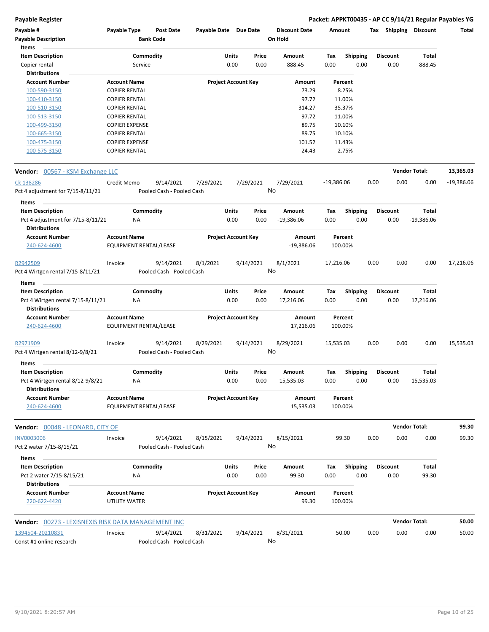| Payable #                                                  | Payable Type           | <b>Post Date</b>          | Payable Date Due Date      |                            |                 | <b>Discount Date</b> | Amount       |                 | Tax  | Shipping        | <b>Discount</b>      | Total        |
|------------------------------------------------------------|------------------------|---------------------------|----------------------------|----------------------------|-----------------|----------------------|--------------|-----------------|------|-----------------|----------------------|--------------|
| <b>Payable Description</b>                                 |                        | <b>Bank Code</b>          |                            |                            |                 | On Hold              |              |                 |      |                 |                      |              |
| Items                                                      |                        |                           |                            |                            |                 |                      |              |                 |      |                 |                      |              |
| <b>Item Description</b>                                    | Commodity              |                           |                            | Units                      | Price           | Amount               | Tax          | <b>Shipping</b> |      | <b>Discount</b> | Total                |              |
| Copier rental                                              | Service                |                           |                            | 0.00                       | 0.00            | 888.45               | 0.00         | 0.00            |      | 0.00            | 888.45               |              |
| <b>Distributions</b>                                       |                        |                           |                            |                            |                 |                      |              |                 |      |                 |                      |              |
| <b>Account Number</b>                                      | <b>Account Name</b>    |                           | <b>Project Account Key</b> |                            |                 | Amount               | Percent      |                 |      |                 |                      |              |
| 100-590-3150                                               | <b>COPIER RENTAL</b>   |                           |                            |                            |                 | 73.29                |              | 8.25%           |      |                 |                      |              |
| 100-410-3150                                               | <b>COPIER RENTAL</b>   |                           |                            |                            |                 | 97.72                |              | 11.00%          |      |                 |                      |              |
| 100-510-3150                                               | <b>COPIER RENTAL</b>   |                           |                            |                            |                 | 314.27               |              | 35.37%          |      |                 |                      |              |
| 100-513-3150                                               | <b>COPIER RENTAL</b>   |                           |                            |                            |                 | 97.72                |              | 11.00%          |      |                 |                      |              |
| 100-499-3150                                               | <b>COPIER EXPENSE</b>  |                           |                            |                            |                 | 89.75                |              | 10.10%          |      |                 |                      |              |
| 100-665-3150                                               | <b>COPIER RENTAL</b>   |                           |                            |                            |                 | 89.75                |              | 10.10%          |      |                 |                      |              |
| 100-475-3150                                               | <b>COPIER EXPENSE</b>  |                           |                            |                            |                 | 101.52               |              | 11.43%          |      |                 |                      |              |
| 100-575-3150                                               | <b>COPIER RENTAL</b>   |                           |                            |                            |                 | 24.43                |              | 2.75%           |      |                 |                      |              |
| Vendor: 00567 - KSM Exchange LLC                           |                        |                           |                            |                            |                 |                      |              |                 |      |                 | <b>Vendor Total:</b> | 13,365.03    |
| Ck 138286                                                  | Credit Memo            | 9/14/2021                 | 7/29/2021                  |                            | 7/29/2021       | 7/29/2021            | $-19,386.06$ |                 | 0.00 | 0.00            | 0.00                 | $-19,386.06$ |
| Pct 4 adjustment for 7/15-8/11/21                          |                        | Pooled Cash - Pooled Cash |                            |                            | No              |                      |              |                 |      |                 |                      |              |
|                                                            |                        |                           |                            |                            |                 |                      |              |                 |      |                 |                      |              |
| Items                                                      |                        |                           |                            |                            |                 |                      |              |                 |      |                 |                      |              |
| <b>Item Description</b>                                    | Commodity              |                           |                            | <b>Units</b>               | Price           | Amount               | Tax          | <b>Shipping</b> |      | <b>Discount</b> | <b>Total</b>         |              |
| Pct 4 adjustment for 7/15-8/11/21                          | ΝA                     |                           |                            | 0.00                       | 0.00            | $-19,386.06$         | 0.00         | 0.00            |      | 0.00            | $-19,386.06$         |              |
| <b>Distributions</b>                                       |                        |                           |                            |                            |                 |                      |              |                 |      |                 |                      |              |
| <b>Account Number</b>                                      | <b>Account Name</b>    |                           | <b>Project Account Key</b> |                            |                 | Amount               | Percent      |                 |      |                 |                      |              |
| 240-624-4600                                               | EQUIPMENT RENTAL/LEASE |                           |                            |                            |                 | $-19,386.06$         | 100.00%      |                 |      |                 |                      |              |
| R2942509                                                   | Invoice                | 9/14/2021                 | 8/1/2021                   |                            | 9/14/2021       | 8/1/2021             | 17,216.06    |                 | 0.00 | 0.00            | 0.00                 | 17,216.06    |
| Pct 4 Wirtgen rental 7/15-8/11/21                          |                        | Pooled Cash - Pooled Cash |                            |                            |                 | No                   |              |                 |      |                 |                      |              |
| Items                                                      |                        |                           |                            |                            |                 |                      |              |                 |      |                 |                      |              |
| <b>Item Description</b>                                    | Commodity              |                           |                            | Units                      | Price           | Amount               | Тах          | <b>Shipping</b> |      | <b>Discount</b> | Total                |              |
| Pct 4 Wirtgen rental 7/15-8/11/21                          | ΝA                     |                           |                            | 0.00                       | 0.00            | 17,216.06            | 0.00         | 0.00            |      | 0.00            | 17,216.06            |              |
| <b>Distributions</b>                                       |                        |                           |                            |                            |                 |                      |              |                 |      |                 |                      |              |
| <b>Account Number</b>                                      | <b>Account Name</b>    |                           | <b>Project Account Key</b> |                            |                 | Amount               | Percent      |                 |      |                 |                      |              |
| 240-624-4600                                               | EQUIPMENT RENTAL/LEASE |                           |                            |                            |                 | 17,216.06            | 100.00%      |                 |      |                 |                      |              |
| R2971909                                                   | Invoice                | 9/14/2021                 | 8/29/2021                  |                            | 9/14/2021       | 8/29/2021            | 15,535.03    |                 | 0.00 | 0.00            | 0.00                 | 15,535.03    |
| Pct 4 Wirtgen rental 8/12-9/8/21                           |                        | Pooled Cash - Pooled Cash |                            |                            | No              |                      |              |                 |      |                 |                      |              |
|                                                            |                        |                           |                            |                            |                 |                      |              |                 |      |                 |                      |              |
| Items<br><b>Item Description</b>                           | Commodity              |                           |                            | Units                      | Price           | Amount               | Tax          | <b>Shipping</b> |      | <b>Discount</b> | Total                |              |
| Pct 4 Wirtgen rental 8/12-9/8/21<br><b>Distributions</b>   | ΝA                     |                           |                            | 0.00                       | 0.00            | 15,535.03            | 0.00         | 0.00            |      | 0.00            | 15,535.03            |              |
| <b>Account Number</b>                                      | <b>Account Name</b>    |                           |                            | <b>Project Account Key</b> |                 | Amount               | Percent      |                 |      |                 |                      |              |
| 240-624-4600                                               | EQUIPMENT RENTAL/LEASE |                           |                            |                            |                 | 15,535.03            | 100.00%      |                 |      |                 |                      |              |
| Vendor: 00048 - LEONARD, CITY OF                           |                        |                           |                            |                            |                 |                      |              |                 |      |                 | <b>Vendor Total:</b> | 99.30        |
|                                                            |                        |                           |                            |                            |                 |                      |              |                 |      |                 |                      |              |
| <b>INV0003006</b>                                          | Invoice                | 9/14/2021                 | 8/15/2021                  |                            | 9/14/2021<br>No | 8/15/2021            |              | 99.30           | 0.00 | 0.00            | 0.00                 | 99.30        |
| Pct 2 water 7/15-8/15/21                                   |                        | Pooled Cash - Pooled Cash |                            |                            |                 |                      |              |                 |      |                 |                      |              |
| Items                                                      |                        |                           |                            |                            |                 |                      |              |                 |      |                 |                      |              |
| <b>Item Description</b>                                    | Commodity              |                           |                            | Units                      | Price           | Amount               | Tax          | Shipping        |      | <b>Discount</b> | Total                |              |
| Pct 2 water 7/15-8/15/21                                   | NA                     |                           |                            | 0.00                       | 0.00            | 99.30                | 0.00         | 0.00            |      | 0.00            | 99.30                |              |
| <b>Distributions</b>                                       |                        |                           |                            |                            |                 |                      |              |                 |      |                 |                      |              |
| <b>Account Number</b>                                      | <b>Account Name</b>    |                           | <b>Project Account Key</b> |                            |                 | Amount               | Percent      |                 |      |                 |                      |              |
| 220-622-4420                                               | UTILITY WATER          |                           |                            |                            |                 | 99.30                | 100.00%      |                 |      |                 |                      |              |
| <b>Vendor:</b> 00273 - LEXISNEXIS RISK DATA MANAGEMENT INC |                        |                           |                            |                            |                 |                      |              |                 |      |                 | <b>Vendor Total:</b> | 50.00        |
| 1394504-20210831                                           | Invoice                | 9/14/2021                 | 8/31/2021                  |                            | 9/14/2021       | 8/31/2021            | 50.00        |                 | 0.00 | 0.00            | 0.00                 | 50.00        |
| Const #1 online research                                   |                        | Pooled Cash - Pooled Cash |                            |                            | No              |                      |              |                 |      |                 |                      |              |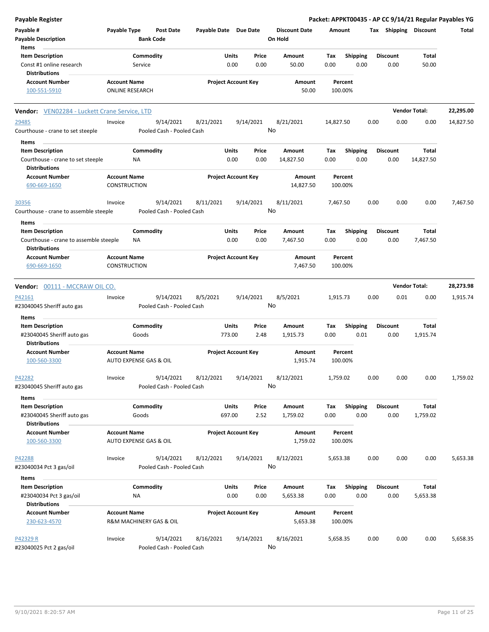| Payable Register                                               |                        |                         |                           |                       |                            |           |                                 |           |                 |      |                 |                       | Packet: APPKT00435 - AP CC 9/14/21 Regular Payables YG |
|----------------------------------------------------------------|------------------------|-------------------------|---------------------------|-----------------------|----------------------------|-----------|---------------------------------|-----------|-----------------|------|-----------------|-----------------------|--------------------------------------------------------|
| Payable #<br><b>Payable Description</b>                        | Payable Type           | <b>Bank Code</b>        | <b>Post Date</b>          | Payable Date Due Date |                            |           | <b>Discount Date</b><br>On Hold | Amount    |                 |      |                 | Tax Shipping Discount | Total                                                  |
| Items                                                          |                        |                         |                           |                       |                            |           |                                 |           |                 |      |                 |                       |                                                        |
| <b>Item Description</b>                                        |                        | Commodity               |                           |                       | Units                      | Price     | Amount                          | Tax       | <b>Shipping</b> |      | <b>Discount</b> | Total                 |                                                        |
| Const #1 online research<br><b>Distributions</b>               |                        | Service                 |                           |                       | 0.00                       | 0.00      | 50.00                           | 0.00      | 0.00            |      | 0.00            | 50.00                 |                                                        |
| <b>Account Number</b>                                          | <b>Account Name</b>    |                         |                           |                       | <b>Project Account Key</b> |           | Amount                          |           | Percent         |      |                 |                       |                                                        |
| 100-551-5910                                                   | <b>ONLINE RESEARCH</b> |                         |                           |                       |                            |           | 50.00                           |           | 100.00%         |      |                 |                       |                                                        |
| <b>Vendor:</b> VEN02284 - Luckett Crane Service, LTD           |                        |                         |                           |                       |                            |           |                                 |           |                 |      |                 | <b>Vendor Total:</b>  | 22,295.00                                              |
| 29485                                                          | Invoice                |                         | 9/14/2021                 | 8/21/2021             |                            | 9/14/2021 | 8/21/2021                       | 14,827.50 |                 | 0.00 | 0.00            | 0.00                  | 14,827.50                                              |
| Courthouse - crane to set steeple                              |                        |                         | Pooled Cash - Pooled Cash |                       |                            |           | No                              |           |                 |      |                 |                       |                                                        |
| Items                                                          |                        |                         |                           |                       |                            |           |                                 |           |                 |      |                 |                       |                                                        |
| <b>Item Description</b>                                        |                        | Commodity               |                           |                       | Units                      | Price     | Amount                          | Tax       | <b>Shipping</b> |      | <b>Discount</b> | Total                 |                                                        |
| Courthouse - crane to set steeple                              |                        | NA                      |                           |                       | 0.00                       | 0.00      | 14,827.50                       | 0.00      | 0.00            |      | 0.00            | 14,827.50             |                                                        |
| <b>Distributions</b>                                           |                        |                         |                           |                       |                            |           |                                 |           |                 |      |                 |                       |                                                        |
| <b>Account Number</b>                                          | <b>Account Name</b>    |                         |                           |                       | <b>Project Account Key</b> |           | Amount                          |           | Percent         |      |                 |                       |                                                        |
| 690-669-1650                                                   | CONSTRUCTION           |                         |                           |                       |                            |           | 14,827.50                       |           | 100.00%         |      |                 |                       |                                                        |
| 30356                                                          | Invoice                |                         | 9/14/2021                 | 8/11/2021             |                            | 9/14/2021 | 8/11/2021                       | 7,467.50  |                 | 0.00 | 0.00            | 0.00                  | 7,467.50                                               |
| Courthouse - crane to assemble steeple                         |                        |                         | Pooled Cash - Pooled Cash |                       |                            |           | No                              |           |                 |      |                 |                       |                                                        |
| Items                                                          |                        |                         |                           |                       |                            |           |                                 |           |                 |      |                 |                       |                                                        |
| <b>Item Description</b>                                        |                        | Commodity               |                           |                       | Units                      | Price     | Amount                          | Tax       | <b>Shipping</b> |      | <b>Discount</b> | Total                 |                                                        |
| Courthouse - crane to assemble steeple<br><b>Distributions</b> |                        | ΝA                      |                           |                       | 0.00                       | 0.00      | 7,467.50                        | 0.00      | 0.00            |      | 0.00            | 7,467.50              |                                                        |
| <b>Account Number</b>                                          | <b>Account Name</b>    |                         |                           |                       | <b>Project Account Key</b> |           | Amount                          |           | Percent         |      |                 |                       |                                                        |
| 690-669-1650                                                   | <b>CONSTRUCTION</b>    |                         |                           |                       |                            |           | 7,467.50                        |           | 100.00%         |      |                 |                       |                                                        |
| Vendor: 00111 - MCCRAW OIL CO.                                 |                        |                         |                           |                       |                            |           |                                 |           |                 |      |                 | <b>Vendor Total:</b>  | 28,273.98                                              |
| P42161                                                         | Invoice                |                         | 9/14/2021                 | 8/5/2021              |                            | 9/14/2021 | 8/5/2021                        | 1,915.73  |                 | 0.00 | 0.01            | 0.00                  | 1,915.74                                               |
| #23040045 Sheriff auto gas                                     |                        |                         | Pooled Cash - Pooled Cash |                       |                            |           | No                              |           |                 |      |                 |                       |                                                        |
| Items                                                          |                        |                         |                           |                       |                            |           |                                 |           |                 |      |                 |                       |                                                        |
| <b>Item Description</b>                                        |                        | Commodity               |                           |                       | Units                      | Price     | Amount                          | Tax       | Shipping        |      | <b>Discount</b> | Total                 |                                                        |
| #23040045 Sheriff auto gas<br><b>Distributions</b>             |                        | Goods                   |                           |                       | 773.00                     | 2.48      | 1,915.73                        | 0.00      | 0.01            |      | 0.00            | 1,915.74              |                                                        |
| <b>Account Number</b>                                          | <b>Account Name</b>    |                         |                           |                       | <b>Project Account Key</b> |           | Amount                          |           | Percent         |      |                 |                       |                                                        |
| 100-560-3300                                                   |                        | AUTO EXPENSE GAS & OIL  |                           |                       |                            |           | 1,915.74                        |           | 100.00%         |      |                 |                       |                                                        |
| P42282                                                         | Invoice                |                         | 9/14/2021                 | 8/12/2021             |                            | 9/14/2021 | 8/12/2021                       | 1,759.02  |                 | 0.00 | 0.00            | 0.00                  | 1,759.02                                               |
| #23040045 Sheriff auto gas                                     |                        |                         | Pooled Cash - Pooled Cash |                       |                            |           | No                              |           |                 |      |                 |                       |                                                        |
| Items                                                          |                        |                         |                           |                       |                            |           |                                 |           |                 |      |                 |                       |                                                        |
| <b>Item Description</b>                                        |                        | Commodity               |                           |                       | Units                      | Price     | Amount                          | Tax       | <b>Shipping</b> |      | <b>Discount</b> | Total                 |                                                        |
| #23040045 Sheriff auto gas                                     |                        | Goods                   |                           |                       | 697.00                     | 2.52      | 1,759.02                        | 0.00      | 0.00            |      | 0.00            | 1,759.02              |                                                        |
| <b>Distributions</b>                                           |                        |                         |                           |                       |                            |           |                                 |           |                 |      |                 |                       |                                                        |
| <b>Account Number</b>                                          | <b>Account Name</b>    |                         |                           |                       | <b>Project Account Key</b> |           | Amount                          |           | Percent         |      |                 |                       |                                                        |
| 100-560-3300                                                   |                        | AUTO EXPENSE GAS & OIL  |                           |                       |                            |           | 1,759.02                        |           | 100.00%         |      |                 |                       |                                                        |
| P42288                                                         | Invoice                |                         | 9/14/2021                 | 8/12/2021             |                            | 9/14/2021 | 8/12/2021                       | 5,653.38  |                 | 0.00 | 0.00            | 0.00                  | 5,653.38                                               |
| #23040034 Pct 3 gas/oil                                        |                        |                         | Pooled Cash - Pooled Cash |                       |                            |           | No                              |           |                 |      |                 |                       |                                                        |
| Items                                                          |                        |                         |                           |                       |                            |           |                                 |           |                 |      |                 |                       |                                                        |
| <b>Item Description</b>                                        |                        | Commodity               |                           |                       | Units                      | Price     | Amount                          | Tax       | <b>Shipping</b> |      | <b>Discount</b> | Total                 |                                                        |
| #23040034 Pct 3 gas/oil<br><b>Distributions</b>                |                        | NA                      |                           |                       | 0.00                       | 0.00      | 5,653.38                        | 0.00      | 0.00            |      | 0.00            | 5,653.38              |                                                        |
| <b>Account Number</b>                                          | <b>Account Name</b>    |                         |                           |                       | <b>Project Account Key</b> |           | Amount                          |           | Percent         |      |                 |                       |                                                        |
| 230-623-4570                                                   |                        | R&M MACHINERY GAS & OIL |                           |                       |                            |           | 5,653.38                        |           | 100.00%         |      |                 |                       |                                                        |
| P42329 R                                                       | Invoice                |                         | 9/14/2021                 | 8/16/2021             |                            | 9/14/2021 | 8/16/2021                       | 5,658.35  |                 | 0.00 | 0.00            | 0.00                  | 5,658.35                                               |
| #23040025 Pct 2 gas/oil                                        |                        |                         | Pooled Cash - Pooled Cash |                       |                            |           | No                              |           |                 |      |                 |                       |                                                        |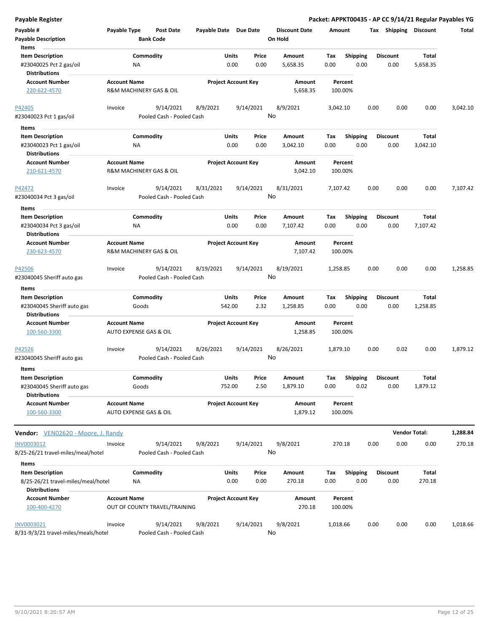|  | Payable Register |
|--|------------------|
|--|------------------|

| Payable #<br><b>Payable Description</b>                                             | Payable Type                                  | Post Date<br><b>Bank Code</b>          | Payable Date Due Date |                                  | <b>Discount Date</b><br>On Hold | Amount             |                         | Tax Shipping            | <b>Discount</b>      | Total    |
|-------------------------------------------------------------------------------------|-----------------------------------------------|----------------------------------------|-----------------------|----------------------------------|---------------------------------|--------------------|-------------------------|-------------------------|----------------------|----------|
| Items<br><b>Item Description</b><br>#23040025 Pct 2 gas/oil<br><b>Distributions</b> | ΝA                                            | Commodity                              |                       | Units<br>Price<br>0.00<br>0.00   | Amount<br>5,658.35              | Tax<br>0.00        | <b>Shipping</b><br>0.00 | <b>Discount</b><br>0.00 | Total<br>5,658.35    |          |
| <b>Account Number</b><br>220-622-4570                                               | <b>Account Name</b>                           | R&M MACHINERY GAS & OIL                |                       | <b>Project Account Key</b>       | Amount<br>5,658.35              | Percent<br>100.00% |                         |                         |                      |          |
| P42405<br>#23040023 Pct 1 gas/oil                                                   | Invoice                                       | 9/14/2021<br>Pooled Cash - Pooled Cash | 8/9/2021              | 9/14/2021                        | 8/9/2021<br>No                  | 3,042.10           |                         | 0.00<br>0.00            | 0.00                 | 3,042.10 |
| Items                                                                               |                                               |                                        |                       |                                  |                                 |                    |                         |                         |                      |          |
| <b>Item Description</b>                                                             |                                               | Commodity                              |                       | Units<br>Price                   | Amount                          | Tax                | <b>Shipping</b>         | <b>Discount</b>         | Total                |          |
| #23040023 Pct 1 gas/oil                                                             | ΝA                                            |                                        |                       | 0.00<br>0.00                     | 3,042.10                        | 0.00               | 0.00                    | 0.00                    | 3,042.10             |          |
| <b>Distributions</b>                                                                |                                               |                                        |                       |                                  |                                 |                    |                         |                         |                      |          |
| <b>Account Number</b><br>210-621-4570                                               | <b>Account Name</b>                           | R&M MACHINERY GAS & OIL                |                       | <b>Project Account Key</b>       | Amount<br>3,042.10              | Percent<br>100.00% |                         |                         |                      |          |
| P42472<br>#23040034 Pct 3 gas/oil                                                   | Invoice                                       | 9/14/2021<br>Pooled Cash - Pooled Cash | 8/31/2021             | 9/14/2021                        | 8/31/2021<br>No                 | 7,107.42           |                         | 0.00<br>0.00            | 0.00                 | 7,107.42 |
| Items                                                                               |                                               |                                        |                       |                                  |                                 |                    |                         |                         |                      |          |
| <b>Item Description</b><br>#23040034 Pct 3 gas/oil<br><b>Distributions</b>          | ΝA                                            | Commodity                              |                       | Units<br>Price<br>0.00<br>0.00   | Amount<br>7,107.42              | Tax<br>0.00        | <b>Shipping</b><br>0.00 | <b>Discount</b><br>0.00 | Total<br>7,107.42    |          |
| <b>Account Number</b><br>230-623-4570                                               | <b>Account Name</b>                           | <b>R&amp;M MACHINERY GAS &amp; OIL</b> |                       | <b>Project Account Key</b>       | Amount<br>7,107.42              | Percent<br>100.00% |                         |                         |                      |          |
| P42506<br>#23040045 Sheriff auto gas                                                | Invoice                                       | 9/14/2021<br>Pooled Cash - Pooled Cash | 8/19/2021             | 9/14/2021                        | 8/19/2021<br>No                 | 1,258.85           |                         | 0.00<br>0.00            | 0.00                 | 1,258.85 |
| Items                                                                               |                                               |                                        |                       |                                  |                                 |                    |                         |                         |                      |          |
| <b>Item Description</b><br>#23040045 Sheriff auto gas<br><b>Distributions</b>       |                                               | Commodity<br>Goods                     |                       | Units<br>Price<br>2.32<br>542.00 | Amount<br>1,258.85              | Tax<br>0.00        | Shipping<br>0.00        | Discount<br>0.00        | Total<br>1,258.85    |          |
| <b>Account Number</b><br>100-560-3300                                               | <b>Account Name</b><br>AUTO EXPENSE GAS & OIL |                                        |                       | <b>Project Account Key</b>       | Amount<br>1,258.85              | Percent<br>100.00% |                         |                         |                      |          |
| P42526<br>#23040045 Sheriff auto gas                                                | Invoice                                       | 9/14/2021<br>Pooled Cash - Pooled Cash | 8/26/2021             | 9/14/2021                        | 8/26/2021<br>No                 | 1,879.10           |                         | 0.00<br>0.02            | 0.00                 | 1,879.12 |
| <b>Items</b>                                                                        |                                               |                                        |                       |                                  |                                 |                    |                         |                         |                      |          |
| <b>Item Description</b><br>#23040045 Sheriff auto gas<br><b>Distributions</b>       | Goods                                         | Commodity                              |                       | Units<br>Price<br>752.00<br>2.50 | Amount<br>1,879.10              | Тах<br>0.00        | <b>Shipping</b><br>0.02 | <b>Discount</b><br>0.00 | Total<br>1,879.12    |          |
| <b>Account Number</b><br>100-560-3300                                               | <b>Account Name</b><br>AUTO EXPENSE GAS & OIL |                                        |                       | <b>Project Account Key</b>       | Amount<br>1,879.12              | Percent<br>100.00% |                         |                         |                      |          |
| Vendor: VEN02620 - Moore, J. Randy                                                  |                                               |                                        |                       |                                  |                                 |                    |                         |                         | <b>Vendor Total:</b> | 1,288.84 |
| INV0003012                                                                          | Invoice                                       | 9/14/2021                              | 9/8/2021              | 9/14/2021                        | 9/8/2021                        | 270.18             |                         | 0.00<br>0.00            | 0.00                 | 270.18   |
| 8/25-26/21 travel-miles/meal/hotel                                                  |                                               | Pooled Cash - Pooled Cash              |                       |                                  | No                              |                    |                         |                         |                      |          |
| Items                                                                               |                                               |                                        |                       |                                  |                                 |                    |                         |                         |                      |          |
| <b>Item Description</b>                                                             |                                               | Commodity                              |                       | Units<br>Price                   | Amount                          | Tax                | <b>Shipping</b>         | <b>Discount</b>         | Total                |          |
| 8/25-26/21 travel-miles/meal/hotel<br><b>Distributions</b>                          | ΝA                                            |                                        |                       | 0.00<br>0.00                     | 270.18                          | 0.00               | 0.00                    | 0.00                    | 270.18               |          |
| <b>Account Number</b><br>100-400-4270                                               | <b>Account Name</b>                           | OUT OF COUNTY TRAVEL/TRAINING          |                       | <b>Project Account Key</b>       | Amount<br>270.18                | Percent<br>100.00% |                         |                         |                      |          |
| INV0003021                                                                          | Invoice                                       | 9/14/2021                              | 9/8/2021              | 9/14/2021                        | 9/8/2021                        | 1,018.66           |                         | 0.00<br>0.00            | 0.00                 | 1,018.66 |
| 8/31-9/3/21 travel-miles/meals/hotel                                                |                                               | Pooled Cash - Pooled Cash              |                       |                                  | No                              |                    |                         |                         |                      |          |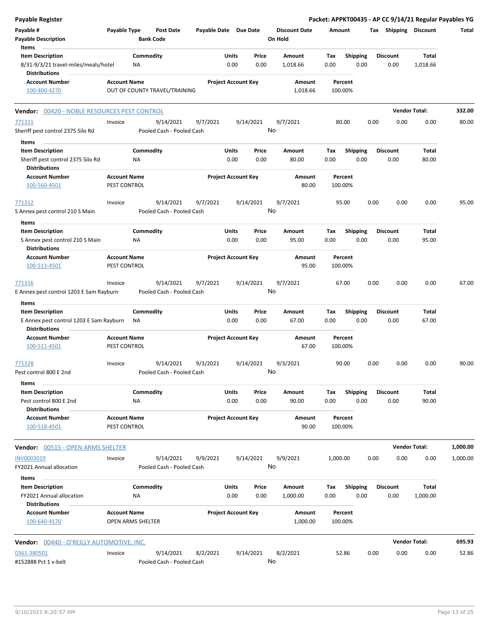| Payable Register                                                |                                     |                   |                                        |                       |                            |           |                                 |                    |                 |      |                       | Packet: APPKT00435 - AP CC 9/14/21 Regular Payables YG |              |
|-----------------------------------------------------------------|-------------------------------------|-------------------|----------------------------------------|-----------------------|----------------------------|-----------|---------------------------------|--------------------|-----------------|------|-----------------------|--------------------------------------------------------|--------------|
| Payable #<br><b>Payable Description</b>                         | Payable Type                        | <b>Bank Code</b>  | Post Date                              | Payable Date Due Date |                            |           | <b>Discount Date</b><br>On Hold | Amount             |                 |      | Tax Shipping Discount |                                                        | <b>Total</b> |
| Items<br><b>Item Description</b>                                |                                     | Commodity         |                                        |                       | Units                      | Price     | Amount                          | Tax                | <b>Shipping</b> |      | <b>Discount</b>       | Total                                                  |              |
| 8/31-9/3/21 travel-miles/meals/hotel<br><b>Distributions</b>    |                                     | NA                |                                        |                       | 0.00                       | 0.00      | 1,018.66                        | 0.00               | 0.00            |      | 0.00                  | 1,018.66                                               |              |
| <b>Account Number</b><br>100-400-4270                           | <b>Account Name</b>                 |                   | OUT OF COUNTY TRAVEL/TRAINING          |                       | <b>Project Account Key</b> |           | Amount<br>1,018.66              | Percent<br>100.00% |                 |      |                       |                                                        |              |
| 00420 - NOBLE RESOURCES PEST CONTROL<br>Vendor:                 |                                     |                   |                                        |                       |                            |           |                                 |                    |                 |      | <b>Vendor Total:</b>  |                                                        | 332.00       |
| 771311                                                          | Invoice                             |                   | 9/14/2021                              | 9/7/2021              |                            | 9/14/2021 | 9/7/2021                        | 80.00              |                 | 0.00 | 0.00                  | 0.00                                                   | 80.00        |
| Sheriff pest control 2375 Silo Rd                               |                                     |                   | Pooled Cash - Pooled Cash              |                       |                            | No        |                                 |                    |                 |      |                       |                                                        |              |
| Items                                                           |                                     |                   |                                        |                       |                            |           |                                 |                    |                 |      |                       |                                                        |              |
| <b>Item Description</b>                                         |                                     | Commodity         |                                        |                       | Units                      | Price     | Amount                          | Tax                | <b>Shipping</b> |      | <b>Discount</b>       | Total                                                  |              |
| Sheriff pest control 2375 Silo Rd                               |                                     | ΝA                |                                        |                       | 0.00                       | 0.00      | 80.00                           | 0.00               | 0.00            |      | 0.00                  | 80.00                                                  |              |
| <b>Distributions</b><br><b>Account Number</b><br>100-560-4501   | <b>Account Name</b><br>PEST CONTROL |                   |                                        |                       | <b>Project Account Key</b> |           | Amount<br>80.00                 | Percent<br>100.00% |                 |      |                       |                                                        |              |
| 771312                                                          | Invoice                             |                   | 9/14/2021                              | 9/7/2021              |                            | 9/14/2021 | 9/7/2021                        | 95.00              |                 | 0.00 | 0.00                  | 0.00                                                   | 95.00        |
| S Annex pest control 210 S Main                                 |                                     |                   | Pooled Cash - Pooled Cash              |                       |                            |           | No                              |                    |                 |      |                       |                                                        |              |
| Items                                                           |                                     |                   |                                        |                       |                            |           |                                 |                    |                 |      |                       |                                                        |              |
| <b>Item Description</b>                                         |                                     | Commodity         |                                        |                       | Units                      | Price     | Amount                          | Tax                | Shipping        |      | <b>Discount</b>       | Total                                                  |              |
| S Annex pest control 210 S Main                                 |                                     | <b>NA</b>         |                                        |                       | 0.00                       | 0.00      | 95.00                           | 0.00               | 0.00            |      | 0.00                  | 95.00                                                  |              |
| <b>Distributions</b>                                            |                                     |                   |                                        |                       |                            |           |                                 |                    |                 |      |                       |                                                        |              |
| <b>Account Number</b><br>100-513-4501                           | <b>Account Name</b><br>PEST CONTROL |                   |                                        |                       | <b>Project Account Key</b> |           | Amount<br>95.00                 | Percent<br>100.00% |                 |      |                       |                                                        |              |
| 771316                                                          | Invoice                             |                   | 9/14/2021                              | 9/7/2021              |                            | 9/14/2021 | 9/7/2021                        | 67.00              |                 | 0.00 | 0.00                  | 0.00                                                   | 67.00        |
| E Annex pest control 1203 E Sam Rayburn                         |                                     |                   | Pooled Cash - Pooled Cash              |                       |                            |           | No                              |                    |                 |      |                       |                                                        |              |
| Items                                                           |                                     |                   |                                        |                       |                            |           |                                 |                    |                 |      |                       |                                                        |              |
| <b>Item Description</b>                                         |                                     | Commodity         |                                        |                       | Units                      | Price     | Amount                          | Tax                | <b>Shipping</b> |      | <b>Discount</b>       | Total                                                  |              |
| E Annex pest control 1203 E Sam Rayburn<br><b>Distributions</b> |                                     | ΝA                |                                        |                       | 0.00                       | 0.00      | 67.00                           | 0.00               | 0.00            |      | 0.00                  | 67.00                                                  |              |
| <b>Account Number</b><br>100-511-4501                           | <b>Account Name</b><br>PEST CONTROL |                   |                                        |                       | <b>Project Account Key</b> |           | Amount<br>67.00                 | Percent<br>100.00% |                 |      |                       |                                                        |              |
| 771328<br>Pest control 800 E 2nd                                | Invoice                             |                   | 9/14/2021<br>Pooled Cash - Pooled Cash | 9/3/2021              |                            | 9/14/2021 | 9/3/2021<br>No                  | 90.00              |                 | 0.00 | 0.00                  | 0.00                                                   | 90.00        |
| Items                                                           |                                     |                   |                                        |                       |                            |           |                                 |                    |                 |      |                       |                                                        |              |
| <b>Item Description</b>                                         |                                     | Commodity         |                                        |                       | Units                      | Price     | Amount                          | Tax                | <b>Shipping</b> |      | <b>Discount</b>       | Total                                                  |              |
| Pest control 800 E 2nd<br><b>Distributions</b>                  |                                     | ΝA                |                                        |                       | 0.00                       | 0.00      | 90.00                           | 0.00               | 0.00            |      | 0.00                  | 90.00                                                  |              |
| <b>Account Number</b><br>100-518-4501                           | <b>Account Name</b><br>PEST CONTROL |                   |                                        |                       | <b>Project Account Key</b> |           | Amount<br>90.00                 | Percent<br>100.00% |                 |      |                       |                                                        |              |
| Vendor: 00515 - OPEN ARMS SHELTER                               |                                     |                   |                                        |                       |                            |           |                                 |                    |                 |      |                       | <b>Vendor Total:</b>                                   | 1,000.00     |
| INV0003019                                                      | Invoice                             |                   | 9/14/2021                              | 9/9/2021              |                            | 9/14/2021 | 9/9/2021                        | 1,000.00           |                 | 0.00 | 0.00                  | 0.00                                                   | 1,000.00     |
| FY2021 Annual allocation<br>Items                               |                                     |                   | Pooled Cash - Pooled Cash              |                       |                            |           | No                              |                    |                 |      |                       |                                                        |              |
| <b>Item Description</b>                                         |                                     | Commodity         |                                        |                       | Units                      | Price     | Amount                          | Тах                | <b>Shipping</b> |      | <b>Discount</b>       | Total                                                  |              |
| FY2021 Annual allocation<br><b>Distributions</b>                |                                     | NA                |                                        |                       | 0.00                       | 0.00      | 1,000.00                        | 0.00               | 0.00            |      | 0.00                  | 1,000.00                                               |              |
| <b>Account Number</b><br>100-640-4170                           | <b>Account Name</b>                 | OPEN ARMS SHELTER |                                        |                       | <b>Project Account Key</b> |           | Amount<br>1,000.00              | Percent<br>100.00% |                 |      |                       |                                                        |              |
| <b>Vendor: 00440 - O'REILLY AUTOMOTIVE, INC.</b>                |                                     |                   |                                        |                       |                            |           |                                 |                    |                 |      |                       | <b>Vendor Total:</b>                                   | 695.93       |
| 0361-380501                                                     | Invoice                             |                   | 9/14/2021                              | 8/2/2021              |                            | 9/14/2021 | 8/2/2021                        | 52.86              |                 | 0.00 | 0.00                  | 0.00                                                   | 52.86        |
| #152888 Pct 1 v-belt                                            |                                     |                   | Pooled Cash - Pooled Cash              |                       |                            | No        |                                 |                    |                 |      |                       |                                                        |              |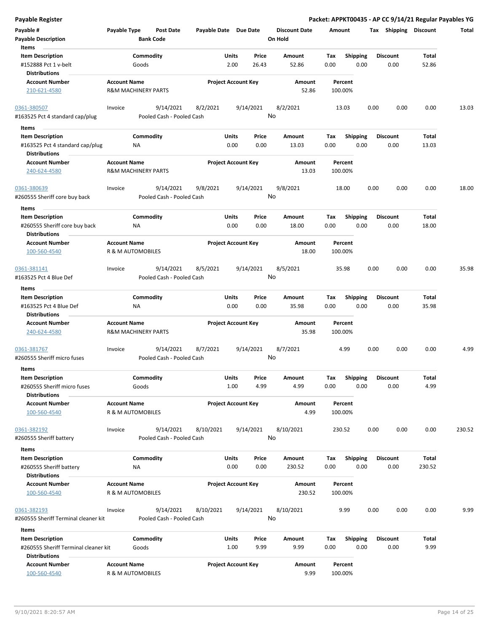| <b>Payable Register</b>                                                                   |                     |                                        |                       |                            |                |                                 |             |                         |      |                         |                        | Packet: APPKT00435 - AP CC 9/14/21 Regular Payables YG |
|-------------------------------------------------------------------------------------------|---------------------|----------------------------------------|-----------------------|----------------------------|----------------|---------------------------------|-------------|-------------------------|------|-------------------------|------------------------|--------------------------------------------------------|
| Payable #<br><b>Payable Description</b>                                                   | Payable Type        | <b>Post Date</b><br><b>Bank Code</b>   | Payable Date Due Date |                            |                | <b>Discount Date</b><br>On Hold | Amount      |                         |      | Tax Shipping Discount   |                        | Total                                                  |
| Items<br><b>Item Description</b><br>#152888 Pct 1 v-belt<br><b>Distributions</b>          |                     | Commodity<br>Goods                     |                       | Units<br>2.00              | Price<br>26.43 | Amount<br>52.86                 | Tax<br>0.00 | <b>Shipping</b><br>0.00 |      | <b>Discount</b><br>0.00 | Total<br>52.86         |                                                        |
| <b>Account Number</b><br>210-621-4580                                                     | <b>Account Name</b> | <b>R&amp;M MACHINERY PARTS</b>         |                       | <b>Project Account Key</b> |                | Amount<br>52.86                 |             | Percent<br>100.00%      |      |                         |                        |                                                        |
| 0361-380507<br>#163525 Pct 4 standard cap/plug                                            | Invoice             | 9/14/2021<br>Pooled Cash - Pooled Cash | 8/2/2021              |                            | 9/14/2021      | 8/2/2021<br>No                  |             | 13.03                   | 0.00 | 0.00                    | 0.00                   | 13.03                                                  |
| Items                                                                                     |                     |                                        |                       |                            |                |                                 |             |                         |      |                         |                        |                                                        |
| <b>Item Description</b><br>#163525 Pct 4 standard cap/plug<br><b>Distributions</b>        |                     | Commodity<br>ΝA                        |                       | Units<br>0.00              | Price<br>0.00  | Amount<br>13.03                 | Tax<br>0.00 | <b>Shipping</b><br>0.00 |      | <b>Discount</b><br>0.00 | Total<br>13.03         |                                                        |
|                                                                                           |                     |                                        |                       |                            |                |                                 |             |                         |      |                         |                        |                                                        |
| <b>Account Number</b><br>240-624-4580                                                     | <b>Account Name</b> | <b>R&amp;M MACHINERY PARTS</b>         |                       | <b>Project Account Key</b> |                | Amount<br>13.03                 |             | Percent<br>100.00%      |      |                         |                        |                                                        |
| 0361-380639<br>#260555 Sheriff core buy back                                              | Invoice             | 9/14/2021<br>Pooled Cash - Pooled Cash | 9/8/2021              |                            | 9/14/2021      | 9/8/2021<br>No                  |             | 18.00                   | 0.00 | 0.00                    | 0.00                   | 18.00                                                  |
| Items<br><b>Item Description</b><br>#260555 Sheriff core buy back<br><b>Distributions</b> |                     | Commodity<br>NA                        |                       | Units<br>0.00              | Price<br>0.00  | Amount<br>18.00                 | Tax<br>0.00 | <b>Shipping</b><br>0.00 |      | <b>Discount</b><br>0.00 | Total<br>18.00         |                                                        |
| <b>Account Number</b><br>100-560-4540                                                     | <b>Account Name</b> | R & M AUTOMOBILES                      |                       | <b>Project Account Key</b> |                | Amount<br>18.00                 |             | Percent<br>100.00%      |      |                         |                        |                                                        |
| 0361-381141<br>#163525 Pct 4 Blue Def                                                     | Invoice             | 9/14/2021<br>Pooled Cash - Pooled Cash | 8/5/2021              |                            | 9/14/2021      | 8/5/2021<br>No                  |             | 35.98                   | 0.00 | 0.00                    | 0.00                   | 35.98                                                  |
| Items                                                                                     |                     |                                        |                       |                            |                |                                 |             |                         |      |                         |                        |                                                        |
| <b>Item Description</b><br>#163525 Pct 4 Blue Def<br><b>Distributions</b>                 |                     | Commodity<br>ΝA                        |                       | Units<br>0.00              | Price<br>0.00  | Amount<br>35.98                 | Tax<br>0.00 | <b>Shipping</b><br>0.00 |      | <b>Discount</b><br>0.00 | Total<br>35.98         |                                                        |
| <b>Account Number</b><br>240-624-4580                                                     | <b>Account Name</b> | <b>R&amp;M MACHINERY PARTS</b>         |                       | <b>Project Account Key</b> |                | Amount<br>35.98                 |             | Percent<br>100.00%      |      |                         |                        |                                                        |
| 0361-381767<br>#260555 Sheriff micro fuses                                                | Invoice             | 9/14/2021<br>Pooled Cash - Pooled Cash | 8/7/2021              |                            | 9/14/2021      | 8/7/2021<br>No                  |             | 4.99                    | 0.00 | 0.00                    | 0.00                   | 4.99                                                   |
| Items                                                                                     |                     |                                        |                       |                            |                |                                 |             |                         |      |                         |                        |                                                        |
| <b>Item Description</b><br>#260555 Sheriff micro fuses<br><b>Distributions</b>            |                     | Commodity<br>Goods                     |                       | Units<br>1.00              | Price<br>4.99  | Amount<br>4.99                  | Tax<br>0.00 | Shipping<br>0.00        |      | <b>Discount</b><br>0.00 | Total<br>4.99          |                                                        |
| <b>Account Number</b><br>100-560-4540                                                     | <b>Account Name</b> | R & M AUTOMOBILES                      |                       | <b>Project Account Key</b> |                | Amount<br>4.99                  |             | Percent<br>100.00%      |      |                         |                        |                                                        |
| 0361-382192<br>#260555 Sheriff battery                                                    | Invoice             | 9/14/2021<br>Pooled Cash - Pooled Cash | 8/10/2021             |                            | 9/14/2021      | 8/10/2021<br>No                 |             | 230.52                  | 0.00 | 0.00                    | 0.00                   | 230.52                                                 |
| Items                                                                                     |                     |                                        |                       |                            |                |                                 |             |                         |      |                         |                        |                                                        |
| <b>Item Description</b><br>#260555 Sheriff battery<br><b>Distributions</b>                |                     | Commodity<br>ΝA                        |                       | Units<br>0.00              | Price<br>0.00  | Amount<br>230.52                | Tax<br>0.00 | <b>Shipping</b><br>0.00 |      | <b>Discount</b><br>0.00 | <b>Total</b><br>230.52 |                                                        |
| <b>Account Number</b><br>100-560-4540                                                     | <b>Account Name</b> | R & M AUTOMOBILES                      |                       | <b>Project Account Key</b> |                | Amount<br>230.52                |             | Percent<br>100.00%      |      |                         |                        |                                                        |
| 0361-382193<br>#260555 Sheriff Terminal cleaner kit                                       | Invoice             | 9/14/2021<br>Pooled Cash - Pooled Cash | 8/10/2021             |                            | 9/14/2021      | 8/10/2021<br>No                 |             | 9.99                    | 0.00 | 0.00                    | 0.00                   | 9.99                                                   |
| Items                                                                                     |                     |                                        |                       |                            |                |                                 |             |                         |      |                         |                        |                                                        |
| <b>Item Description</b><br>#260555 Sheriff Terminal cleaner kit<br><b>Distributions</b>   |                     | Commodity<br>Goods                     |                       | Units<br>1.00              | Price<br>9.99  | Amount<br>9.99                  | Tax<br>0.00 | <b>Shipping</b><br>0.00 |      | <b>Discount</b><br>0.00 | Total<br>9.99          |                                                        |
| <b>Account Number</b><br>100-560-4540                                                     | <b>Account Name</b> | R & M AUTOMOBILES                      |                       | <b>Project Account Key</b> |                | Amount<br>9.99                  |             | Percent<br>100.00%      |      |                         |                        |                                                        |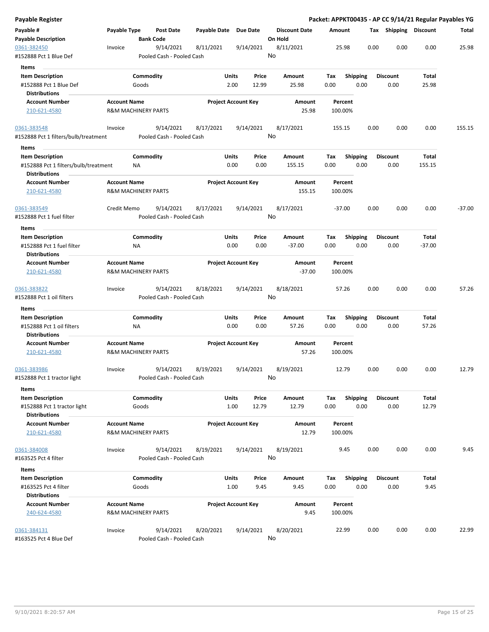| Payable Register                                                               |                                                       |                    |                                        |                       |                            |                |                      |             |                    |      |      |                       |                | Packet: APPKT00435 - AP CC 9/14/21 Regular Payables YG |
|--------------------------------------------------------------------------------|-------------------------------------------------------|--------------------|----------------------------------------|-----------------------|----------------------------|----------------|----------------------|-------------|--------------------|------|------|-----------------------|----------------|--------------------------------------------------------|
| Payable #                                                                      | Payable Type                                          |                    | <b>Post Date</b>                       | Payable Date Due Date |                            |                | <b>Discount Date</b> | Amount      |                    |      |      | Tax Shipping Discount |                | Total                                                  |
| <b>Payable Description</b>                                                     |                                                       | <b>Bank Code</b>   |                                        |                       |                            |                | On Hold              |             |                    |      |      |                       |                |                                                        |
| 0361-382450<br>#152888 Pct 1 Blue Def                                          | Invoice                                               |                    | 9/14/2021<br>Pooled Cash - Pooled Cash | 8/11/2021             |                            | 9/14/2021      | 8/11/2021<br>No      |             | 25.98              |      | 0.00 | 0.00                  | 0.00           | 25.98                                                  |
| Items                                                                          |                                                       |                    |                                        |                       |                            |                |                      |             |                    |      |      |                       |                |                                                        |
| <b>Item Description</b>                                                        |                                                       | Commodity          |                                        |                       | Units                      | Price          | Amount               | Tax         | <b>Shipping</b>    |      |      | <b>Discount</b>       | Total          |                                                        |
| #152888 Pct 1 Blue Def                                                         |                                                       | Goods              |                                        |                       | 2.00                       | 12.99          | 25.98                | 0.00        |                    | 0.00 |      | 0.00                  | 25.98          |                                                        |
| <b>Distributions</b>                                                           |                                                       |                    |                                        |                       |                            |                |                      |             |                    |      |      |                       |                |                                                        |
| <b>Account Number</b>                                                          | <b>Account Name</b>                                   |                    |                                        |                       | <b>Project Account Key</b> |                | Amount               |             | Percent            |      |      |                       |                |                                                        |
| 210-621-4580                                                                   | <b>R&amp;M MACHINERY PARTS</b>                        |                    |                                        |                       |                            |                | 25.98                |             | 100.00%            |      |      |                       |                |                                                        |
| 0361-383548                                                                    | Invoice                                               |                    | 9/14/2021                              | 8/17/2021             |                            | 9/14/2021      | 8/17/2021            |             | 155.15             |      | 0.00 | 0.00                  | 0.00           | 155.15                                                 |
| #152888 Pct 1 filters/bulb/treatment<br>Items                                  |                                                       |                    | Pooled Cash - Pooled Cash              |                       |                            |                | No                   |             |                    |      |      |                       |                |                                                        |
| <b>Item Description</b>                                                        |                                                       | Commodity          |                                        |                       | Units                      | Price          | Amount               | Tax         | <b>Shipping</b>    |      |      | <b>Discount</b>       | Total          |                                                        |
| #152888 Pct 1 filters/bulb/treatment<br><b>Distributions</b>                   |                                                       | ΝA                 |                                        |                       | 0.00                       | 0.00           | 155.15               | 0.00        |                    | 0.00 |      | 0.00                  | 155.15         |                                                        |
| <b>Account Number</b><br>210-621-4580                                          | <b>Account Name</b><br><b>R&amp;M MACHINERY PARTS</b> |                    |                                        |                       | <b>Project Account Key</b> |                | Amount<br>155.15     |             | Percent<br>100.00% |      |      |                       |                |                                                        |
| 0361-383549                                                                    | Credit Memo                                           |                    | 9/14/2021                              | 8/17/2021             |                            | 9/14/2021      | 8/17/2021            |             | $-37.00$           |      | 0.00 | 0.00                  | 0.00           | $-37.00$                                               |
| #152888 Pct 1 fuel filter                                                      |                                                       |                    | Pooled Cash - Pooled Cash              |                       |                            |                | No                   |             |                    |      |      |                       |                |                                                        |
| Items                                                                          |                                                       |                    |                                        |                       |                            |                |                      |             |                    |      |      |                       |                |                                                        |
| <b>Item Description</b>                                                        |                                                       | Commodity          |                                        |                       | Units                      | Price          | <b>Amount</b>        | Tax         | <b>Shipping</b>    |      |      | <b>Discount</b>       | Total          |                                                        |
| #152888 Pct 1 fuel filter<br><b>Distributions</b>                              |                                                       | ΝA                 |                                        |                       | 0.00                       | 0.00           | $-37.00$             | 0.00        |                    | 0.00 |      | 0.00                  | $-37.00$       |                                                        |
| <b>Account Number</b>                                                          | <b>Account Name</b>                                   |                    |                                        |                       | <b>Project Account Key</b> |                | Amount               |             | Percent            |      |      |                       |                |                                                        |
| 210-621-4580                                                                   | <b>R&amp;M MACHINERY PARTS</b>                        |                    |                                        |                       |                            |                | $-37.00$             |             | 100.00%            |      |      |                       |                |                                                        |
| 0361-383822                                                                    | Invoice                                               |                    | 9/14/2021                              | 8/18/2021             |                            | 9/14/2021      | 8/18/2021            |             | 57.26              |      | 0.00 | 0.00                  | 0.00           | 57.26                                                  |
| #152888 Pct 1 oil filters                                                      |                                                       |                    | Pooled Cash - Pooled Cash              |                       |                            |                | No                   |             |                    |      |      |                       |                |                                                        |
| Items                                                                          |                                                       |                    |                                        |                       |                            |                |                      |             |                    |      |      |                       |                |                                                        |
| <b>Item Description</b>                                                        |                                                       | Commodity          |                                        |                       | Units                      | Price          | Amount               | Tax         | <b>Shipping</b>    |      |      | Discount              | Total          |                                                        |
| #152888 Pct 1 oil filters<br><b>Distributions</b>                              |                                                       | ΝA                 |                                        |                       | 0.00                       | 0.00           | 57.26                | 0.00        |                    | 0.00 |      | 0.00                  | 57.26          |                                                        |
| <b>Account Number</b><br>210-621-4580                                          | <b>Account Name</b><br><b>R&amp;M MACHINERY PARTS</b> |                    |                                        |                       | <b>Project Account Key</b> |                | Amount<br>57.26      |             | Percent<br>100.00% |      |      |                       |                |                                                        |
| 0361-383986                                                                    | Invoice                                               |                    | 9/14/2021                              | 8/19/2021             |                            | 9/14/2021      | 8/19/2021            |             | 12.79              |      | 0.00 | 0.00                  | 0.00           | 12.79                                                  |
| #152888 Pct 1 tractor light                                                    |                                                       |                    | Pooled Cash - Pooled Cash              |                       |                            |                | No                   |             |                    |      |      |                       |                |                                                        |
| Items                                                                          |                                                       |                    |                                        |                       |                            |                |                      |             |                    |      |      |                       |                |                                                        |
| <b>Item Description</b><br>#152888 Pct 1 tractor light<br><b>Distributions</b> |                                                       | Commodity<br>Goods |                                        |                       | Units<br>1.00              | Price<br>12.79 | Amount<br>12.79      | Tax<br>0.00 | Shipping           | 0.00 |      | Discount<br>0.00      | Total<br>12.79 |                                                        |
| <b>Account Number</b>                                                          | <b>Account Name</b>                                   |                    |                                        |                       | <b>Project Account Key</b> |                | Amount               |             | Percent            |      |      |                       |                |                                                        |
| 210-621-4580                                                                   | <b>R&amp;M MACHINERY PARTS</b>                        |                    |                                        |                       |                            |                | 12.79                |             | 100.00%            |      |      |                       |                |                                                        |
| 0361-384008                                                                    | Invoice                                               |                    | 9/14/2021                              | 8/19/2021             |                            | 9/14/2021      | 8/19/2021            |             | 9.45               |      | 0.00 | 0.00                  | 0.00           | 9.45                                                   |
| #163525 Pct 4 filter                                                           |                                                       |                    | Pooled Cash - Pooled Cash              |                       |                            |                | No                   |             |                    |      |      |                       |                |                                                        |
| Items                                                                          |                                                       |                    |                                        |                       |                            |                |                      |             |                    |      |      |                       |                |                                                        |
| <b>Item Description</b>                                                        |                                                       | Commodity          |                                        |                       | Units                      | Price          | Amount               | Tax         | <b>Shipping</b>    |      |      | <b>Discount</b>       | Total          |                                                        |
| #163525 Pct 4 filter                                                           |                                                       | Goods              |                                        |                       | 1.00                       | 9.45           | 9.45                 | 0.00        |                    | 0.00 |      | 0.00                  | 9.45           |                                                        |
| <b>Distributions</b>                                                           |                                                       |                    |                                        |                       |                            |                |                      |             |                    |      |      |                       |                |                                                        |
| <b>Account Number</b><br>240-624-4580                                          | <b>Account Name</b><br><b>R&amp;M MACHINERY PARTS</b> |                    |                                        |                       | <b>Project Account Key</b> |                | Amount<br>9.45       |             | Percent<br>100.00% |      |      |                       |                |                                                        |
| 0361-384131<br>#163525 Pct 4 Blue Def                                          | Invoice                                               |                    | 9/14/2021<br>Pooled Cash - Pooled Cash | 8/20/2021             |                            | 9/14/2021      | 8/20/2021<br>No      |             | 22.99              |      | 0.00 | 0.00                  | 0.00           | 22.99                                                  |
|                                                                                |                                                       |                    |                                        |                       |                            |                |                      |             |                    |      |      |                       |                |                                                        |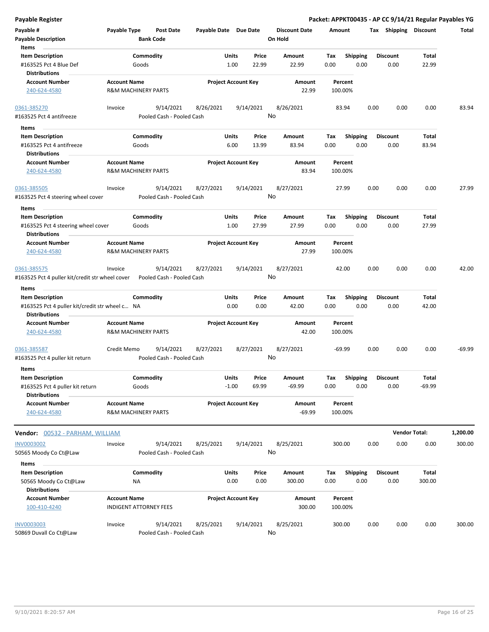| <b>Payable Register</b>                                                  |                                            |                                        |                       |                                 |                                 | Packet: APPKT00435 - AP CC 9/14/21 Regular Payables YG |                         |      |                         |                      |          |
|--------------------------------------------------------------------------|--------------------------------------------|----------------------------------------|-----------------------|---------------------------------|---------------------------------|--------------------------------------------------------|-------------------------|------|-------------------------|----------------------|----------|
| Payable #<br><b>Payable Description</b>                                  | Payable Type                               | Post Date<br><b>Bank Code</b>          | Payable Date Due Date |                                 | <b>Discount Date</b><br>On Hold | Amount                                                 |                         |      | Tax Shipping Discount   |                      | Total    |
| Items                                                                    |                                            |                                        |                       |                                 |                                 |                                                        |                         |      |                         |                      |          |
| <b>Item Description</b>                                                  |                                            | Commodity                              |                       | Units<br>Price                  | Amount                          | Tax                                                    | <b>Shipping</b>         |      | <b>Discount</b>         | Total                |          |
| #163525 Pct 4 Blue Def<br><b>Distributions</b>                           | Goods                                      |                                        |                       | 1.00<br>22.99                   | 22.99                           | 0.00                                                   | 0.00                    |      | 0.00                    | 22.99                |          |
| <b>Account Number</b>                                                    | <b>Account Name</b>                        |                                        |                       | <b>Project Account Key</b>      | Amount                          | Percent                                                |                         |      |                         |                      |          |
| 240-624-4580                                                             | R&M MACHINERY PARTS                        |                                        |                       |                                 | 22.99                           | 100.00%                                                |                         |      |                         |                      |          |
| 0361-385270                                                              | Invoice                                    | 9/14/2021                              | 8/26/2021             | 9/14/2021                       | 8/26/2021                       | 83.94                                                  |                         | 0.00 | 0.00                    | 0.00                 | 83.94    |
| #163525 Pct 4 antifreeze                                                 |                                            | Pooled Cash - Pooled Cash              |                       |                                 | No                              |                                                        |                         |      |                         |                      |          |
| Items                                                                    |                                            |                                        |                       |                                 |                                 |                                                        |                         |      |                         |                      |          |
| <b>Item Description</b><br>#163525 Pct 4 antifreeze                      | Goods                                      | Commodity                              |                       | Units<br>Price<br>6.00<br>13.99 | Amount<br>83.94                 | Tax<br>0.00                                            | <b>Shipping</b><br>0.00 |      | <b>Discount</b><br>0.00 | Total<br>83.94       |          |
| <b>Distributions</b>                                                     |                                            |                                        |                       |                                 |                                 |                                                        |                         |      |                         |                      |          |
| <b>Account Number</b><br>240-624-4580                                    | <b>Account Name</b><br>R&M MACHINERY PARTS |                                        |                       | <b>Project Account Key</b>      | Amount<br>83.94                 | Percent<br>100.00%                                     |                         |      |                         |                      |          |
| 0361-385505                                                              | Invoice                                    | 9/14/2021                              | 8/27/2021             | 9/14/2021                       | 8/27/2021                       | 27.99                                                  |                         | 0.00 | 0.00                    | 0.00                 | 27.99    |
| #163525 Pct 4 steering wheel cover                                       |                                            | Pooled Cash - Pooled Cash              |                       |                                 | No                              |                                                        |                         |      |                         |                      |          |
| Items                                                                    |                                            |                                        |                       |                                 |                                 |                                                        |                         |      |                         |                      |          |
| <b>Item Description</b>                                                  |                                            | Commodity                              |                       | Units<br>Price                  | Amount                          | Tax                                                    | <b>Shipping</b>         |      | <b>Discount</b>         | Total                |          |
| #163525 Pct 4 steering wheel cover<br><b>Distributions</b>               | Goods                                      |                                        |                       | 1.00<br>27.99                   | 27.99                           | 0.00                                                   | 0.00                    |      | 0.00                    | 27.99                |          |
| <b>Account Number</b>                                                    | <b>Account Name</b>                        |                                        |                       | <b>Project Account Key</b>      | Amount                          | Percent                                                |                         |      |                         |                      |          |
| 240-624-4580                                                             | <b>R&amp;M MACHINERY PARTS</b>             |                                        |                       |                                 | 27.99                           | 100.00%                                                |                         |      |                         |                      |          |
| 0361-385575                                                              | Invoice                                    | 9/14/2021                              | 8/27/2021             | 9/14/2021                       | 8/27/2021                       | 42.00                                                  |                         | 0.00 | 0.00                    | 0.00                 | 42.00    |
| #163525 Pct 4 puller kit/credit str wheel cover                          |                                            | Pooled Cash - Pooled Cash              |                       |                                 | No                              |                                                        |                         |      |                         |                      |          |
| Items                                                                    |                                            |                                        |                       |                                 |                                 |                                                        |                         |      |                         |                      |          |
| <b>Item Description</b>                                                  |                                            | Commodity                              |                       | Units<br>Price                  | Amount                          | Tax                                                    | <b>Shipping</b>         |      | <b>Discount</b>         | Total                |          |
| #163525 Pct 4 puller kit/credit str wheel c NA<br><b>Distributions</b>   |                                            |                                        |                       | 0.00<br>0.00                    | 42.00                           | 0.00                                                   | 0.00                    |      | 0.00                    | 42.00                |          |
| <b>Account Number</b>                                                    | <b>Account Name</b>                        |                                        |                       | <b>Project Account Key</b>      | Amount                          | Percent                                                |                         |      |                         |                      |          |
| 240-624-4580                                                             | <b>R&amp;M MACHINERY PARTS</b>             |                                        |                       |                                 | 42.00                           | 100.00%                                                |                         |      |                         |                      |          |
| 0361-385587<br>#163525 Pct 4 puller kit return                           | Credit Memo                                | 9/14/2021<br>Pooled Cash - Pooled Cash | 8/27/2021             | 8/27/2021                       | 8/27/2021<br>No                 | $-69.99$                                               |                         | 0.00 | 0.00                    | 0.00                 | $-69.99$ |
| Items                                                                    |                                            |                                        |                       |                                 |                                 |                                                        |                         |      |                         |                      |          |
| <b>Item Description</b>                                                  |                                            | Commodity                              |                       | Units<br>Price                  | Amount                          | Tax                                                    | Shipping                |      | <b>Discount</b>         | Total                |          |
| #163525 Pct 4 puller kit return                                          | Goods                                      |                                        |                       | $-1.00$<br>69.99                | $-69.99$                        | 0.00                                                   | 0.00                    |      | 0.00                    | $-69.99$             |          |
| <b>Distributions</b>                                                     |                                            |                                        |                       |                                 |                                 |                                                        |                         |      |                         |                      |          |
| <b>Account Number</b><br>240-624-4580                                    | <b>Account Name</b><br>R&M MACHINERY PARTS |                                        |                       | <b>Project Account Key</b>      | Amount<br>$-69.99$              | Percent<br>100.00%                                     |                         |      |                         |                      |          |
| <b>Vendor:</b> 00532 - PARHAM, WILLIAM                                   |                                            |                                        |                       |                                 |                                 |                                                        |                         |      |                         | <b>Vendor Total:</b> | 1,200.00 |
| <b>INV0003002</b>                                                        | Invoice                                    | 9/14/2021                              | 8/25/2021             | 9/14/2021                       | 8/25/2021                       | 300.00                                                 |                         | 0.00 | 0.00                    | 0.00                 | 300.00   |
| 50565 Moody Co Ct@Law                                                    |                                            | Pooled Cash - Pooled Cash              |                       |                                 | No                              |                                                        |                         |      |                         |                      |          |
| Items                                                                    |                                            |                                        |                       |                                 |                                 |                                                        |                         |      |                         |                      |          |
| <b>Item Description</b><br>50565 Moody Co Ct@Law<br><b>Distributions</b> | <b>NA</b>                                  | Commodity                              |                       | Units<br>Price<br>0.00<br>0.00  | Amount<br>300.00                | Tax<br>0.00                                            | Shipping<br>0.00        |      | <b>Discount</b><br>0.00 | Total<br>300.00      |          |
| <b>Account Number</b>                                                    | <b>Account Name</b>                        |                                        |                       |                                 |                                 |                                                        |                         |      |                         |                      |          |
| 100-410-4240                                                             | <b>INDIGENT ATTORNEY FEES</b>              |                                        |                       | <b>Project Account Key</b>      | Amount<br>300.00                | Percent<br>100.00%                                     |                         |      |                         |                      |          |
| <b>INV0003003</b><br>50869 Duvall Co Ct@Law                              | Invoice                                    | 9/14/2021<br>Pooled Cash - Pooled Cash | 8/25/2021             | 9/14/2021                       | 8/25/2021<br>No                 | 300.00                                                 |                         | 0.00 | 0.00                    | 0.00                 | 300.00   |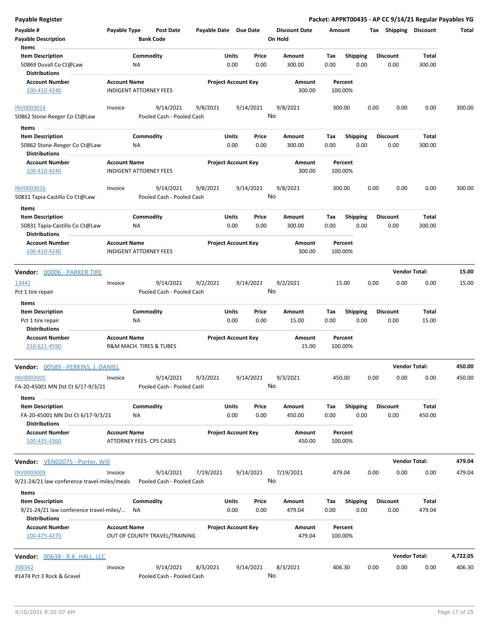| Payable #<br><b>Payable Description</b>                                                    | Payable Type                                         | Post Date<br><b>Bank Code</b>          | Payable Date Due Date |                            |               | <b>Discount Date</b><br>On Hold | Amount      |                         | Tax  | Shipping                | <b>Discount</b> | Total    |
|--------------------------------------------------------------------------------------------|------------------------------------------------------|----------------------------------------|-----------------------|----------------------------|---------------|---------------------------------|-------------|-------------------------|------|-------------------------|-----------------|----------|
| Items                                                                                      |                                                      |                                        |                       |                            |               |                                 |             |                         |      |                         |                 |          |
| <b>Item Description</b><br>50869 Duvall Co Ct@Law<br><b>Distributions</b>                  | ΝA                                                   | Commodity                              |                       | Units<br>0.00              | Price<br>0.00 | Amount<br>300.00                | Tax<br>0.00 | <b>Shipping</b><br>0.00 |      | <b>Discount</b><br>0.00 | Total<br>300.00 |          |
| <b>Account Number</b><br>100-410-4240                                                      | <b>Account Name</b><br><b>INDIGENT ATTORNEY FEES</b> |                                        |                       | <b>Project Account Key</b> |               | Amount<br>300.00                | 100.00%     | Percent                 |      |                         |                 |          |
| <b>INV0003014</b>                                                                          | Invoice                                              | 9/14/2021                              | 9/8/2021              |                            | 9/14/2021     | 9/8/2021                        | 300.00      |                         | 0.00 | 0.00                    | 0.00            | 300.00   |
| 50862 Stone-Reeger Co Ct@Law                                                               |                                                      | Pooled Cash - Pooled Cash              |                       |                            |               | No                              |             |                         |      |                         |                 |          |
| Items                                                                                      |                                                      |                                        |                       |                            |               |                                 |             |                         |      |                         |                 |          |
| <b>Item Description</b><br>50862 Stone-Reeger Co Ct@Law                                    | ΝA                                                   | Commodity                              |                       | Units<br>0.00              | Price<br>0.00 | Amount<br>300.00                | Tax<br>0.00 | <b>Shipping</b><br>0.00 |      | <b>Discount</b><br>0.00 | Total<br>300.00 |          |
| <b>Distributions</b>                                                                       |                                                      |                                        |                       |                            |               |                                 |             |                         |      |                         |                 |          |
| <b>Account Number</b><br>100-410-4240                                                      | <b>Account Name</b><br><b>INDIGENT ATTORNEY FEES</b> |                                        |                       | <b>Project Account Key</b> |               | Amount<br>300.00                | 100.00%     | Percent                 |      |                         |                 |          |
| INV0003016<br>50831 Tapia-Castillo Co Ct@Law                                               | Invoice                                              | 9/14/2021<br>Pooled Cash - Pooled Cash | 9/8/2021              |                            | 9/14/2021     | 9/8/2021<br>No                  | 300.00      |                         | 0.00 | 0.00                    | 0.00            | 300.00   |
| <b>Items</b>                                                                               |                                                      |                                        |                       |                            |               |                                 |             |                         |      |                         |                 |          |
| <b>Item Description</b>                                                                    |                                                      | Commodity                              |                       | Units                      | Price         | Amount                          | Tax         | <b>Shipping</b>         |      | <b>Discount</b>         | Total           |          |
| 50831 Tapia-Castillo Co Ct@Law<br><b>Distributions</b>                                     | ΝA                                                   |                                        |                       | 0.00                       | 0.00          | 300.00                          | 0.00        | 0.00                    |      | 0.00                    | 300.00          |          |
| <b>Account Number</b><br>100-410-4240                                                      | <b>Account Name</b><br><b>INDIGENT ATTORNEY FEES</b> |                                        |                       | <b>Project Account Key</b> |               | Amount<br>300.00                | 100.00%     | Percent                 |      |                         |                 |          |
| Vendor: 00006 - PARKER TIRE                                                                |                                                      |                                        |                       |                            |               |                                 |             |                         |      | <b>Vendor Total:</b>    |                 | 15.00    |
| 13441                                                                                      | Invoice                                              | 9/14/2021                              | 9/2/2021              |                            | 9/14/2021     | 9/2/2021                        | 15.00       |                         | 0.00 | 0.00                    | 0.00            | 15.00    |
| Pct 1 tire repair<br>Items                                                                 |                                                      | Pooled Cash - Pooled Cash              |                       |                            |               | No                              |             |                         |      |                         |                 |          |
| <b>Item Description</b>                                                                    |                                                      | Commodity                              |                       | Units                      | Price         | Amount                          | Tax         | <b>Shipping</b>         |      | <b>Discount</b>         | Total           |          |
| Pct 1 tire repair<br><b>Distributions</b>                                                  | ΝA                                                   |                                        |                       | 0.00                       | 0.00          | 15.00                           | 0.00        | 0.00                    |      | 0.00                    | 15.00           |          |
| <b>Account Number</b><br>210-621-4590                                                      | <b>Account Name</b>                                  | R&M MACH. TIRES & TUBES                |                       | <b>Project Account Key</b> |               | Amount<br>15.00                 | 100.00%     | Percent                 |      |                         |                 |          |
| <b>Vendor:</b> 00589 - PERKINS, J. DANIEL                                                  |                                                      |                                        |                       |                            |               |                                 |             |                         |      | <b>Vendor Total:</b>    |                 | 450.00   |
| <b>INV0003005</b><br>FA-20-45001 MN Dst Ct 6/17-9/3/21                                     | Invoice                                              | 9/14/2021<br>Pooled Cash - Pooled Cash | 9/3/2021              |                            | 9/14/2021     | 9/3/2021<br>No                  | 450.00      |                         | 0.00 | 0.00                    | 0.00            | 450.00   |
| Items<br><b>Item Description</b>                                                           |                                                      | Commodity                              |                       | Units                      | Price         | Amount                          | Tax         | <b>Shipping</b>         |      | <b>Discount</b>         | Total           |          |
| FA-20-45001 MN Dst Ct 6/17-9/3/21<br><b>Distributions</b>                                  | NA                                                   |                                        |                       | 0.00                       | 0.00          | 450.00                          | 0.00        | 0.00                    |      | 0.00                    | 450.00          |          |
| <b>Account Number</b><br>100-435-4360                                                      | <b>Account Name</b>                                  | ATTORNEY FEES- CPS CASES               |                       | <b>Project Account Key</b> |               | Amount<br>450.00                | 100.00%     | Percent                 |      |                         |                 |          |
| <b>Vendor:</b> VEN02075 - Porter, Will                                                     |                                                      |                                        |                       |                            |               |                                 |             |                         |      | <b>Vendor Total:</b>    |                 | 479.04   |
| <b>INV0003009</b><br>9/21-24/21 law conference travel-miles/meals                          | Invoice                                              | 9/14/2021<br>Pooled Cash - Pooled Cash | 7/19/2021             |                            | 9/14/2021     | 7/19/2021<br>No                 | 479.04      |                         | 0.00 | 0.00                    | 0.00            | 479.04   |
| Items                                                                                      |                                                      |                                        |                       |                            |               |                                 |             |                         |      |                         |                 |          |
| <b>Item Description</b><br>9/21-24/21 law conference travel-miles/<br><b>Distributions</b> | NA                                                   | Commodity                              |                       | <b>Units</b><br>0.00       | Price<br>0.00 | Amount<br>479.04                | Tax<br>0.00 | <b>Shipping</b><br>0.00 |      | <b>Discount</b><br>0.00 | Total<br>479.04 |          |
| <b>Account Number</b><br>100-475-4270                                                      | <b>Account Name</b>                                  | OUT OF COUNTY TRAVEL/TRAINING          |                       | <b>Project Account Key</b> |               | Amount<br>479.04                | 100.00%     | Percent                 |      |                         |                 |          |
| <b>Vendor:</b> 00638 - R.K. HALL, LLC                                                      |                                                      |                                        |                       |                            |               |                                 |             |                         |      | <b>Vendor Total:</b>    |                 | 4,722.05 |
|                                                                                            |                                                      |                                        |                       |                            |               |                                 |             |                         |      |                         |                 | 406.30   |
| 300362<br>#1474 Pct 3 Rock & Gravel                                                        | Invoice                                              | 9/14/2021<br>Pooled Cash - Pooled Cash | 8/3/2021              |                            | 9/14/2021     | 8/3/2021<br>No                  | 406.30      |                         | 0.00 | 0.00                    | 0.00            |          |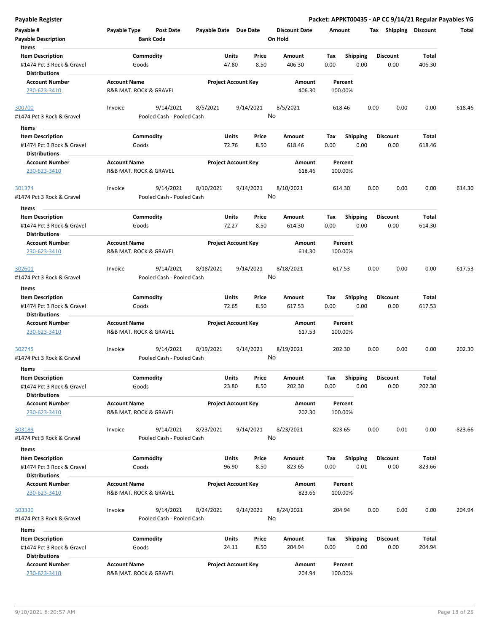| Payable #                                            | Payable Type           | Post Date                 | Payable Date Due Date |                            | <b>Discount Date</b> | Amount  |                 |      | Tax Shipping    | Discount     | Total  |
|------------------------------------------------------|------------------------|---------------------------|-----------------------|----------------------------|----------------------|---------|-----------------|------|-----------------|--------------|--------|
| <b>Payable Description</b><br>Items                  |                        | <b>Bank Code</b>          |                       |                            | On Hold              |         |                 |      |                 |              |        |
| <b>Item Description</b>                              |                        | Commodity                 |                       | Units<br>Price             | Amount               | Tax     | <b>Shipping</b> |      | <b>Discount</b> | <b>Total</b> |        |
| #1474 Pct 3 Rock & Gravel<br><b>Distributions</b>    | Goods                  |                           |                       | 8.50<br>47.80              | 406.30               | 0.00    | 0.00            |      | 0.00            | 406.30       |        |
| <b>Account Number</b>                                | <b>Account Name</b>    |                           |                       | <b>Project Account Key</b> | Amount               | Percent |                 |      |                 |              |        |
| 230-623-3410                                         | R&B MAT. ROCK & GRAVEL |                           |                       |                            | 406.30               | 100.00% |                 |      |                 |              |        |
| 300700<br>#1474 Pct 3 Rock & Gravel                  | Invoice                | 9/14/2021                 | 8/5/2021              | 9/14/2021                  | 8/5/2021<br>No       | 618.46  |                 | 0.00 | 0.00            | 0.00         | 618.46 |
|                                                      |                        | Pooled Cash - Pooled Cash |                       |                            |                      |         |                 |      |                 |              |        |
| Items                                                |                        | Commodity                 |                       | <b>Units</b><br>Price      | Amount               | Tax     | <b>Shipping</b> |      | <b>Discount</b> | Total        |        |
| <b>Item Description</b><br>#1474 Pct 3 Rock & Gravel | Goods                  |                           |                       | 72.76<br>8.50              | 618.46               | 0.00    | 0.00            |      | 0.00            | 618.46       |        |
| <b>Distributions</b>                                 |                        |                           |                       |                            |                      |         |                 |      |                 |              |        |
| <b>Account Number</b>                                | <b>Account Name</b>    |                           |                       | <b>Project Account Key</b> | Amount               | Percent |                 |      |                 |              |        |
| 230-623-3410                                         | R&B MAT. ROCK & GRAVEL |                           |                       |                            | 618.46               | 100.00% |                 |      |                 |              |        |
| 301374                                               | Invoice                | 9/14/2021                 | 8/10/2021             | 9/14/2021                  | 8/10/2021            | 614.30  |                 | 0.00 | 0.00            | 0.00         | 614.30 |
| #1474 Pct 3 Rock & Gravel                            |                        | Pooled Cash - Pooled Cash |                       |                            | No                   |         |                 |      |                 |              |        |
| Items                                                |                        |                           |                       |                            |                      |         |                 |      |                 |              |        |
| <b>Item Description</b>                              |                        | Commodity                 |                       | Price<br>Units             | Amount               | Tax     | <b>Shipping</b> |      | <b>Discount</b> | Total        |        |
| #1474 Pct 3 Rock & Gravel                            | Goods                  |                           |                       | 72.27<br>8.50              | 614.30               | 0.00    | 0.00            |      | 0.00            | 614.30       |        |
| <b>Distributions</b>                                 |                        |                           |                       |                            |                      |         |                 |      |                 |              |        |
| <b>Account Number</b>                                | <b>Account Name</b>    |                           |                       | <b>Project Account Key</b> | Amount               | Percent |                 |      |                 |              |        |
| 230-623-3410                                         | R&B MAT. ROCK & GRAVEL |                           |                       |                            | 614.30               | 100.00% |                 |      |                 |              |        |
| 302601                                               | Invoice                | 9/14/2021                 | 8/18/2021             | 9/14/2021                  | 8/18/2021            | 617.53  |                 | 0.00 | 0.00            | 0.00         | 617.53 |
| #1474 Pct 3 Rock & Gravel                            |                        | Pooled Cash - Pooled Cash |                       |                            | No                   |         |                 |      |                 |              |        |
| Items                                                |                        |                           |                       |                            |                      |         |                 |      |                 |              |        |
| <b>Item Description</b>                              |                        | Commodity                 |                       | Units<br>Price             | Amount               | Tax     | <b>Shipping</b> |      | <b>Discount</b> | Total        |        |
| #1474 Pct 3 Rock & Gravel<br><b>Distributions</b>    | Goods                  |                           |                       | 72.65<br>8.50              | 617.53               | 0.00    | 0.00            |      | 0.00            | 617.53       |        |
| <b>Account Number</b>                                | <b>Account Name</b>    |                           |                       | <b>Project Account Key</b> | Amount               | Percent |                 |      |                 |              |        |
| 230-623-3410                                         | R&B MAT. ROCK & GRAVEL |                           |                       |                            | 617.53               | 100.00% |                 |      |                 |              |        |
| 302745                                               | Invoice                | 9/14/2021                 | 8/19/2021             | 9/14/2021                  | 8/19/2021            | 202.30  |                 | 0.00 | 0.00            | 0.00         | 202.30 |
| #1474 Pct 3 Rock & Gravel                            |                        | Pooled Cash - Pooled Cash |                       |                            | No                   |         |                 |      |                 |              |        |
| Items                                                |                        |                           |                       |                            |                      |         |                 |      |                 |              |        |
| <b>Item Description</b>                              |                        | Commodity                 |                       | Units<br>Price             | Amount               | Тах     | <b>Shipping</b> |      | <b>Discount</b> | Total        |        |
| #1474 Pct 3 Rock & Gravel<br><b>Distributions</b>    | Goods                  |                           |                       | 23.80<br>8.50              | 202.30               | 0.00    | 0.00            |      | 0.00            | 202.30       |        |
| <b>Account Number</b>                                | <b>Account Name</b>    |                           |                       | <b>Project Account Key</b> | Amount               | Percent |                 |      |                 |              |        |
| 230-623-3410                                         | R&B MAT. ROCK & GRAVEL |                           |                       |                            | 202.30               | 100.00% |                 |      |                 |              |        |
| 303189                                               | Invoice                | 9/14/2021                 | 8/23/2021             | 9/14/2021                  | 8/23/2021            | 823.65  |                 | 0.00 | 0.01            | 0.00         | 823.66 |
| #1474 Pct 3 Rock & Gravel                            |                        | Pooled Cash - Pooled Cash |                       |                            | No                   |         |                 |      |                 |              |        |
| Items                                                |                        |                           |                       |                            |                      |         |                 |      |                 |              |        |
| <b>Item Description</b>                              |                        | Commodity                 |                       | Units<br>Price             | Amount               | Тах     | <b>Shipping</b> |      | <b>Discount</b> | Total        |        |
| #1474 Pct 3 Rock & Gravel                            | Goods                  |                           |                       | 96.90<br>8.50              | 823.65               | 0.00    | 0.01            |      | 0.00            | 823.66       |        |
| <b>Distributions</b>                                 |                        |                           |                       |                            |                      |         |                 |      |                 |              |        |
| <b>Account Number</b>                                | <b>Account Name</b>    |                           |                       | <b>Project Account Key</b> | Amount               | Percent |                 |      |                 |              |        |
| 230-623-3410                                         | R&B MAT. ROCK & GRAVEL |                           |                       |                            | 823.66               | 100.00% |                 |      |                 |              |        |
| 303330                                               | Invoice                | 9/14/2021                 | 8/24/2021             | 9/14/2021                  | 8/24/2021            | 204.94  |                 | 0.00 | 0.00            | 0.00         | 204.94 |
| #1474 Pct 3 Rock & Gravel                            |                        | Pooled Cash - Pooled Cash |                       |                            | No                   |         |                 |      |                 |              |        |
| Items                                                |                        |                           |                       |                            |                      |         |                 |      |                 |              |        |
| <b>Item Description</b>                              |                        | Commodity                 |                       | Units<br>Price             | Amount               | Tax     | <b>Shipping</b> |      | <b>Discount</b> | Total        |        |
| #1474 Pct 3 Rock & Gravel                            | Goods                  |                           |                       | 24.11<br>8.50              | 204.94               | 0.00    | 0.00            |      | 0.00            | 204.94       |        |
| <b>Distributions</b>                                 |                        |                           |                       |                            |                      |         |                 |      |                 |              |        |
| <b>Account Number</b>                                | <b>Account Name</b>    |                           |                       | <b>Project Account Key</b> | Amount               | Percent |                 |      |                 |              |        |
| 230-623-3410                                         | R&B MAT. ROCK & GRAVEL |                           |                       |                            | 204.94               | 100.00% |                 |      |                 |              |        |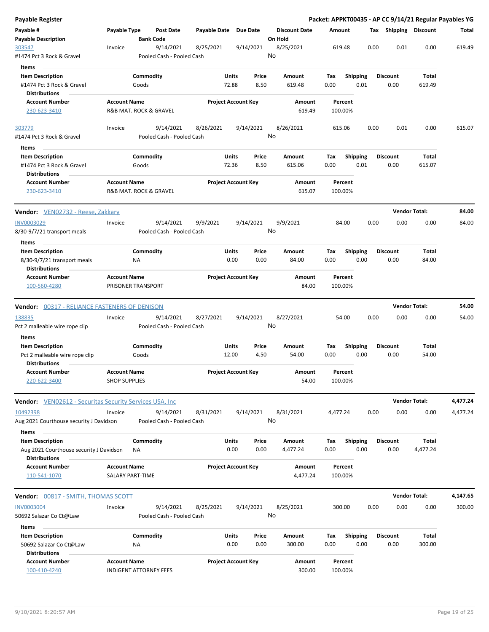| Payable Register                                                                           |                                                              |                        |                                        |                       |                            |               |                                 |             |                         |      |                         | Packet: APPKT00435 - AP CC 9/14/21 Regular Payables YG |          |
|--------------------------------------------------------------------------------------------|--------------------------------------------------------------|------------------------|----------------------------------------|-----------------------|----------------------------|---------------|---------------------------------|-------------|-------------------------|------|-------------------------|--------------------------------------------------------|----------|
| Payable #<br><b>Payable Description</b>                                                    | Payable Type                                                 | <b>Bank Code</b>       | <b>Post Date</b>                       | Payable Date Due Date |                            |               | <b>Discount Date</b><br>On Hold | Amount      |                         |      | Tax Shipping Discount   |                                                        | Total    |
| 303547                                                                                     | Invoice                                                      |                        | 9/14/2021                              | 8/25/2021             | 9/14/2021                  |               | 8/25/2021                       | 619.48      |                         | 0.00 | 0.01                    | 0.00                                                   | 619.49   |
| #1474 Pct 3 Rock & Gravel                                                                  |                                                              |                        | Pooled Cash - Pooled Cash              |                       |                            |               | No                              |             |                         |      |                         |                                                        |          |
| Items                                                                                      |                                                              |                        |                                        |                       |                            |               |                                 |             |                         |      |                         |                                                        |          |
| <b>Item Description</b><br>#1474 Pct 3 Rock & Gravel<br><b>Distributions</b>               |                                                              | Commodity<br>Goods     |                                        |                       | Units<br>72.88             | Price<br>8.50 | Amount<br>619.48                | Tax<br>0.00 | <b>Shipping</b><br>0.01 |      | <b>Discount</b><br>0.00 | Total<br>619.49                                        |          |
| <b>Account Number</b><br>230-623-3410                                                      | <b>Account Name</b><br>R&B MAT. ROCK & GRAVEL                |                        |                                        |                       | <b>Project Account Key</b> |               | Amount<br>619.49                | 100.00%     | Percent                 |      |                         |                                                        |          |
| 303779                                                                                     | Invoice                                                      |                        | 9/14/2021                              | 8/26/2021             | 9/14/2021                  |               | 8/26/2021                       | 615.06      |                         | 0.00 | 0.01                    | 0.00                                                   | 615.07   |
| #1474 Pct 3 Rock & Gravel                                                                  |                                                              |                        | Pooled Cash - Pooled Cash              |                       |                            |               | No                              |             |                         |      |                         |                                                        |          |
| Items                                                                                      |                                                              |                        |                                        |                       |                            |               |                                 |             |                         |      |                         |                                                        |          |
| <b>Item Description</b><br>#1474 Pct 3 Rock & Gravel<br><b>Distributions</b>               |                                                              | Commodity<br>Goods     |                                        |                       | Units<br>72.36             | Price<br>8.50 | Amount<br>615.06                | Tax<br>0.00 | <b>Shipping</b><br>0.01 |      | <b>Discount</b><br>0.00 | Total<br>615.07                                        |          |
| <b>Account Number</b><br>230-623-3410                                                      | <b>Account Name</b><br><b>R&amp;B MAT, ROCK &amp; GRAVEL</b> |                        |                                        |                       | <b>Project Account Key</b> |               | <b>Amount</b><br>615.07         | 100.00%     | Percent                 |      |                         |                                                        |          |
| Vendor: VEN02732 - Reese, Zakkary                                                          |                                                              |                        |                                        |                       |                            |               |                                 |             |                         |      | <b>Vendor Total:</b>    |                                                        | 84.00    |
| INV0003029                                                                                 | Invoice                                                      |                        | 9/14/2021                              | 9/9/2021              | 9/14/2021                  |               | 9/9/2021                        |             | 84.00                   | 0.00 | 0.00                    | 0.00                                                   | 84.00    |
| 8/30-9/7/21 transport meals                                                                |                                                              |                        | Pooled Cash - Pooled Cash              |                       |                            |               | No                              |             |                         |      |                         |                                                        |          |
| Items                                                                                      |                                                              |                        |                                        |                       |                            |               |                                 |             |                         |      |                         |                                                        |          |
| <b>Item Description</b><br>8/30-9/7/21 transport meals<br><b>Distributions</b>             |                                                              | Commodity<br>ΝA        |                                        |                       | Units<br>0.00              | Price<br>0.00 | Amount<br>84.00                 | Tax<br>0.00 | <b>Shipping</b><br>0.00 |      | <b>Discount</b><br>0.00 | Total<br>84.00                                         |          |
| <b>Account Number</b>                                                                      | <b>Account Name</b>                                          |                        |                                        |                       | <b>Project Account Key</b> |               | Amount                          |             | Percent                 |      |                         |                                                        |          |
| 100-560-4280                                                                               | PRISONER TRANSPORT                                           |                        |                                        |                       |                            |               | 84.00                           | 100.00%     |                         |      |                         |                                                        |          |
|                                                                                            |                                                              |                        |                                        |                       |                            |               |                                 |             |                         |      | <b>Vendor Total:</b>    |                                                        | 54.00    |
| <b>Vendor:</b> 00317 - RELIANCE FASTENERS OF DENISON                                       |                                                              |                        |                                        |                       |                            |               |                                 |             |                         |      |                         |                                                        |          |
| 138835<br>Pct 2 malleable wire rope clip                                                   | Invoice                                                      |                        | 9/14/2021<br>Pooled Cash - Pooled Cash | 8/27/2021             | 9/14/2021                  |               | 8/27/2021<br>No                 |             | 54.00                   | 0.00 | 0.00                    | 0.00                                                   | 54.00    |
| Items<br><b>Item Description</b>                                                           |                                                              | Commodity              |                                        |                       | Units                      | Price         | Amount                          | Tax         | <b>Shipping</b>         |      | <b>Discount</b>         | Total                                                  |          |
| Pct 2 malleable wire rope clip<br><b>Distributions</b>                                     |                                                              | Goods                  |                                        |                       | 12.00                      | 4.50          | 54.00                           | 0.00        | 0.00                    |      | 0.00                    | 54.00                                                  |          |
| <b>Account Number</b><br>220-622-3400                                                      | <b>Account Name</b><br><b>SHOP SUPPLIES</b>                  |                        |                                        |                       | <b>Project Account Key</b> |               | <b>Amount</b><br>54.00          | 100.00%     | Percent                 |      |                         |                                                        |          |
| <b>Vendor:</b> VEN02612 - Securitas Security Services USA, Inc.                            |                                                              |                        |                                        |                       |                            |               |                                 |             |                         |      | <b>Vendor Total:</b>    |                                                        | 4,477.24 |
| 10492398<br>Aug 2021 Courthouse security J Davidson                                        | Invoice                                                      |                        | 9/14/2021<br>Pooled Cash - Pooled Cash | 8/31/2021             | 9/14/2021                  |               | 8/31/2021<br>No                 | 4,477.24    |                         | 0.00 | 0.00                    | 0.00                                                   | 4,477.24 |
| Items                                                                                      |                                                              |                        |                                        |                       |                            |               |                                 |             |                         |      |                         |                                                        |          |
| <b>Item Description</b><br>Aug 2021 Courthouse security J Davidson<br><b>Distributions</b> |                                                              | Commodity<br><b>NA</b> |                                        |                       | Units<br>0.00              | Price<br>0.00 | Amount<br>4,477.24              | Tax<br>0.00 | <b>Shipping</b><br>0.00 |      | <b>Discount</b><br>0.00 | Total<br>4,477.24                                      |          |
| <b>Account Number</b><br>110-541-1070                                                      | <b>Account Name</b><br><b>SALARY PART-TIME</b>               |                        |                                        |                       | <b>Project Account Key</b> |               | Amount<br>4,477.24              | 100.00%     | Percent                 |      |                         |                                                        |          |
|                                                                                            |                                                              |                        |                                        |                       |                            |               |                                 |             |                         |      | <b>Vendor Total:</b>    |                                                        |          |
| <b>Vendor:</b> 00817 - SMITH, THOMAS SCOTT                                                 |                                                              |                        |                                        |                       |                            |               |                                 |             |                         |      | 0.00                    |                                                        | 4,147.65 |
| <b>INV0003004</b><br>50692 Salazar Co Ct@Law                                               | Invoice                                                      |                        | 9/14/2021<br>Pooled Cash - Pooled Cash | 8/25/2021             | 9/14/2021                  |               | 8/25/2021<br>No                 | 300.00      |                         | 0.00 |                         | 0.00                                                   | 300.00   |
| Items<br><b>Item Description</b>                                                           |                                                              | Commodity              |                                        |                       | Units                      | Price         | Amount                          | Tax         | <b>Shipping</b>         |      | <b>Discount</b>         | Total                                                  |          |
| 50692 Salazar Co Ct@Law                                                                    |                                                              | ΝA                     |                                        |                       | 0.00                       | 0.00          | 300.00                          | 0.00        | 0.00                    |      | 0.00                    | 300.00                                                 |          |
| <b>Distributions</b>                                                                       |                                                              |                        |                                        |                       |                            |               |                                 |             |                         |      |                         |                                                        |          |
| <b>Account Number</b><br>100-410-4240                                                      | <b>Account Name</b><br><b>INDIGENT ATTORNEY FEES</b>         |                        |                                        |                       | <b>Project Account Key</b> |               | Amount<br>300.00                | 100.00%     | Percent                 |      |                         |                                                        |          |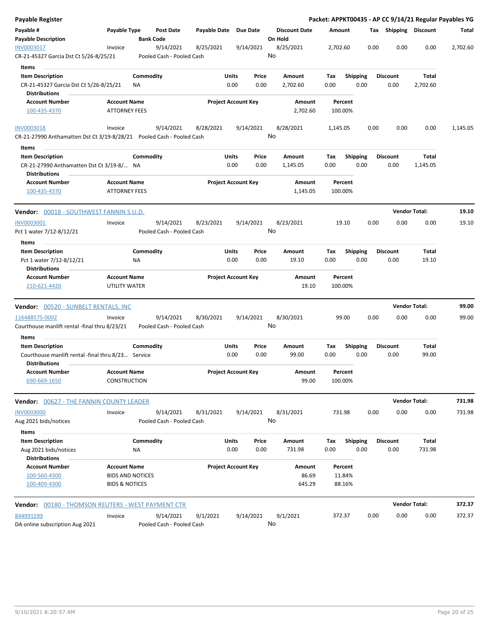| <b>Payable Register</b>                                                                      |                                             |                  |                                        |                       |                            |               |                                 |                    |                         |      |                         | Packet: APPKT00435 - AP CC 9/14/21 Regular Payables YG |          |
|----------------------------------------------------------------------------------------------|---------------------------------------------|------------------|----------------------------------------|-----------------------|----------------------------|---------------|---------------------------------|--------------------|-------------------------|------|-------------------------|--------------------------------------------------------|----------|
| Payable #<br><b>Payable Description</b>                                                      | Payable Type                                | <b>Bank Code</b> | <b>Post Date</b>                       | Payable Date Due Date |                            |               | <b>Discount Date</b><br>On Hold | Amount             |                         |      | Tax Shipping Discount   |                                                        | Total    |
| INV0003017<br>CR-21-45327 Garcia Dst Ct 5/26-8/25/21                                         | Invoice                                     |                  | 9/14/2021<br>Pooled Cash - Pooled Cash | 8/25/2021             | 9/14/2021                  |               | 8/25/2021<br>No                 | 2,702.60           |                         | 0.00 | 0.00                    | 0.00                                                   | 2,702.60 |
| Items                                                                                        |                                             |                  |                                        |                       |                            |               |                                 |                    |                         |      |                         |                                                        |          |
| <b>Item Description</b>                                                                      |                                             | Commodity        |                                        |                       | Units                      | Price         | Amount                          | Tax                | <b>Shipping</b>         |      | <b>Discount</b>         | Total                                                  |          |
| CR-21-45327 Garcia Dst Ct 5/26-8/25/21<br><b>Distributions</b>                               |                                             | NA               |                                        |                       | 0.00                       | 0.00          | 2,702.60                        | 0.00               | 0.00                    |      | 0.00                    | 2,702.60                                               |          |
| <b>Account Number</b><br>100-435-4370                                                        | <b>Account Name</b><br><b>ATTORNEY FEES</b> |                  |                                        |                       | <b>Project Account Key</b> |               | Amount<br>2,702.60              | Percent<br>100.00% |                         |      |                         |                                                        |          |
| INV0003018                                                                                   | Invoice                                     |                  | 9/14/2021                              | 8/28/2021             | 9/14/2021                  |               | 8/28/2021                       | 1,145.05           |                         | 0.00 | 0.00                    | 0.00                                                   | 1,145.05 |
| CR-21-27990 Anthamatten Dst Ct 3/19-8/28/21  Pooled Cash - Pooled Cash                       |                                             |                  |                                        |                       |                            |               | No                              |                    |                         |      |                         |                                                        |          |
| Items                                                                                        |                                             |                  |                                        |                       |                            |               |                                 |                    |                         |      |                         |                                                        |          |
| <b>Item Description</b><br>CR-21-27990 Anthamatten Dst Ct 3/19-8/ NA<br><b>Distributions</b> |                                             | Commodity        |                                        |                       | Units<br>0.00              | Price<br>0.00 | Amount<br>1,145.05              | Tax<br>0.00        | <b>Shipping</b><br>0.00 |      | <b>Discount</b><br>0.00 | Total<br>1,145.05                                      |          |
| <b>Account Number</b><br>100-435-4370                                                        | <b>Account Name</b><br><b>ATTORNEY FEES</b> |                  |                                        |                       | <b>Project Account Key</b> |               | Amount<br>1,145.05              | Percent<br>100.00% |                         |      |                         |                                                        |          |
| <b>Vendor:</b> 00018 - SOUTHWEST FANNIN S.U.D.                                               |                                             |                  |                                        |                       |                            |               |                                 |                    |                         |      |                         | <b>Vendor Total:</b>                                   | 19.10    |
| <b>INV0003001</b>                                                                            | Invoice                                     |                  | 9/14/2021                              | 8/23/2021             | 9/14/2021                  |               | 8/23/2021                       | 19.10              |                         | 0.00 | 0.00                    | 0.00                                                   | 19.10    |
| Pct 1 water 7/12-8/12/21                                                                     |                                             |                  | Pooled Cash - Pooled Cash              |                       |                            |               | No                              |                    |                         |      |                         |                                                        |          |
| Items                                                                                        |                                             |                  |                                        |                       |                            |               |                                 |                    |                         |      |                         |                                                        |          |
| <b>Item Description</b><br>Pct 1 water 7/12-8/12/21                                          |                                             | Commodity<br>ΝA  |                                        |                       | Units<br>0.00              | Price<br>0.00 | Amount<br>19.10                 | Tax<br>0.00        | <b>Shipping</b><br>0.00 |      | <b>Discount</b><br>0.00 | Total<br>19.10                                         |          |
| <b>Distributions</b>                                                                         |                                             |                  |                                        |                       |                            |               |                                 |                    |                         |      |                         |                                                        |          |
| <b>Account Number</b><br>210-621-4420                                                        | <b>Account Name</b><br>UTILITY WATER        |                  |                                        |                       | <b>Project Account Key</b> |               | Amount<br>19.10                 | Percent<br>100.00% |                         |      |                         |                                                        |          |
| Vendor: 00520 - SUNBELT RENTALS, INC                                                         |                                             |                  |                                        |                       |                            |               |                                 |                    |                         |      |                         | <b>Vendor Total:</b>                                   | 99.00    |
| 116488575-0002<br>Courthouse manlift rental -final thru 8/23/21                              | Invoice                                     |                  | 9/14/2021<br>Pooled Cash - Pooled Cash | 8/30/2021             | 9/14/2021                  |               | 8/30/2021<br>No                 | 99.00              |                         | 0.00 | 0.00                    | 0.00                                                   | 99.00    |
| Items                                                                                        |                                             |                  |                                        |                       |                            |               |                                 |                    |                         |      |                         |                                                        |          |
| <b>Item Description</b>                                                                      |                                             | Commodity        |                                        |                       | Units                      | Price         | Amount                          | Tax                | <b>Shipping</b>         |      | <b>Discount</b>         | Total                                                  |          |
| Courthouse manlift rental -final thru 8/23 Service<br><b>Distributions</b>                   |                                             |                  |                                        |                       | 0.00                       | 0.00          | 99.00                           | 0.00               | 0.00                    |      | 0.00                    | 99.00                                                  |          |
| <b>Account Number</b><br>690-669-1650                                                        | <b>Account Name</b><br><b>CONSTRUCTION</b>  |                  |                                        |                       | <b>Project Account Key</b> |               | Amount<br>99.00                 | Percent<br>100.00% |                         |      |                         |                                                        |          |
| <b>Vendor: 00627 - THE FANNIN COUNTY LEADER</b>                                              |                                             |                  |                                        |                       |                            |               |                                 |                    |                         |      |                         | <b>Vendor Total:</b>                                   | 731.98   |
| <b>INV0003000</b><br>Aug 2021 bids/notices                                                   | Invoice                                     |                  | 9/14/2021<br>Pooled Cash - Pooled Cash | 8/31/2021             | 9/14/2021                  |               | 8/31/2021<br>No                 | 731.98             |                         | 0.00 | 0.00                    | 0.00                                                   | 731.98   |
| Items                                                                                        |                                             | Commodity        |                                        |                       | Units                      | Price         |                                 |                    |                         |      |                         | Total                                                  |          |
| <b>Item Description</b><br>Aug 2021 bids/notices                                             |                                             | ΝA               |                                        |                       | 0.00                       | 0.00          | Amount<br>731.98                | Tax<br>0.00        | <b>Shipping</b><br>0.00 |      | <b>Discount</b><br>0.00 | 731.98                                                 |          |
| <b>Distributions</b>                                                                         |                                             |                  |                                        |                       |                            |               |                                 |                    |                         |      |                         |                                                        |          |
| <b>Account Number</b>                                                                        | <b>Account Name</b>                         |                  |                                        |                       | <b>Project Account Key</b> |               | Amount                          | Percent            |                         |      |                         |                                                        |          |
| 100-560-4300                                                                                 | <b>BIDS AND NOTICES</b>                     |                  |                                        |                       |                            |               | 86.69                           | 11.84%             |                         |      |                         |                                                        |          |
| 100-409-4300                                                                                 | <b>BIDS &amp; NOTICES</b>                   |                  |                                        |                       |                            |               | 645.29                          | 88.16%             |                         |      |                         |                                                        |          |
|                                                                                              |                                             |                  |                                        |                       |                            |               |                                 |                    |                         |      |                         | <b>Vendor Total:</b>                                   | 372.37   |
| 844991599                                                                                    | Invoice                                     |                  | 9/14/2021                              | 9/1/2021              | 9/14/2021                  |               | 9/1/2021                        | 372.37             |                         | 0.00 | 0.00                    | 0.00                                                   | 372.37   |
| DA online subscription Aug 2021                                                              |                                             |                  | Pooled Cash - Pooled Cash              |                       |                            |               | No                              |                    |                         |      |                         |                                                        |          |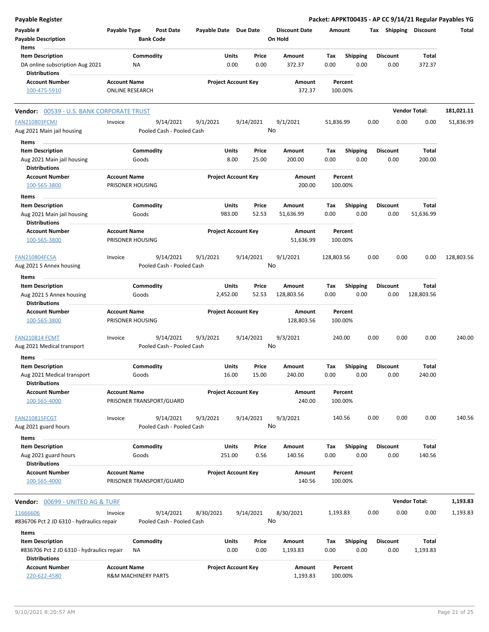| <b>Payable Register</b>                                                                      |                                                       |                        |                                        |                       |                   |                            |                |                                 |             |                    |      |      |                         |                            | Packet: APPKT00435 - AP CC 9/14/21 Regular Payables YG |
|----------------------------------------------------------------------------------------------|-------------------------------------------------------|------------------------|----------------------------------------|-----------------------|-------------------|----------------------------|----------------|---------------------------------|-------------|--------------------|------|------|-------------------------|----------------------------|--------------------------------------------------------|
| Payable #<br><b>Payable Description</b>                                                      | Payable Type                                          |                        | Post Date<br><b>Bank Code</b>          | Payable Date Due Date |                   |                            |                | <b>Discount Date</b><br>On Hold | Amount      |                    |      |      |                         | Tax Shipping Discount      | Total                                                  |
| Items                                                                                        |                                                       |                        |                                        |                       |                   |                            |                |                                 |             |                    |      |      |                         |                            |                                                        |
| <b>Item Description</b><br>DA online subscription Aug 2021<br><b>Distributions</b>           |                                                       | Commodity<br><b>NA</b> |                                        |                       | Units<br>0.00     |                            | Price<br>0.00  | Amount<br>372.37                | Tax<br>0.00 | <b>Shipping</b>    | 0.00 |      | <b>Discount</b><br>0.00 | Total<br>372.37            |                                                        |
| <b>Account Number</b>                                                                        | <b>Account Name</b>                                   |                        |                                        |                       |                   | <b>Project Account Key</b> |                | Amount                          |             | Percent            |      |      |                         |                            |                                                        |
| 100-475-5910                                                                                 | <b>ONLINE RESEARCH</b>                                |                        |                                        |                       |                   |                            |                | 372.37                          |             | 100.00%            |      |      |                         |                            |                                                        |
| Vendor: 00539 - U.S. BANK CORPORATE TRUST                                                    |                                                       |                        |                                        |                       |                   |                            |                |                                 |             |                    |      |      |                         | <b>Vendor Total:</b>       | 181,021.11                                             |
| <b>FAN210803FCMJ</b><br>Aug 2021 Main jail housing                                           | Invoice                                               |                        | 9/14/2021<br>Pooled Cash - Pooled Cash | 9/1/2021              |                   | 9/14/2021                  | No             | 9/1/2021                        | 51,836.99   |                    |      | 0.00 | 0.00                    | 0.00                       | 51,836.99                                              |
| Items                                                                                        |                                                       |                        |                                        |                       |                   |                            |                |                                 |             |                    |      |      |                         |                            |                                                        |
| <b>Item Description</b><br>Aug 2021 Main jail housing<br><b>Distributions</b>                |                                                       | Commodity<br>Goods     |                                        |                       | Units<br>8.00     |                            | Price<br>25.00 | Amount<br>200.00                | Tax<br>0.00 | <b>Shipping</b>    | 0.00 |      | <b>Discount</b><br>0.00 | Total<br>200.00            |                                                        |
| <b>Account Number</b><br>100-565-3800                                                        | <b>Account Name</b><br>PRISONER HOUSING               |                        |                                        |                       |                   | <b>Project Account Key</b> |                | Amount<br>200.00                |             | Percent<br>100.00% |      |      |                         |                            |                                                        |
| Items                                                                                        |                                                       |                        |                                        |                       |                   |                            |                |                                 |             |                    |      |      |                         |                            |                                                        |
| <b>Item Description</b><br>Aug 2021 Main jail housing                                        |                                                       | Commodity<br>Goods     |                                        |                       | Units<br>983.00   |                            | Price<br>52.53 | Amount<br>51,636.99             | Tax<br>0.00 | Shipping           | 0.00 |      | <b>Discount</b><br>0.00 | <b>Total</b><br>51,636.99  |                                                        |
| <b>Distributions</b><br><b>Account Number</b><br>100-565-3800                                | <b>Account Name</b><br>PRISONER HOUSING               |                        |                                        |                       |                   | <b>Project Account Key</b> |                | Amount<br>51,636.99             |             | Percent<br>100.00% |      |      |                         |                            |                                                        |
|                                                                                              |                                                       |                        |                                        |                       |                   |                            |                |                                 |             |                    |      |      |                         |                            |                                                        |
| FAN210804FCSA                                                                                | Invoice                                               |                        | 9/14/2021                              | 9/1/2021              |                   | 9/14/2021                  |                | 9/1/2021                        | 128,803.56  |                    |      | 0.00 | 0.00                    | 0.00                       | 128,803.56                                             |
| Aug 2021 S Annex housing                                                                     |                                                       |                        | Pooled Cash - Pooled Cash              |                       |                   |                            | No             |                                 |             |                    |      |      |                         |                            |                                                        |
| Items                                                                                        |                                                       |                        |                                        |                       |                   |                            |                |                                 |             |                    |      |      |                         |                            |                                                        |
| <b>Item Description</b><br>Aug 2021 S Annex housing<br><b>Distributions</b>                  |                                                       | Commodity<br>Goods     |                                        |                       | Units<br>2,452.00 |                            | Price<br>52.53 | Amount<br>128,803.56            | Tax<br>0.00 | Shipping           | 0.00 |      | <b>Discount</b><br>0.00 | <b>Total</b><br>128,803.56 |                                                        |
| <b>Account Number</b><br>100-565-3800                                                        | <b>Account Name</b><br>PRISONER HOUSING               |                        |                                        |                       |                   | <b>Project Account Key</b> |                | Amount<br>128,803.56            |             | Percent<br>100.00% |      |      |                         |                            |                                                        |
| <b>FAN210814 FCMT</b><br>Aug 2021 Medical transport                                          | Invoice                                               |                        | 9/14/2021<br>Pooled Cash - Pooled Cash | 9/3/2021              |                   | 9/14/2021                  | No             | 9/3/2021                        |             | 240.00             |      | 0.00 | 0.00                    | 0.00                       | 240.00                                                 |
| Items                                                                                        |                                                       |                        |                                        |                       |                   |                            |                |                                 |             |                    |      |      |                         |                            |                                                        |
| <b>Item Description</b>                                                                      |                                                       | Commodity              |                                        |                       | Units             |                            | Price          | Amount                          | Тах         | <b>Shipping</b>    |      |      | <b>Discount</b>         | Total                      |                                                        |
| Aug 2021 Medical transport<br><b>Distributions</b>                                           |                                                       | Goods                  |                                        |                       | 16.00             |                            | 15.00          | 240.00                          | 0.00        |                    | 0.00 |      | 0.00                    | 240.00                     |                                                        |
| <b>Account Number</b><br>100-565-4000                                                        | <b>Account Name</b>                                   |                        | PRISONER TRANSPORT/GUARD               |                       |                   | <b>Project Account Key</b> |                | Amount<br>240.00                |             | Percent<br>100.00% |      |      |                         |                            |                                                        |
| <b>FAN210815FCGT</b><br>Aug 2021 guard hours                                                 | Invoice                                               |                        | 9/14/2021<br>Pooled Cash - Pooled Cash | 9/3/2021              |                   | 9/14/2021                  | No             | 9/3/2021                        |             | 140.56             |      | 0.00 | 0.00                    | 0.00                       | 140.56                                                 |
| Items                                                                                        |                                                       |                        |                                        |                       |                   |                            |                |                                 |             |                    |      |      |                         |                            |                                                        |
| <b>Item Description</b><br>Aug 2021 guard hours<br><b>Distributions</b>                      |                                                       | Commodity<br>Goods     |                                        |                       | Units<br>251.00   |                            | Price<br>0.56  | Amount<br>140.56                | Tax<br>0.00 | <b>Shipping</b>    | 0.00 |      | <b>Discount</b><br>0.00 | Total<br>140.56            |                                                        |
| <b>Account Number</b>                                                                        | <b>Account Name</b>                                   |                        |                                        |                       |                   | <b>Project Account Key</b> |                | Amount                          |             | Percent            |      |      |                         |                            |                                                        |
| 100-565-4000                                                                                 |                                                       |                        | PRISONER TRANSPORT/GUARD               |                       |                   |                            |                | 140.56                          |             | 100.00%            |      |      |                         |                            |                                                        |
| Vendor: 00699 - UNITED AG & TURF                                                             |                                                       |                        |                                        |                       |                   |                            |                |                                 |             |                    |      |      |                         | <b>Vendor Total:</b>       | 1,193.83                                               |
| 11666606<br>#836706 Pct 2 JD 6310 - hydraulics repair                                        | Invoice                                               |                        | 9/14/2021<br>Pooled Cash - Pooled Cash | 8/30/2021             |                   | 9/14/2021                  | No             | 8/30/2021                       | 1,193.83    |                    |      | 0.00 | 0.00                    | 0.00                       | 1,193.83                                               |
| Items                                                                                        |                                                       |                        |                                        |                       |                   |                            |                |                                 |             |                    |      |      |                         |                            |                                                        |
| <b>Item Description</b><br>#836706 Pct 2 JD 6310 - hydraulics repair<br><b>Distributions</b> |                                                       | Commodity<br>NA        |                                        |                       | Units<br>0.00     |                            | Price<br>0.00  | Amount<br>1,193.83              | Tax<br>0.00 | <b>Shipping</b>    | 0.00 |      | <b>Discount</b><br>0.00 | Total<br>1,193.83          |                                                        |
| <b>Account Number</b><br>220-622-4580                                                        | <b>Account Name</b><br><b>R&amp;M MACHINERY PARTS</b> |                        |                                        |                       |                   | <b>Project Account Key</b> |                | Amount<br>1,193.83              |             | Percent<br>100.00% |      |      |                         |                            |                                                        |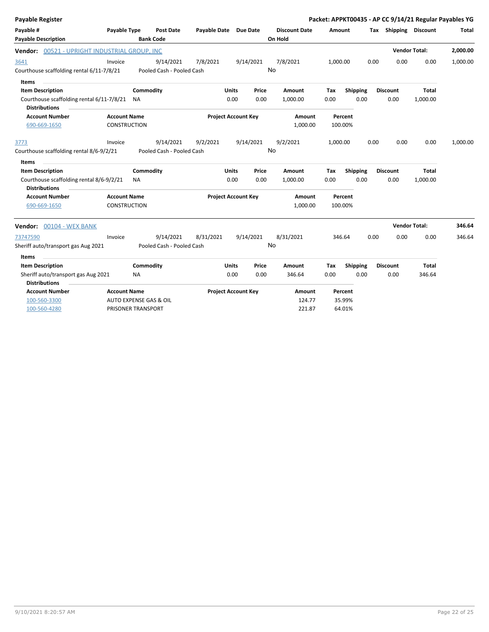| Payable Register                                                                            |                                            |                        |                           |                       |                            |               |                      |             |                         | Packet: APPKT00435 - AP CC 9/14/21 Regular Payables YG |                         |                   |          |
|---------------------------------------------------------------------------------------------|--------------------------------------------|------------------------|---------------------------|-----------------------|----------------------------|---------------|----------------------|-------------|-------------------------|--------------------------------------------------------|-------------------------|-------------------|----------|
| Payable #                                                                                   | Payable Type                               |                        | Post Date                 | Payable Date Due Date |                            |               | <b>Discount Date</b> | Amount      |                         |                                                        | Tax Shipping Discount   |                   | Total    |
| <b>Payable Description</b>                                                                  |                                            |                        | <b>Bank Code</b>          |                       |                            |               | On Hold              |             |                         |                                                        |                         |                   |          |
| Vendor: 00521 - UPRIGHT INDUSTRIAL GROUP, INC                                               |                                            |                        |                           |                       |                            |               |                      |             |                         |                                                        | <b>Vendor Total:</b>    |                   | 2,000.00 |
| 3641                                                                                        | Invoice                                    |                        | 9/14/2021                 | 7/8/2021              |                            | 9/14/2021     | 7/8/2021             | 1,000.00    |                         | 0.00                                                   | 0.00                    | 0.00              | 1,000.00 |
| Courthouse scaffolding rental 6/11-7/8/21                                                   |                                            |                        | Pooled Cash - Pooled Cash |                       |                            |               | No                   |             |                         |                                                        |                         |                   |          |
| Items                                                                                       |                                            |                        |                           |                       |                            |               |                      |             |                         |                                                        |                         |                   |          |
| <b>Item Description</b>                                                                     |                                            | Commodity              |                           |                       | <b>Units</b>               | Price         | Amount               | Tax         | Shipping                |                                                        | <b>Discount</b>         | <b>Total</b>      |          |
| Courthouse scaffolding rental 6/11-7/8/21 NA<br><b>Distributions</b>                        |                                            |                        |                           |                       | 0.00                       | 0.00          | 1,000.00             | 0.00        | 0.00                    |                                                        | 0.00                    | 1,000.00          |          |
| <b>Account Number</b>                                                                       | <b>Account Name</b>                        |                        |                           |                       | <b>Project Account Key</b> |               | Amount               |             | Percent                 |                                                        |                         |                   |          |
| 690-669-1650                                                                                | <b>CONSTRUCTION</b>                        |                        |                           |                       |                            |               | 1,000.00             |             | 100.00%                 |                                                        |                         |                   |          |
| 3773                                                                                        | Invoice                                    |                        | 9/14/2021                 | 9/2/2021              |                            | 9/14/2021     | 9/2/2021             | 1,000.00    |                         | 0.00                                                   | 0.00                    | 0.00              | 1,000.00 |
| Courthouse scaffolding rental 8/6-9/2/21                                                    |                                            |                        | Pooled Cash - Pooled Cash |                       |                            |               | No                   |             |                         |                                                        |                         |                   |          |
| <b>Items</b>                                                                                |                                            |                        |                           |                       |                            |               |                      |             |                         |                                                        |                         |                   |          |
| <b>Item Description</b><br>Courthouse scaffolding rental 8/6-9/2/21<br><b>Distributions</b> |                                            | Commodity<br><b>NA</b> |                           |                       | Units<br>0.00              | Price<br>0.00 | Amount<br>1,000.00   | Tax<br>0.00 | <b>Shipping</b><br>0.00 |                                                        | <b>Discount</b><br>0.00 | Total<br>1,000.00 |          |
| <b>Account Number</b><br>690-669-1650                                                       | <b>Account Name</b><br><b>CONSTRUCTION</b> |                        |                           |                       | <b>Project Account Key</b> |               | Amount<br>1,000.00   |             | Percent<br>100.00%      |                                                        |                         |                   |          |
| Vendor: 00104 - WEX BANK                                                                    |                                            |                        |                           |                       |                            |               |                      |             |                         |                                                        | <b>Vendor Total:</b>    |                   | 346.64   |
| 73747590                                                                                    | Invoice                                    |                        | 9/14/2021                 | 8/31/2021             |                            | 9/14/2021     | 8/31/2021            |             | 346.64                  | 0.00                                                   | 0.00                    | 0.00              | 346.64   |
| Sheriff auto/transport gas Aug 2021                                                         |                                            |                        | Pooled Cash - Pooled Cash |                       |                            |               | No                   |             |                         |                                                        |                         |                   |          |
| Items                                                                                       |                                            |                        |                           |                       |                            |               |                      |             |                         |                                                        |                         |                   |          |
| <b>Item Description</b>                                                                     |                                            | Commodity              |                           |                       | <b>Units</b>               | Price         | Amount               | Tax         | Shipping                |                                                        | Discount                | <b>Total</b>      |          |
| Sheriff auto/transport gas Aug 2021<br><b>Distributions</b>                                 |                                            | <b>NA</b>              |                           |                       | 0.00                       | 0.00          | 346.64               | 0.00        | 0.00                    |                                                        | 0.00                    | 346.64            |          |
| <b>Account Number</b>                                                                       | <b>Account Name</b>                        |                        |                           |                       | <b>Project Account Key</b> |               | Amount               |             | Percent                 |                                                        |                         |                   |          |
| 100-560-3300                                                                                | AUTO EXPENSE GAS & OIL                     |                        |                           |                       |                            |               | 124.77               |             | 35.99%                  |                                                        |                         |                   |          |
| 100-560-4280                                                                                | PRISONER TRANSPORT                         |                        |                           |                       |                            |               | 221.87               |             | 64.01%                  |                                                        |                         |                   |          |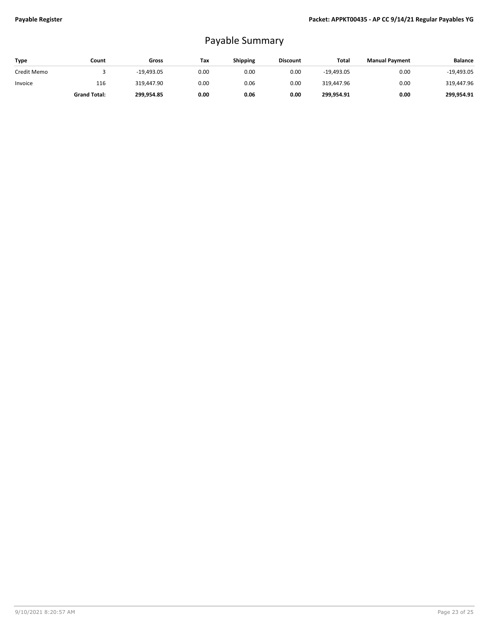# Payable Summary

| Type        | Count               | Gross        | Tax  | <b>Shipping</b> | <b>Discount</b> | Total        | <b>Manual Payment</b> | <b>Balance</b> |
|-------------|---------------------|--------------|------|-----------------|-----------------|--------------|-----------------------|----------------|
| Credit Memo |                     | $-19.493.05$ | 0.00 | 0.00            | 0.00            | $-19.493.05$ | 0.00                  | $-19,493.05$   |
| Invoice     | 116                 | 319.447.90   | 0.00 | 0.06            | 0.00            | 319.447.96   | 0.00                  | 319,447.96     |
|             | <b>Grand Total:</b> | 299.954.85   | 0.00 | 0.06            | 0.00            | 299.954.91   | 0.00                  | 299.954.91     |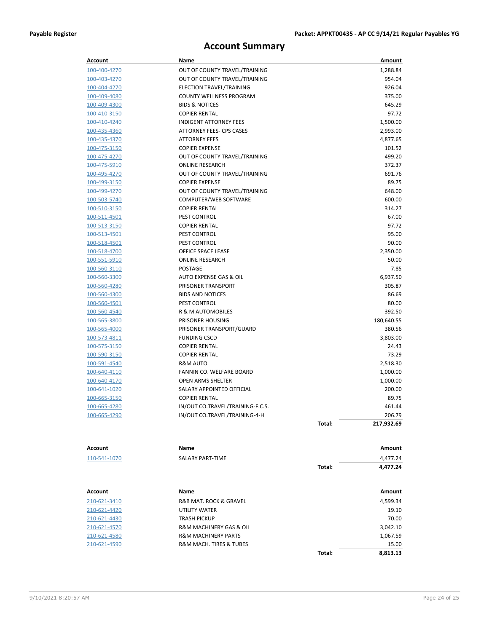## **Account Summary**

| <b>Account</b> | Name                             |        | Amount     |
|----------------|----------------------------------|--------|------------|
| 100-400-4270   | OUT OF COUNTY TRAVEL/TRAINING    |        | 1,288.84   |
| 100-403-4270   | OUT OF COUNTY TRAVEL/TRAINING    |        | 954.04     |
| 100-404-4270   | ELECTION TRAVEL/TRAINING         |        | 926.04     |
| 100-409-4080   | COUNTY WELLNESS PROGRAM          |        | 375.00     |
| 100-409-4300   | <b>BIDS &amp; NOTICES</b>        |        | 645.29     |
| 100-410-3150   | <b>COPIER RENTAL</b>             |        | 97.72      |
| 100-410-4240   | <b>INDIGENT ATTORNEY FEES</b>    |        | 1,500.00   |
| 100-435-4360   | ATTORNEY FEES- CPS CASES         |        | 2,993.00   |
| 100-435-4370   | <b>ATTORNEY FEES</b>             |        | 4,877.65   |
| 100-475-3150   | <b>COPIER EXPENSE</b>            |        | 101.52     |
| 100-475-4270   | OUT OF COUNTY TRAVEL/TRAINING    |        | 499.20     |
| 100-475-5910   | <b>ONLINE RESEARCH</b>           |        | 372.37     |
| 100-495-4270   | OUT OF COUNTY TRAVEL/TRAINING    |        | 691.76     |
| 100-499-3150   | <b>COPIER EXPENSE</b>            |        | 89.75      |
| 100-499-4270   | OUT OF COUNTY TRAVEL/TRAINING    |        | 648.00     |
| 100-503-5740   | COMPUTER/WEB SOFTWARE            |        | 600.00     |
| 100-510-3150   | <b>COPIER RENTAL</b>             |        | 314.27     |
| 100-511-4501   | PEST CONTROL                     |        | 67.00      |
| 100-513-3150   | <b>COPIER RENTAL</b>             |        | 97.72      |
| 100-513-4501   | PEST CONTROL                     |        | 95.00      |
| 100-518-4501   | PEST CONTROL                     |        | 90.00      |
| 100-518-4700   | OFFICE SPACE LEASE               |        | 2,350.00   |
| 100-551-5910   | <b>ONLINE RESEARCH</b>           |        | 50.00      |
| 100-560-3110   | <b>POSTAGE</b>                   |        | 7.85       |
| 100-560-3300   | AUTO EXPENSE GAS & OIL           |        | 6,937.50   |
| 100-560-4280   | PRISONER TRANSPORT               |        | 305.87     |
| 100-560-4300   | <b>BIDS AND NOTICES</b>          |        | 86.69      |
| 100-560-4501   | PEST CONTROL                     |        | 80.00      |
| 100-560-4540   | R & M AUTOMOBILES                |        | 392.50     |
| 100-565-3800   | PRISONER HOUSING                 |        | 180,640.55 |
| 100-565-4000   | PRISONER TRANSPORT/GUARD         |        | 380.56     |
| 100-573-4811   | <b>FUNDING CSCD</b>              |        | 3,803.00   |
| 100-575-3150   | <b>COPIER RENTAL</b>             |        | 24.43      |
| 100-590-3150   | <b>COPIER RENTAL</b>             |        | 73.29      |
| 100-591-4540   | R&M AUTO                         |        | 2,518.30   |
| 100-640-4110   | FANNIN CO. WELFARE BOARD         |        | 1,000.00   |
| 100-640-4170   | OPEN ARMS SHELTER                |        | 1,000.00   |
| 100-641-1020   | SALARY APPOINTED OFFICIAL        |        | 200.00     |
| 100-665-3150   | <b>COPIER RENTAL</b>             |        | 89.75      |
| 100-665-4280   | IN/OUT CO.TRAVEL/TRAINING-F.C.S. |        | 461.44     |
| 100-665-4290   | IN/OUT CO.TRAVEL/TRAINING-4-H    |        | 206.79     |
|                |                                  | Total: | 217,932.69 |
| Account        | Name                             |        | Amount     |
| 110-541-1070   | SALARY PART-TIME                 |        | 4,477.24   |
|                |                                  | Total: | 4,477.24   |
|                |                                  |        |            |

| Account      | Name                                   |        | Amount   |
|--------------|----------------------------------------|--------|----------|
| 210-621-3410 | <b>R&amp;B MAT. ROCK &amp; GRAVEL</b>  |        | 4,599.34 |
| 210-621-4420 | UTILITY WATER                          |        | 19.10    |
| 210-621-4430 | <b>TRASH PICKUP</b>                    |        | 70.00    |
| 210-621-4570 | <b>R&amp;M MACHINERY GAS &amp; OIL</b> |        | 3,042.10 |
| 210-621-4580 | <b>R&amp;M MACHINERY PARTS</b>         |        | 1,067.59 |
| 210-621-4590 | <b>R&amp;M MACH. TIRES &amp; TUBES</b> |        | 15.00    |
|              |                                        | Total: | 8.813.13 |